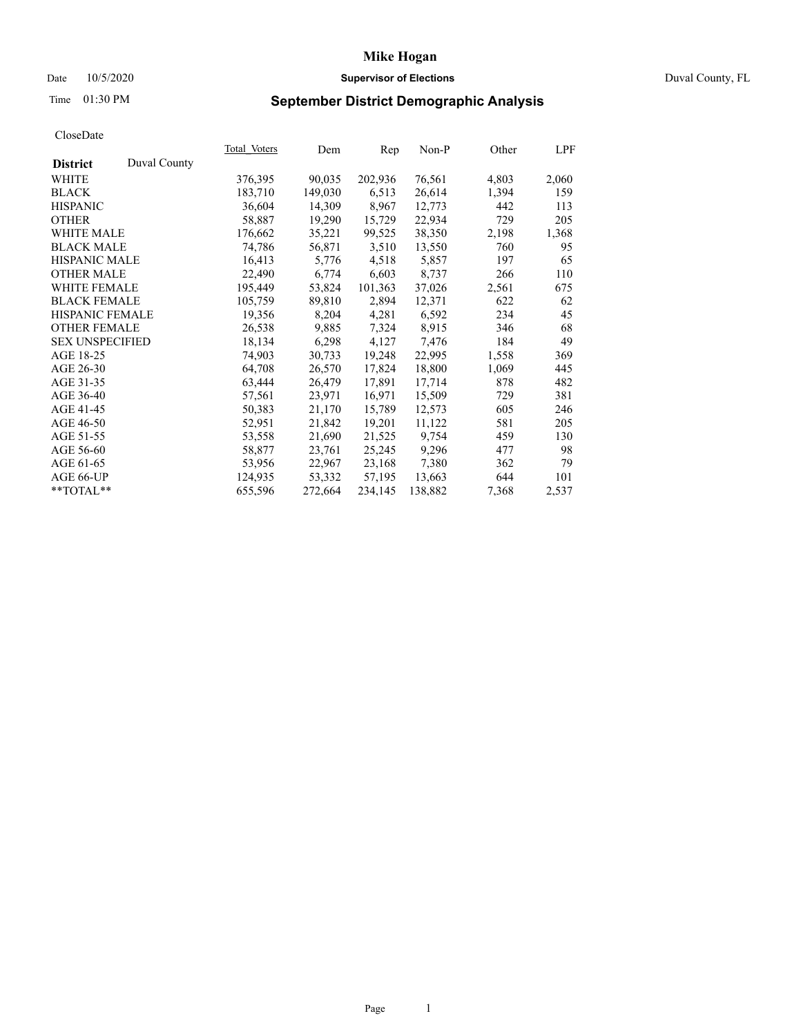# Date 10/5/2020 **Supervisor of Elections Supervisor of Elections** Duval County, FL

# Time 01:30 PM **September District Demographic Analysis**

|                        |              | Total Voters | Dem     | Rep     | $Non-P$ | Other | LPF   |
|------------------------|--------------|--------------|---------|---------|---------|-------|-------|
| <b>District</b>        | Duval County |              |         |         |         |       |       |
| WHITE                  |              | 376,395      | 90,035  | 202,936 | 76,561  | 4,803 | 2,060 |
| <b>BLACK</b>           |              | 183,710      | 149,030 | 6,513   | 26,614  | 1,394 | 159   |
| <b>HISPANIC</b>        |              | 36,604       | 14,309  | 8,967   | 12,773  | 442   | 113   |
| <b>OTHER</b>           |              | 58,887       | 19,290  | 15,729  | 22,934  | 729   | 205   |
| <b>WHITE MALE</b>      |              | 176,662      | 35,221  | 99,525  | 38,350  | 2,198 | 1,368 |
| <b>BLACK MALE</b>      |              | 74,786       | 56,871  | 3,510   | 13,550  | 760   | 95    |
| <b>HISPANIC MALE</b>   |              | 16,413       | 5,776   | 4,518   | 5,857   | 197   | 65    |
| <b>OTHER MALE</b>      |              | 22,490       | 6,774   | 6,603   | 8,737   | 266   | 110   |
| <b>WHITE FEMALE</b>    |              | 195,449      | 53,824  | 101,363 | 37,026  | 2,561 | 675   |
| <b>BLACK FEMALE</b>    |              | 105,759      | 89,810  | 2,894   | 12,371  | 622   | 62    |
| HISPANIC FEMALE        |              | 19,356       | 8,204   | 4,281   | 6,592   | 234   | 45    |
| <b>OTHER FEMALE</b>    |              | 26,538       | 9,885   | 7,324   | 8,915   | 346   | 68    |
| <b>SEX UNSPECIFIED</b> |              | 18,134       | 6,298   | 4,127   | 7,476   | 184   | 49    |
| AGE 18-25              |              | 74,903       | 30,733  | 19,248  | 22,995  | 1,558 | 369   |
| AGE 26-30              |              | 64,708       | 26,570  | 17,824  | 18,800  | 1,069 | 445   |
| AGE 31-35              |              | 63,444       | 26,479  | 17,891  | 17,714  | 878   | 482   |
| AGE 36-40              |              | 57,561       | 23,971  | 16,971  | 15,509  | 729   | 381   |
| AGE 41-45              |              | 50,383       | 21,170  | 15,789  | 12,573  | 605   | 246   |
| AGE 46-50              |              | 52,951       | 21,842  | 19,201  | 11,122  | 581   | 205   |
| AGE 51-55              |              | 53,558       | 21,690  | 21,525  | 9,754   | 459   | 130   |
| AGE 56-60              |              | 58,877       | 23,761  | 25,245  | 9,296   | 477   | 98    |
| AGE 61-65              |              | 53,956       | 22,967  | 23,168  | 7,380   | 362   | 79    |
| AGE 66-UP              |              | 124,935      | 53,332  | 57,195  | 13,663  | 644   | 101   |
| **TOTAL**              |              | 655,596      | 272,664 | 234,145 | 138,882 | 7,368 | 2,537 |
|                        |              |              |         |         |         |       |       |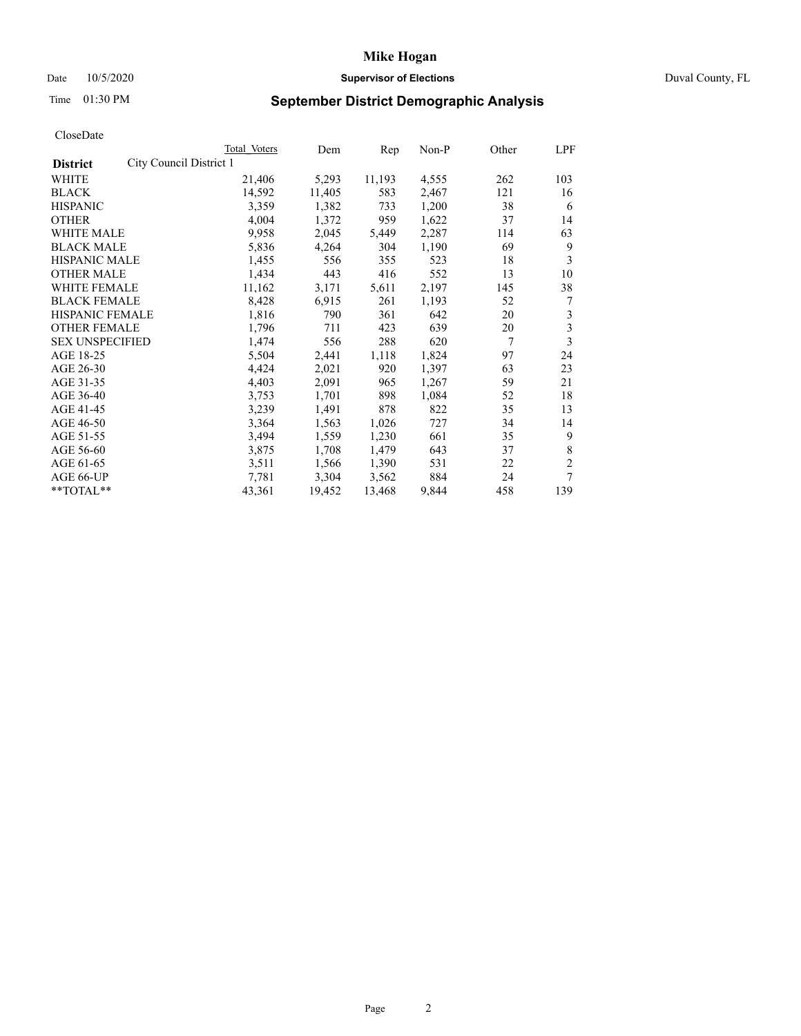# Date 10/5/2020 **Supervisor of Elections Supervisor of Elections** Duval County, FL

# Time 01:30 PM **September District Demographic Analysis**

|                                            | Total Voters | Dem    | Rep    | Non-P | Other | LPF            |
|--------------------------------------------|--------------|--------|--------|-------|-------|----------------|
| City Council District 1<br><b>District</b> |              |        |        |       |       |                |
| WHITE                                      | 21,406       | 5,293  | 11,193 | 4,555 | 262   | 103            |
| <b>BLACK</b>                               | 14,592       | 11,405 | 583    | 2,467 | 121   | 16             |
| <b>HISPANIC</b>                            | 3,359        | 1,382  | 733    | 1,200 | 38    | 6              |
| <b>OTHER</b>                               | 4,004        | 1,372  | 959    | 1,622 | 37    | 14             |
| WHITE MALE                                 | 9,958        | 2,045  | 5,449  | 2,287 | 114   | 63             |
| <b>BLACK MALE</b>                          | 5,836        | 4,264  | 304    | 1,190 | 69    | 9              |
| <b>HISPANIC MALE</b>                       | 1,455        | 556    | 355    | 523   | 18    | 3              |
| <b>OTHER MALE</b>                          | 1,434        | 443    | 416    | 552   | 13    | 10             |
| WHITE FEMALE                               | 11,162       | 3,171  | 5,611  | 2,197 | 145   | 38             |
| <b>BLACK FEMALE</b>                        | 8,428        | 6,915  | 261    | 1,193 | 52    | 7              |
| HISPANIC FEMALE                            | 1,816        | 790    | 361    | 642   | 20    | 3              |
| <b>OTHER FEMALE</b>                        | 1,796        | 711    | 423    | 639   | 20    | 3              |
| <b>SEX UNSPECIFIED</b>                     | 1,474        | 556    | 288    | 620   | 7     | 3              |
| AGE 18-25                                  | 5,504        | 2,441  | 1,118  | 1,824 | 97    | 24             |
| AGE 26-30                                  | 4,424        | 2,021  | 920    | 1,397 | 63    | 23             |
| AGE 31-35                                  | 4,403        | 2,091  | 965    | 1,267 | 59    | 21             |
| AGE 36-40                                  | 3,753        | 1,701  | 898    | 1,084 | 52    | 18             |
| AGE 41-45                                  | 3,239        | 1,491  | 878    | 822   | 35    | 13             |
| AGE 46-50                                  | 3,364        | 1,563  | 1,026  | 727   | 34    | 14             |
| AGE 51-55                                  | 3,494        | 1,559  | 1,230  | 661   | 35    | 9              |
| AGE 56-60                                  | 3,875        | 1,708  | 1,479  | 643   | 37    | 8              |
| AGE 61-65                                  | 3,511        | 1,566  | 1,390  | 531   | 22    | $\overline{2}$ |
| AGE 66-UP                                  | 7,781        | 3,304  | 3,562  | 884   | 24    | 7              |
| **TOTAL**                                  | 43,361       | 19,452 | 13,468 | 9,844 | 458   | 139            |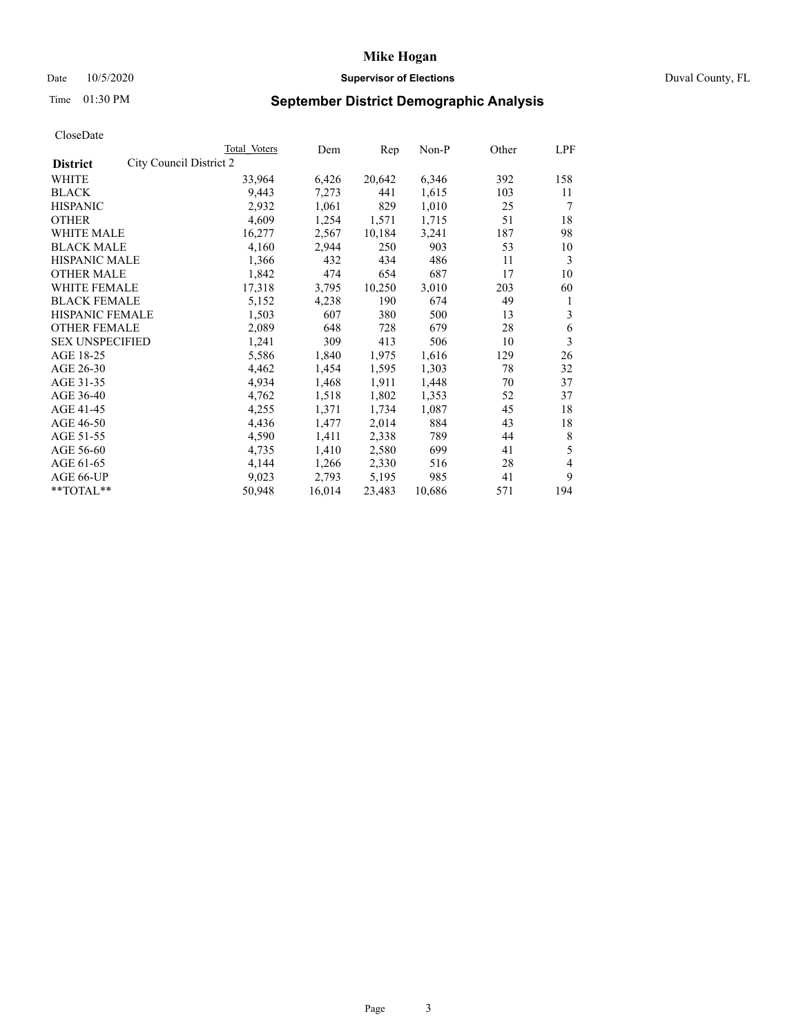# Date 10/5/2020 **Supervisor of Elections Supervisor of Elections** Duval County, FL

# Time 01:30 PM **September District Demographic Analysis**

|                                            | Total Voters | Dem    | Rep    | Non-P  | Other | LPF |
|--------------------------------------------|--------------|--------|--------|--------|-------|-----|
| City Council District 2<br><b>District</b> |              |        |        |        |       |     |
| WHITE                                      | 33,964       | 6,426  | 20,642 | 6,346  | 392   | 158 |
| <b>BLACK</b>                               | 9,443        | 7,273  | 441    | 1,615  | 103   | 11  |
| <b>HISPANIC</b>                            | 2,932        | 1,061  | 829    | 1,010  | 25    | 7   |
| <b>OTHER</b>                               | 4,609        | 1,254  | 1,571  | 1,715  | 51    | 18  |
| WHITE MALE                                 | 16,277       | 2,567  | 10,184 | 3,241  | 187   | 98  |
| <b>BLACK MALE</b>                          | 4,160        | 2,944  | 250    | 903    | 53    | 10  |
| <b>HISPANIC MALE</b>                       | 1,366        | 432    | 434    | 486    | 11    | 3   |
| <b>OTHER MALE</b>                          | 1,842        | 474    | 654    | 687    | 17    | 10  |
| WHITE FEMALE                               | 17,318       | 3,795  | 10,250 | 3,010  | 203   | 60  |
| <b>BLACK FEMALE</b>                        | 5,152        | 4,238  | 190    | 674    | 49    | 1   |
| HISPANIC FEMALE                            | 1,503        | 607    | 380    | 500    | 13    | 3   |
| <b>OTHER FEMALE</b>                        | 2,089        | 648    | 728    | 679    | 28    | 6   |
| <b>SEX UNSPECIFIED</b>                     | 1,241        | 309    | 413    | 506    | 10    | 3   |
| AGE 18-25                                  | 5,586        | 1,840  | 1,975  | 1,616  | 129   | 26  |
| AGE 26-30                                  | 4,462        | 1,454  | 1,595  | 1,303  | 78    | 32  |
| AGE 31-35                                  | 4,934        | 1,468  | 1,911  | 1,448  | 70    | 37  |
| AGE 36-40                                  | 4,762        | 1,518  | 1,802  | 1,353  | 52    | 37  |
| AGE 41-45                                  | 4,255        | 1,371  | 1,734  | 1,087  | 45    | 18  |
| AGE 46-50                                  | 4,436        | 1,477  | 2,014  | 884    | 43    | 18  |
| AGE 51-55                                  | 4,590        | 1,411  | 2,338  | 789    | 44    | 8   |
| AGE 56-60                                  | 4,735        | 1,410  | 2,580  | 699    | 41    | 5   |
| AGE 61-65                                  | 4,144        | 1,266  | 2,330  | 516    | 28    | 4   |
| AGE 66-UP                                  | 9,023        | 2,793  | 5,195  | 985    | 41    | 9   |
| **TOTAL**                                  | 50,948       | 16,014 | 23,483 | 10,686 | 571   | 194 |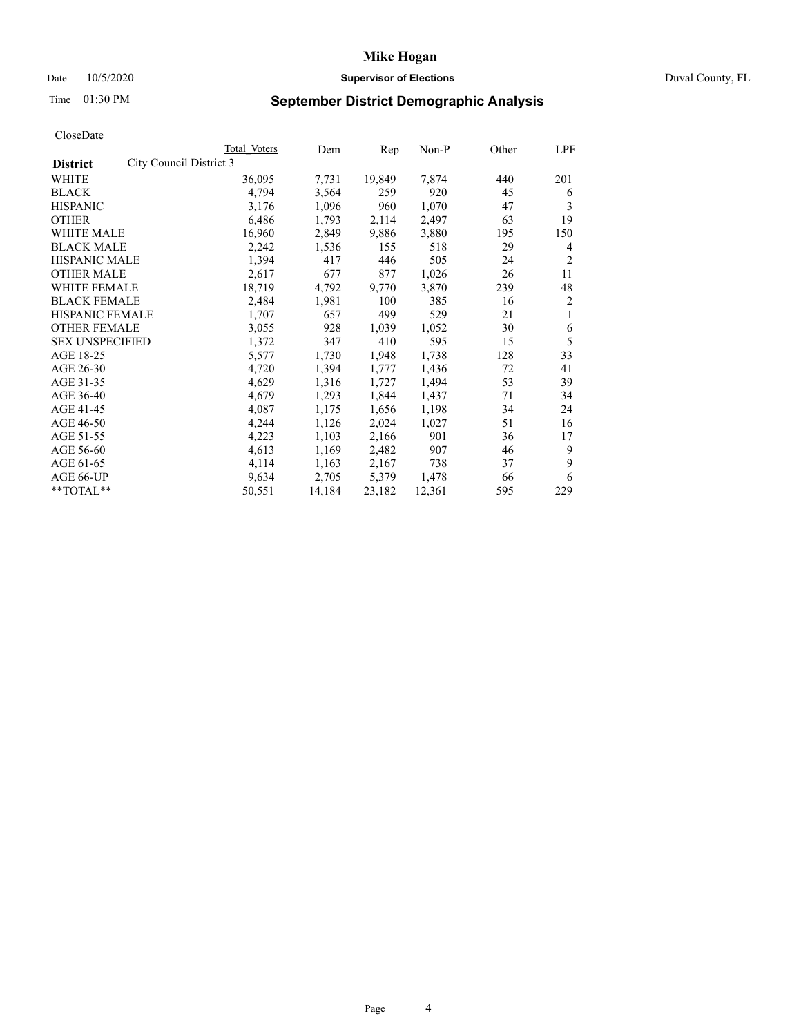# Date 10/5/2020 **Supervisor of Elections Supervisor of Elections** Duval County, FL

# Time 01:30 PM **September District Demographic Analysis**

|                                            | Total Voters | Dem    | Rep    | Non-P  | Other | LPF            |
|--------------------------------------------|--------------|--------|--------|--------|-------|----------------|
| City Council District 3<br><b>District</b> |              |        |        |        |       |                |
| WHITE                                      | 36,095       | 7,731  | 19,849 | 7,874  | 440   | 201            |
| <b>BLACK</b>                               | 4,794        | 3,564  | 259    | 920    | 45    | 6              |
| <b>HISPANIC</b>                            | 3,176        | 1,096  | 960    | 1,070  | 47    | 3              |
| <b>OTHER</b>                               | 6,486        | 1,793  | 2,114  | 2,497  | 63    | 19             |
| <b>WHITE MALE</b>                          | 16,960       | 2,849  | 9,886  | 3,880  | 195   | 150            |
| <b>BLACK MALE</b>                          | 2,242        | 1,536  | 155    | 518    | 29    | 4              |
| HISPANIC MALE                              | 1,394        | 417    | 446    | 505    | 24    | $\overline{2}$ |
| <b>OTHER MALE</b>                          | 2,617        | 677    | 877    | 1,026  | 26    | 11             |
| <b>WHITE FEMALE</b>                        | 18,719       | 4,792  | 9,770  | 3,870  | 239   | 48             |
| <b>BLACK FEMALE</b>                        | 2,484        | 1,981  | 100    | 385    | 16    | 2              |
| HISPANIC FEMALE                            | 1,707        | 657    | 499    | 529    | 21    | 1              |
| <b>OTHER FEMALE</b>                        | 3,055        | 928    | 1,039  | 1,052  | 30    | 6              |
| <b>SEX UNSPECIFIED</b>                     | 1,372        | 347    | 410    | 595    | 15    | 5              |
| AGE 18-25                                  | 5,577        | 1,730  | 1,948  | 1,738  | 128   | 33             |
| AGE 26-30                                  | 4,720        | 1,394  | 1,777  | 1,436  | 72    | 41             |
| AGE 31-35                                  | 4,629        | 1,316  | 1,727  | 1,494  | 53    | 39             |
| AGE 36-40                                  | 4,679        | 1,293  | 1,844  | 1,437  | 71    | 34             |
| AGE 41-45                                  | 4,087        | 1,175  | 1,656  | 1,198  | 34    | 24             |
| AGE 46-50                                  | 4,244        | 1,126  | 2,024  | 1,027  | 51    | 16             |
| AGE 51-55                                  | 4,223        | 1,103  | 2,166  | 901    | 36    | 17             |
| AGE 56-60                                  | 4,613        | 1,169  | 2,482  | 907    | 46    | 9              |
| AGE 61-65                                  | 4,114        | 1,163  | 2,167  | 738    | 37    | 9              |
| AGE 66-UP                                  | 9,634        | 2,705  | 5,379  | 1,478  | 66    | 6              |
| **TOTAL**                                  | 50,551       | 14,184 | 23,182 | 12,361 | 595   | 229            |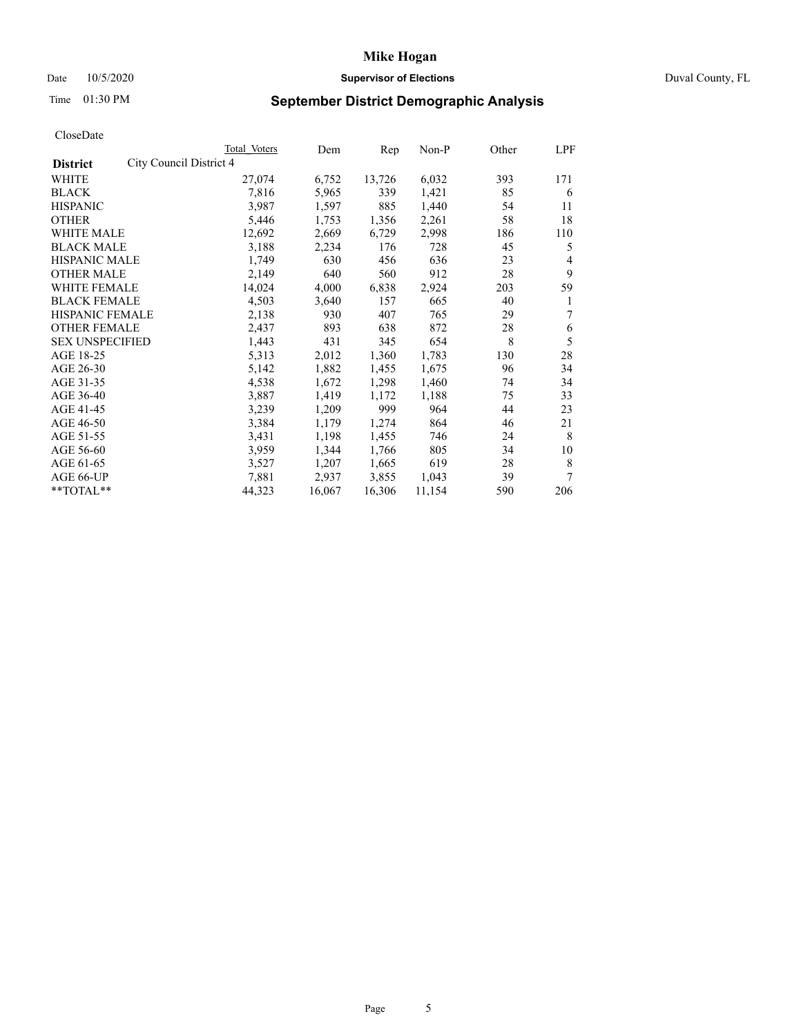# Date 10/5/2020 **Supervisor of Elections Supervisor of Elections** Duval County, FL

# Time 01:30 PM **September District Demographic Analysis**

|                                            | Total Voters | Dem    | Rep    | Non-P  | Other | LPF |
|--------------------------------------------|--------------|--------|--------|--------|-------|-----|
| City Council District 4<br><b>District</b> |              |        |        |        |       |     |
| WHITE                                      | 27,074       | 6,752  | 13,726 | 6,032  | 393   | 171 |
| <b>BLACK</b>                               | 7,816        | 5,965  | 339    | 1,421  | 85    | 6   |
| <b>HISPANIC</b>                            | 3,987        | 1,597  | 885    | 1,440  | 54    | 11  |
| <b>OTHER</b>                               | 5,446        | 1,753  | 1,356  | 2,261  | 58    | 18  |
| WHITE MALE                                 | 12,692       | 2,669  | 6,729  | 2,998  | 186   | 110 |
| <b>BLACK MALE</b>                          | 3,188        | 2,234  | 176    | 728    | 45    | 5   |
| <b>HISPANIC MALE</b>                       | 1,749        | 630    | 456    | 636    | 23    | 4   |
| <b>OTHER MALE</b>                          | 2,149        | 640    | 560    | 912    | 28    | 9   |
| WHITE FEMALE                               | 14,024       | 4,000  | 6,838  | 2,924  | 203   | 59  |
| <b>BLACK FEMALE</b>                        | 4,503        | 3,640  | 157    | 665    | 40    | 1   |
| HISPANIC FEMALE                            | 2,138        | 930    | 407    | 765    | 29    | 7   |
| <b>OTHER FEMALE</b>                        | 2,437        | 893    | 638    | 872    | 28    | 6   |
| <b>SEX UNSPECIFIED</b>                     | 1,443        | 431    | 345    | 654    | 8     | 5   |
| AGE 18-25                                  | 5,313        | 2,012  | 1,360  | 1,783  | 130   | 28  |
| AGE 26-30                                  | 5,142        | 1,882  | 1,455  | 1,675  | 96    | 34  |
| AGE 31-35                                  | 4,538        | 1,672  | 1,298  | 1,460  | 74    | 34  |
| AGE 36-40                                  | 3,887        | 1,419  | 1,172  | 1,188  | 75    | 33  |
| AGE 41-45                                  | 3,239        | 1,209  | 999    | 964    | 44    | 23  |
| AGE 46-50                                  | 3,384        | 1,179  | 1,274  | 864    | 46    | 21  |
| AGE 51-55                                  | 3,431        | 1,198  | 1,455  | 746    | 24    | 8   |
| AGE 56-60                                  | 3,959        | 1,344  | 1,766  | 805    | 34    | 10  |
| AGE 61-65                                  | 3,527        | 1,207  | 1,665  | 619    | 28    | 8   |
| AGE 66-UP                                  | 7,881        | 2,937  | 3,855  | 1,043  | 39    | 7   |
| **TOTAL**                                  | 44,323       | 16,067 | 16,306 | 11,154 | 590   | 206 |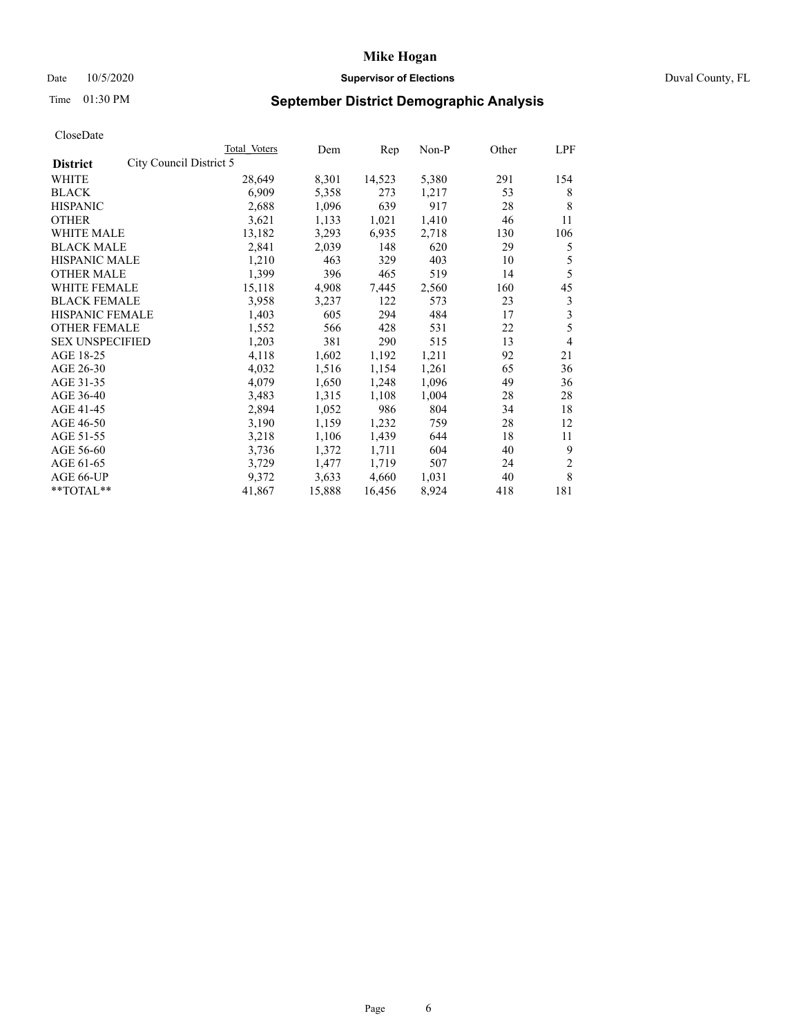# Date 10/5/2020 **Supervisor of Elections Supervisor of Elections** Duval County, FL

# Time 01:30 PM **September District Demographic Analysis**

| Total Voters | Dem                     | Rep    | Non-P | Other | LPF            |
|--------------|-------------------------|--------|-------|-------|----------------|
|              |                         |        |       |       |                |
| 28,649       | 8,301                   | 14,523 | 5,380 | 291   | 154            |
| 6.909        | 5,358                   | 273    | 1,217 | 53    | 8              |
| 2,688        | 1,096                   | 639    | 917   | 28    | 8              |
| 3,621        | 1,133                   | 1,021  | 1,410 | 46    | 11             |
| 13,182       | 3,293                   | 6,935  | 2,718 | 130   | 106            |
| 2,841        | 2,039                   | 148    | 620   | 29    | 5              |
| 1,210        | 463                     | 329    | 403   | 10    | 5              |
| 1,399        | 396                     | 465    | 519   | 14    | 5              |
| 15,118       | 4,908                   | 7,445  | 2,560 | 160   | 45             |
| 3,958        | 3,237                   | 122    | 573   | 23    | 3              |
| 1,403        | 605                     | 294    | 484   | 17    | 3              |
| 1,552        | 566                     | 428    | 531   | 22    | 5              |
| 1,203        | 381                     | 290    | 515   | 13    | 4              |
| 4,118        | 1,602                   | 1,192  | 1,211 | 92    | 21             |
| 4,032        | 1,516                   | 1,154  | 1,261 | 65    | 36             |
| 4,079        | 1,650                   | 1,248  | 1,096 | 49    | 36             |
| 3,483        | 1,315                   | 1,108  | 1,004 | 28    | 28             |
| 2,894        | 1,052                   | 986    | 804   | 34    | 18             |
| 3,190        | 1,159                   | 1,232  | 759   | 28    | 12             |
| 3,218        | 1,106                   | 1,439  | 644   | 18    | 11             |
| 3,736        | 1,372                   | 1,711  | 604   | 40    | 9              |
| 3,729        | 1,477                   | 1,719  | 507   | 24    | $\overline{c}$ |
| 9,372        | 3,633                   | 4,660  | 1,031 | 40    | 8              |
| 41,867       | 15,888                  | 16,456 | 8,924 | 418   | 181            |
|              | City Council District 5 |        |       |       |                |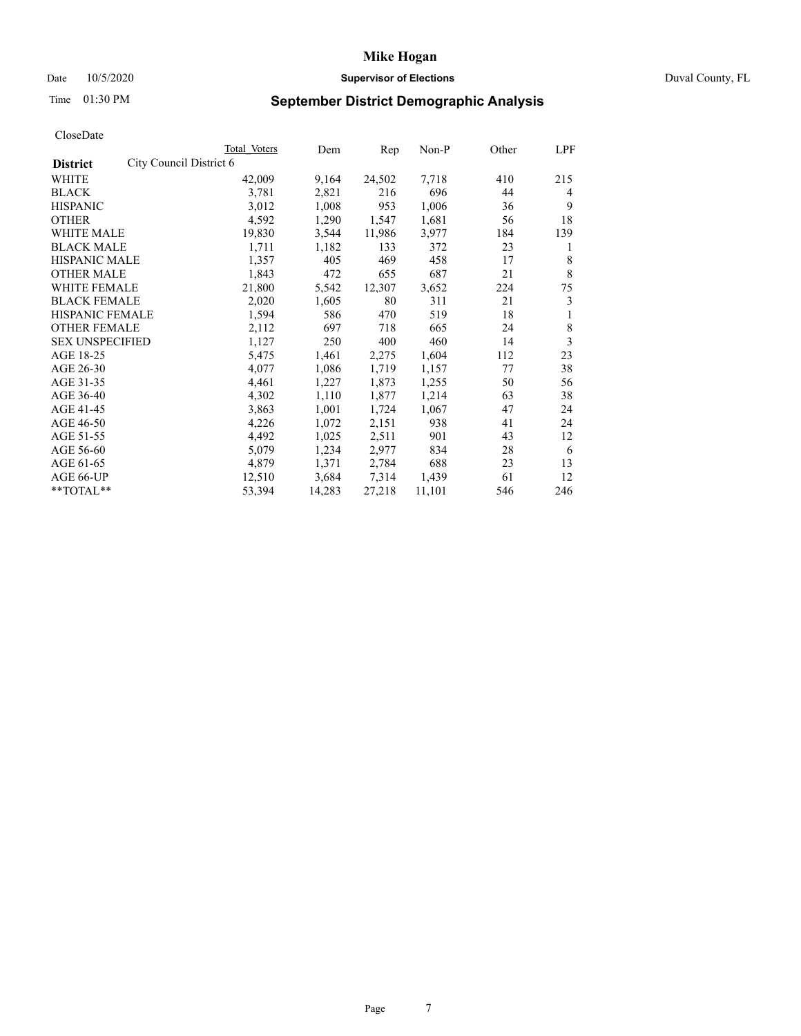# Date 10/5/2020 **Supervisor of Elections Supervisor of Elections** Duval County, FL

# Time 01:30 PM **September District Demographic Analysis**

| Total Voters            | Dem    | Rep    | $Non-P$ | Other | LPF |
|-------------------------|--------|--------|---------|-------|-----|
| City Council District 6 |        |        |         |       |     |
| 42,009                  | 9,164  | 24,502 | 7,718   | 410   | 215 |
| 3,781                   | 2,821  | 216    | 696     | 44    | 4   |
| 3,012                   | 1,008  | 953    | 1,006   | 36    | 9   |
| 4,592                   | 1,290  | 1,547  | 1,681   | 56    | 18  |
| 19,830                  | 3,544  | 11,986 | 3,977   | 184   | 139 |
| 1,711                   | 1,182  | 133    | 372     | 23    | 1   |
| 1,357                   | 405    | 469    | 458     | 17    | 8   |
| 1,843                   | 472    | 655    | 687     | 21    | 8   |
| 21,800                  | 5,542  | 12,307 | 3,652   | 224   | 75  |
| 2,020                   | 1,605  | 80     | 311     | 21    | 3   |
| 1,594                   | 586    | 470    | 519     | 18    | 1   |
| 2,112                   | 697    | 718    | 665     | 24    | 8   |
| 1,127                   | 250    | 400    | 460     | 14    | 3   |
| 5,475                   | 1,461  | 2,275  | 1,604   | 112   | 23  |
| 4,077                   | 1,086  | 1,719  | 1,157   | 77    | 38  |
| 4,461                   | 1,227  | 1,873  | 1,255   | 50    | 56  |
| 4,302                   | 1,110  | 1,877  | 1,214   | 63    | 38  |
| 3,863                   | 1,001  | 1,724  | 1,067   | 47    | 24  |
| 4,226                   | 1,072  | 2,151  | 938     | 41    | 24  |
| 4,492                   | 1,025  | 2,511  | 901     | 43    | 12  |
| 5,079                   | 1,234  | 2,977  | 834     | 28    | 6   |
| 4,879                   | 1,371  | 2,784  | 688     | 23    | 13  |
| 12,510                  | 3,684  | 7,314  | 1,439   | 61    | 12  |
| 53,394                  | 14,283 | 27,218 | 11,101  | 546   | 246 |
|                         |        |        |         |       |     |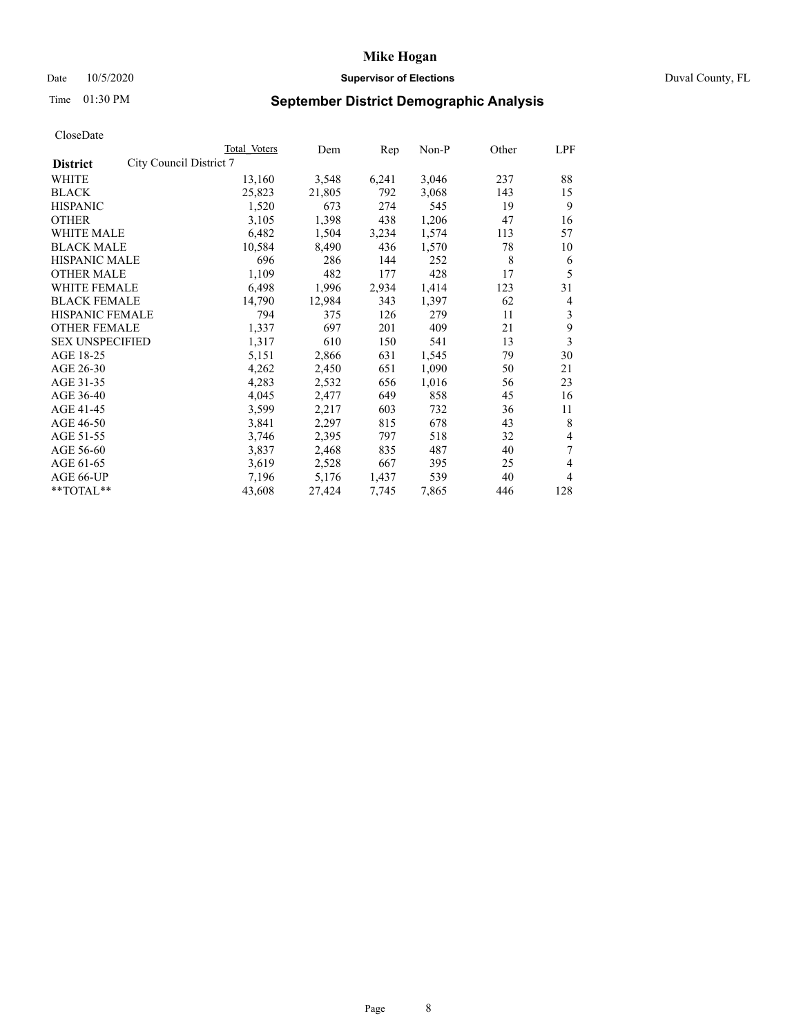# Date 10/5/2020 **Supervisor of Elections Supervisor of Elections** Duval County, FL

# Time 01:30 PM **September District Demographic Analysis**

|                                            | Total Voters | Dem    | Rep   | Non-P | Other | LPF |
|--------------------------------------------|--------------|--------|-------|-------|-------|-----|
| City Council District 7<br><b>District</b> |              |        |       |       |       |     |
| WHITE                                      | 13,160       | 3,548  | 6,241 | 3,046 | 237   | 88  |
| <b>BLACK</b>                               | 25,823       | 21,805 | 792   | 3,068 | 143   | 15  |
| <b>HISPANIC</b>                            | 1,520        | 673    | 274   | 545   | 19    | 9   |
| <b>OTHER</b>                               | 3,105        | 1,398  | 438   | 1,206 | 47    | 16  |
| WHITE MALE                                 | 6,482        | 1,504  | 3,234 | 1,574 | 113   | 57  |
| <b>BLACK MALE</b>                          | 10,584       | 8,490  | 436   | 1,570 | 78    | 10  |
| <b>HISPANIC MALE</b>                       | 696          | 286    | 144   | 252   | 8     | 6   |
| <b>OTHER MALE</b>                          | 1,109        | 482    | 177   | 428   | 17    | 5   |
| <b>WHITE FEMALE</b>                        | 6,498        | 1,996  | 2,934 | 1,414 | 123   | 31  |
| <b>BLACK FEMALE</b>                        | 14,790       | 12,984 | 343   | 1,397 | 62    | 4   |
| HISPANIC FEMALE                            | 794          | 375    | 126   | 279   | 11    | 3   |
| <b>OTHER FEMALE</b>                        | 1,337        | 697    | 201   | 409   | 21    | 9   |
| <b>SEX UNSPECIFIED</b>                     | 1,317        | 610    | 150   | 541   | 13    | 3   |
| AGE 18-25                                  | 5,151        | 2,866  | 631   | 1,545 | 79    | 30  |
| AGE 26-30                                  | 4,262        | 2,450  | 651   | 1,090 | 50    | 21  |
| AGE 31-35                                  | 4,283        | 2,532  | 656   | 1,016 | 56    | 23  |
| AGE 36-40                                  | 4,045        | 2,477  | 649   | 858   | 45    | 16  |
| AGE 41-45                                  | 3,599        | 2,217  | 603   | 732   | 36    | 11  |
| AGE 46-50                                  | 3,841        | 2,297  | 815   | 678   | 43    | 8   |
| AGE 51-55                                  | 3,746        | 2,395  | 797   | 518   | 32    | 4   |
| AGE 56-60                                  | 3,837        | 2,468  | 835   | 487   | 40    | 7   |
| AGE 61-65                                  | 3,619        | 2,528  | 667   | 395   | 25    | 4   |
| AGE 66-UP                                  | 7,196        | 5,176  | 1,437 | 539   | 40    | 4   |
| **TOTAL**                                  | 43,608       | 27,424 | 7,745 | 7,865 | 446   | 128 |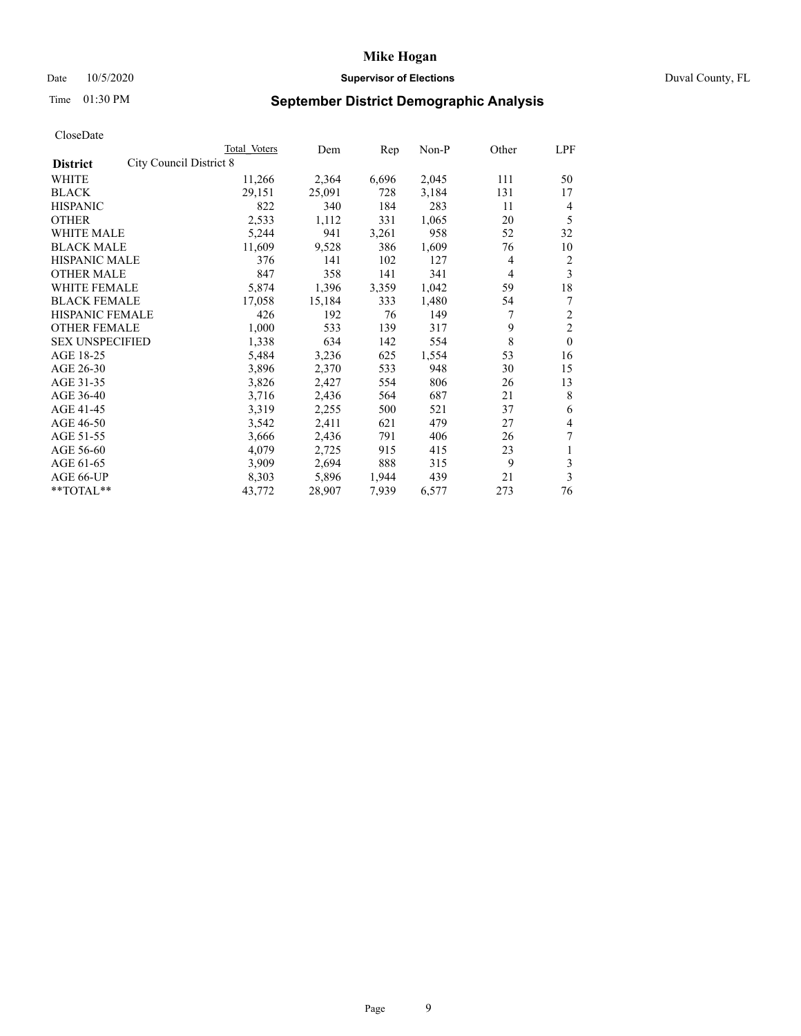# Date 10/5/2020 **Supervisor of Elections Supervisor of Elections** Duval County, FL

# Time 01:30 PM **September District Demographic Analysis**

|                                                   | Total Voters | Dem    | Rep   | Non-P | Other          | LPF            |
|---------------------------------------------------|--------------|--------|-------|-------|----------------|----------------|
| <b>City Council District 8</b><br><b>District</b> |              |        |       |       |                |                |
| WHITE                                             | 11,266       | 2,364  | 6,696 | 2,045 | 111            | 50             |
| <b>BLACK</b>                                      | 29,151       | 25,091 | 728   | 3,184 | 131            | 17             |
| <b>HISPANIC</b>                                   | 822          | 340    | 184   | 283   | 11             | 4              |
| <b>OTHER</b>                                      | 2,533        | 1,112  | 331   | 1,065 | 20             | 5              |
| WHITE MALE                                        | 5,244        | 941    | 3,261 | 958   | 52             | 32             |
| <b>BLACK MALE</b>                                 | 11,609       | 9,528  | 386   | 1,609 | 76             | 10             |
| <b>HISPANIC MALE</b>                              | 376          | 141    | 102   | 127   | 4              | 2              |
| <b>OTHER MALE</b>                                 | 847          | 358    | 141   | 341   | $\overline{4}$ | 3              |
| WHITE FEMALE                                      | 5,874        | 1,396  | 3,359 | 1,042 | 59             | 18             |
| <b>BLACK FEMALE</b>                               | 17,058       | 15,184 | 333   | 1,480 | 54             | 7              |
| <b>HISPANIC FEMALE</b>                            | 426          | 192    | 76    | 149   | 7              | $\overline{c}$ |
| <b>OTHER FEMALE</b>                               | 1,000        | 533    | 139   | 317   | 9              | $\overline{2}$ |
| <b>SEX UNSPECIFIED</b>                            | 1,338        | 634    | 142   | 554   | 8              | $\theta$       |
| AGE 18-25                                         | 5,484        | 3,236  | 625   | 1,554 | 53             | 16             |
| AGE 26-30                                         | 3,896        | 2,370  | 533   | 948   | 30             | 15             |
| AGE 31-35                                         | 3,826        | 2,427  | 554   | 806   | 26             | 13             |
| AGE 36-40                                         | 3,716        | 2,436  | 564   | 687   | 21             | 8              |
| AGE 41-45                                         | 3,319        | 2,255  | 500   | 521   | 37             | 6              |
| AGE 46-50                                         | 3,542        | 2,411  | 621   | 479   | 27             | 4              |
| AGE 51-55                                         | 3,666        | 2,436  | 791   | 406   | 26             | 7              |
| AGE 56-60                                         | 4,079        | 2,725  | 915   | 415   | 23             | 1              |
| AGE 61-65                                         | 3,909        | 2,694  | 888   | 315   | 9              | 3              |
| AGE 66-UP                                         | 8,303        | 5,896  | 1,944 | 439   | 21             | 3              |
| **TOTAL**                                         | 43,772       | 28,907 | 7,939 | 6,577 | 273            | 76             |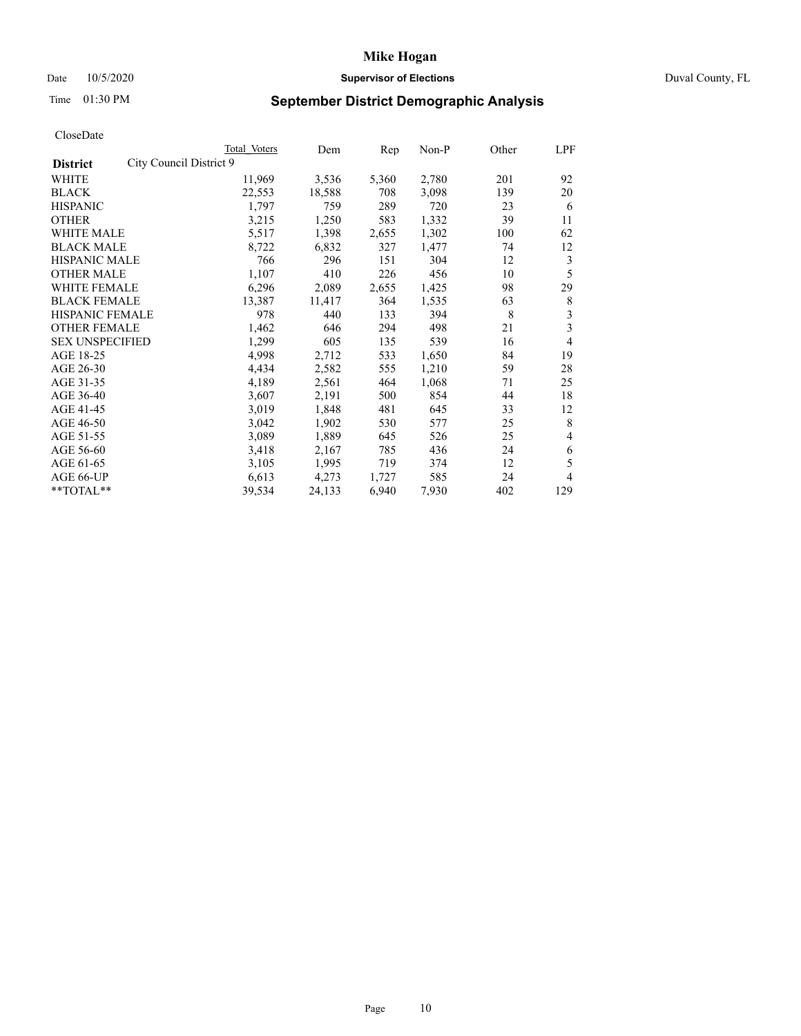# Date 10/5/2020 **Supervisor of Elections Supervisor of Elections** Duval County, FL

# Time 01:30 PM **September District Demographic Analysis**

| Total Voters            | Dem    | Rep   | Non-P | Other | LPF |
|-------------------------|--------|-------|-------|-------|-----|
| City Council District 9 |        |       |       |       |     |
| 11,969                  | 3,536  | 5,360 | 2,780 | 201   | 92  |
| 22,553                  | 18,588 | 708   | 3,098 | 139   | 20  |
| 1,797                   | 759    | 289   | 720   | 23    | 6   |
| 3,215                   | 1,250  | 583   | 1,332 | 39    | 11  |
| 5,517                   | 1,398  | 2,655 | 1,302 | 100   | 62  |
| 8,722                   | 6,832  | 327   | 1,477 | 74    | 12  |
| 766                     | 296    | 151   | 304   | 12    | 3   |
| 1,107                   | 410    | 226   | 456   | 10    | 5   |
| 6,296                   | 2,089  | 2,655 | 1,425 | 98    | 29  |
| 13,387                  | 11,417 | 364   | 1,535 | 63    | 8   |
| 978                     | 440    | 133   | 394   | 8     | 3   |
| 1,462                   | 646    | 294   | 498   | 21    | 3   |
| 1,299                   | 605    | 135   | 539   | 16    | 4   |
| 4,998                   | 2,712  | 533   | 1,650 | 84    | 19  |
| 4,434                   | 2,582  | 555   | 1,210 | 59    | 28  |
| 4,189                   | 2,561  | 464   | 1,068 | 71    | 25  |
| 3,607                   | 2,191  | 500   | 854   | 44    | 18  |
| 3,019                   | 1,848  | 481   | 645   | 33    | 12  |
| 3,042                   | 1,902  | 530   | 577   | 25    | 8   |
| 3,089                   | 1,889  | 645   | 526   | 25    | 4   |
| 3,418                   | 2,167  | 785   | 436   | 24    | 6   |
| 3,105                   | 1,995  | 719   | 374   | 12    | 5   |
| 6,613                   | 4,273  | 1,727 | 585   | 24    | 4   |
| 39,534                  | 24,133 | 6,940 | 7,930 | 402   | 129 |
|                         |        |       |       |       |     |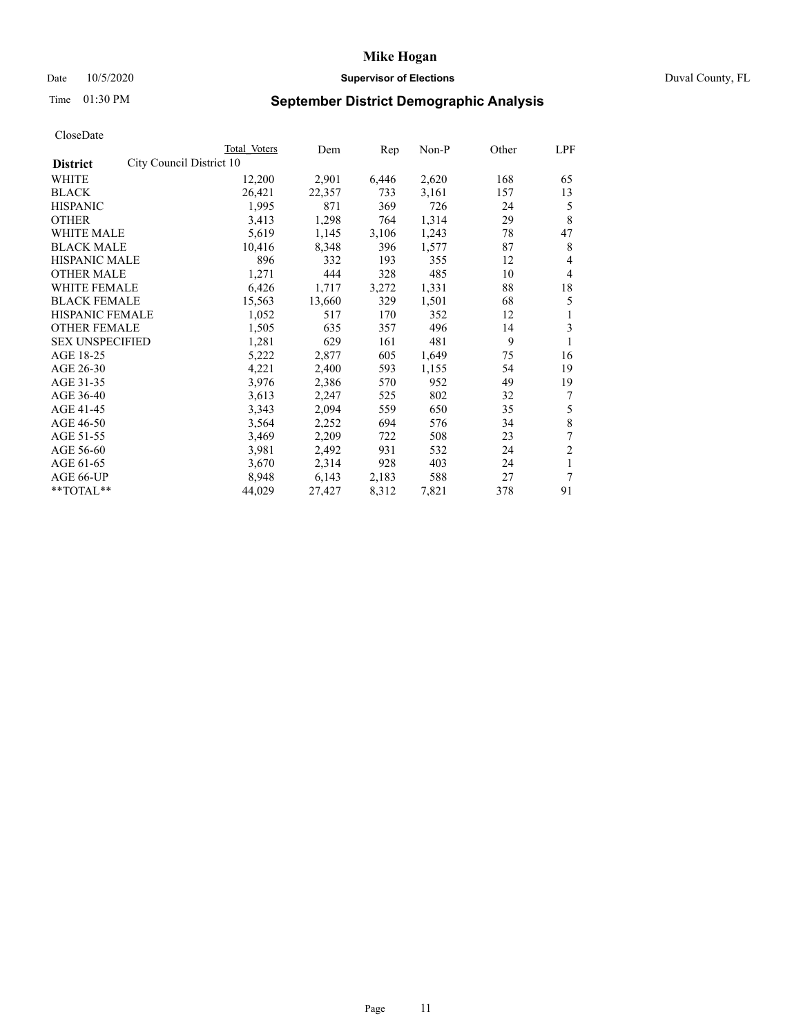# Date 10/5/2020 **Supervisor of Elections Supervisor of Elections** Duval County, FL

# Time 01:30 PM **September District Demographic Analysis**

|                                             | Total Voters | Dem    | Rep   | Non-P | Other | LPF            |
|---------------------------------------------|--------------|--------|-------|-------|-------|----------------|
| City Council District 10<br><b>District</b> |              |        |       |       |       |                |
| WHITE                                       | 12,200       | 2,901  | 6,446 | 2,620 | 168   | 65             |
| <b>BLACK</b>                                | 26,421       | 22,357 | 733   | 3,161 | 157   | 13             |
| <b>HISPANIC</b>                             | 1,995        | 871    | 369   | 726   | 24    | 5              |
| <b>OTHER</b>                                | 3,413        | 1,298  | 764   | 1,314 | 29    | 8              |
| WHITE MALE                                  | 5,619        | 1,145  | 3,106 | 1,243 | 78    | 47             |
| <b>BLACK MALE</b>                           | 10,416       | 8,348  | 396   | 1,577 | 87    | 8              |
| <b>HISPANIC MALE</b>                        | 896          | 332    | 193   | 355   | 12    | 4              |
| <b>OTHER MALE</b>                           | 1,271        | 444    | 328   | 485   | 10    | $\overline{4}$ |
| <b>WHITE FEMALE</b>                         | 6,426        | 1,717  | 3,272 | 1,331 | 88    | 18             |
| <b>BLACK FEMALE</b>                         | 15,563       | 13,660 | 329   | 1,501 | 68    | 5              |
| <b>HISPANIC FEMALE</b>                      | 1,052        | 517    | 170   | 352   | 12    | 1              |
| <b>OTHER FEMALE</b>                         | 1,505        | 635    | 357   | 496   | 14    | 3              |
| <b>SEX UNSPECIFIED</b>                      | 1,281        | 629    | 161   | 481   | 9     | 1              |
| AGE 18-25                                   | 5,222        | 2,877  | 605   | 1,649 | 75    | 16             |
| AGE 26-30                                   | 4,221        | 2,400  | 593   | 1,155 | 54    | 19             |
| AGE 31-35                                   | 3,976        | 2,386  | 570   | 952   | 49    | 19             |
| AGE 36-40                                   | 3,613        | 2,247  | 525   | 802   | 32    | 7              |
| AGE 41-45                                   | 3,343        | 2,094  | 559   | 650   | 35    | 5              |
| AGE 46-50                                   | 3,564        | 2,252  | 694   | 576   | 34    | 8              |
| AGE 51-55                                   | 3,469        | 2,209  | 722   | 508   | 23    | 7              |
| AGE 56-60                                   | 3,981        | 2,492  | 931   | 532   | 24    | $\overline{c}$ |
| AGE 61-65                                   | 3,670        | 2,314  | 928   | 403   | 24    | 1              |
| AGE 66-UP                                   | 8,948        | 6,143  | 2,183 | 588   | 27    | 7              |
| $*$ TOTAL $*$                               | 44,029       | 27,427 | 8,312 | 7,821 | 378   | 91             |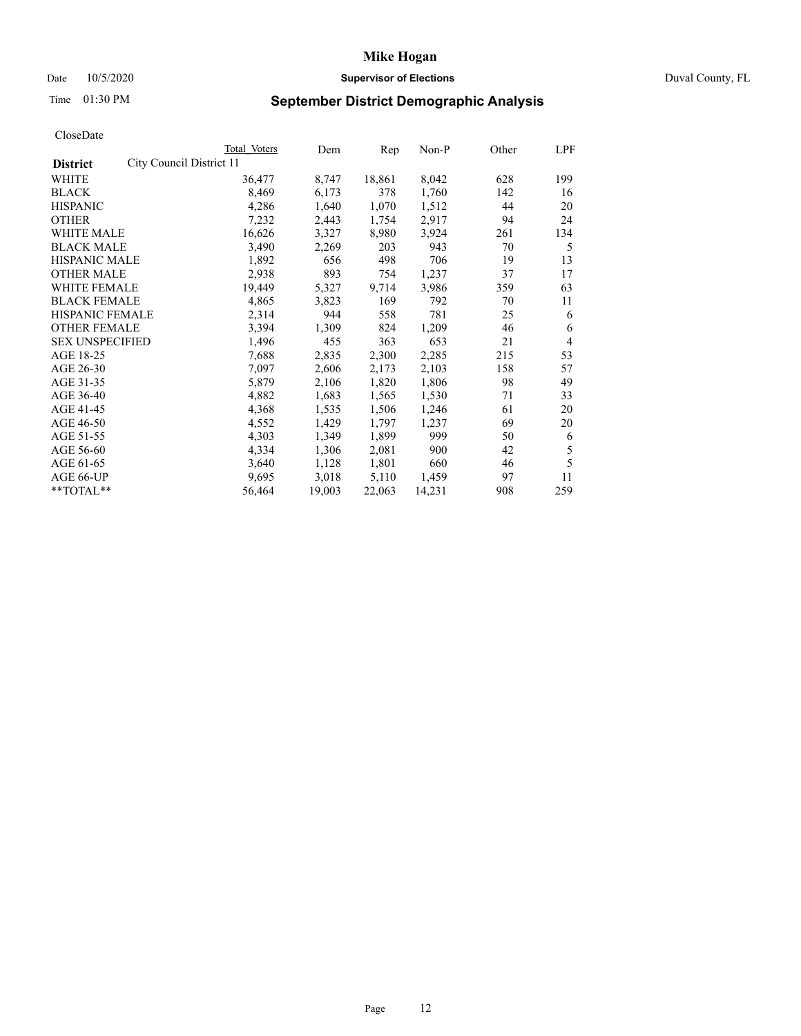# Date 10/5/2020 **Supervisor of Elections Supervisor of Elections** Duval County, FL

# Time 01:30 PM **September District Demographic Analysis**

| Total Voters             | Dem    | Rep    | Non-P  | Other | LPF |
|--------------------------|--------|--------|--------|-------|-----|
| City Council District 11 |        |        |        |       |     |
| 36,477                   | 8,747  | 18,861 | 8,042  | 628   | 199 |
| 8,469                    | 6,173  | 378    | 1,760  | 142   | 16  |
| 4,286                    | 1,640  | 1,070  | 1,512  | 44    | 20  |
| 7,232                    | 2,443  | 1,754  | 2,917  | 94    | 24  |
| 16,626                   | 3,327  | 8,980  | 3,924  | 261   | 134 |
| 3,490                    | 2,269  | 203    | 943    | 70    | 5   |
| 1,892                    | 656    | 498    | 706    | 19    | 13  |
| 2,938                    | 893    | 754    | 1,237  | 37    | 17  |
| 19,449                   | 5,327  | 9,714  | 3,986  | 359   | 63  |
| 4,865                    | 3,823  | 169    | 792    | 70    | 11  |
| 2,314                    | 944    | 558    | 781    | 25    | 6   |
| 3,394                    | 1,309  | 824    | 1,209  | 46    | 6   |
| 1,496                    | 455    | 363    | 653    | 21    | 4   |
| 7,688                    | 2,835  | 2,300  | 2,285  | 215   | 53  |
| 7,097                    | 2,606  | 2,173  | 2,103  | 158   | 57  |
| 5,879                    | 2,106  | 1,820  | 1,806  | 98    | 49  |
| 4,882                    | 1,683  | 1,565  | 1,530  | 71    | 33  |
| 4,368                    | 1,535  | 1,506  | 1,246  | 61    | 20  |
| 4,552                    | 1,429  | 1,797  | 1,237  | 69    | 20  |
| 4,303                    | 1,349  | 1,899  | 999    | 50    | 6   |
| 4,334                    | 1,306  | 2,081  | 900    | 42    | 5   |
| 3,640                    | 1,128  | 1,801  | 660    | 46    | 5   |
| 9,695                    | 3,018  | 5,110  | 1,459  | 97    | 11  |
| 56,464                   | 19,003 | 22,063 | 14,231 | 908   | 259 |
|                          |        |        |        |       |     |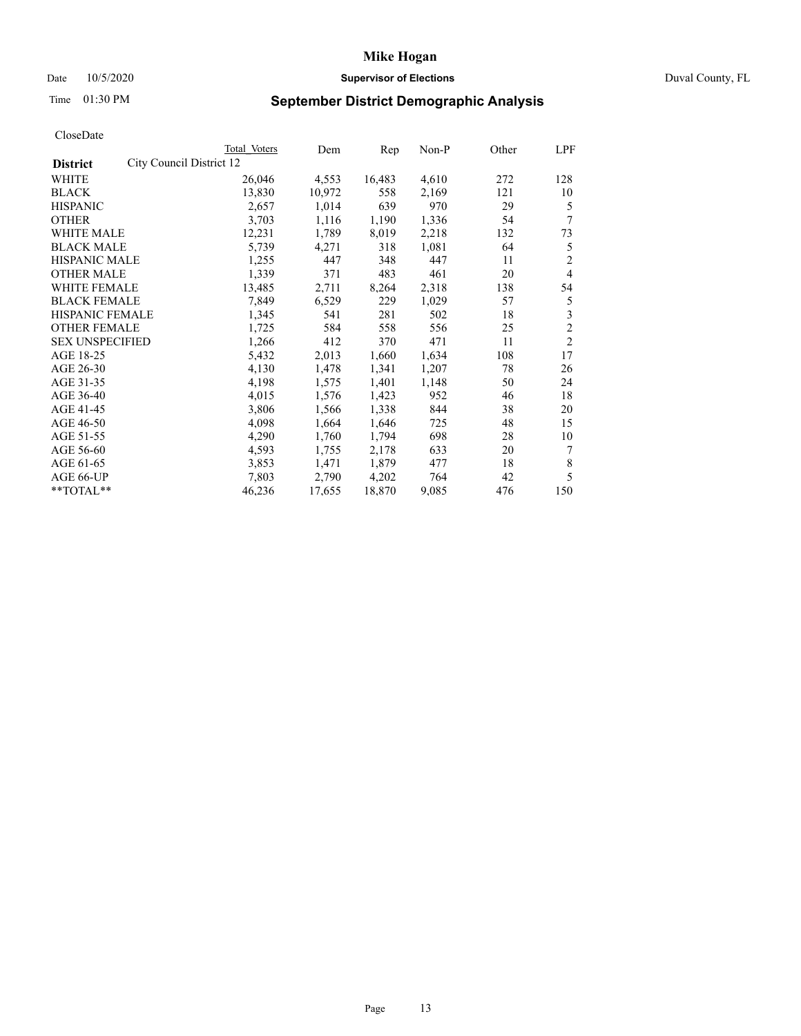# Date 10/5/2020 **Supervisor of Elections Supervisor of Elections** Duval County, FL

# Time 01:30 PM **September District Demographic Analysis**

|                                             | Total Voters | Dem    | Rep    | Non-P | Other | LPF            |
|---------------------------------------------|--------------|--------|--------|-------|-------|----------------|
| City Council District 12<br><b>District</b> |              |        |        |       |       |                |
| WHITE                                       | 26,046       | 4,553  | 16,483 | 4,610 | 272   | 128            |
| <b>BLACK</b>                                | 13,830       | 10,972 | 558    | 2,169 | 121   | 10             |
| <b>HISPANIC</b>                             | 2,657        | 1,014  | 639    | 970   | 29    | 5              |
| <b>OTHER</b>                                | 3,703        | 1,116  | 1,190  | 1,336 | 54    | 7              |
| WHITE MALE                                  | 12,231       | 1,789  | 8,019  | 2,218 | 132   | 73             |
| <b>BLACK MALE</b>                           | 5,739        | 4,271  | 318    | 1,081 | 64    | 5              |
| <b>HISPANIC MALE</b>                        | 1,255        | 447    | 348    | 447   | 11    | 2              |
| <b>OTHER MALE</b>                           | 1,339        | 371    | 483    | 461   | 20    | 4              |
| <b>WHITE FEMALE</b>                         | 13,485       | 2,711  | 8,264  | 2,318 | 138   | 54             |
| <b>BLACK FEMALE</b>                         | 7,849        | 6,529  | 229    | 1,029 | 57    | 5              |
| <b>HISPANIC FEMALE</b>                      | 1,345        | 541    | 281    | 502   | 18    | 3              |
| <b>OTHER FEMALE</b>                         | 1,725        | 584    | 558    | 556   | 25    | $\overline{c}$ |
| <b>SEX UNSPECIFIED</b>                      | 1,266        | 412    | 370    | 471   | 11    | 2              |
| AGE 18-25                                   | 5,432        | 2,013  | 1,660  | 1,634 | 108   | 17             |
| AGE 26-30                                   | 4,130        | 1,478  | 1,341  | 1,207 | 78    | 26             |
| AGE 31-35                                   | 4,198        | 1,575  | 1,401  | 1,148 | 50    | 24             |
| AGE 36-40                                   | 4,015        | 1,576  | 1,423  | 952   | 46    | 18             |
| AGE 41-45                                   | 3,806        | 1,566  | 1,338  | 844   | 38    | 20             |
| AGE 46-50                                   | 4,098        | 1,664  | 1,646  | 725   | 48    | 15             |
| AGE 51-55                                   | 4,290        | 1,760  | 1,794  | 698   | 28    | 10             |
| AGE 56-60                                   | 4,593        | 1,755  | 2,178  | 633   | 20    | 7              |
| AGE 61-65                                   | 3,853        | 1,471  | 1,879  | 477   | 18    | 8              |
| AGE 66-UP                                   | 7,803        | 2,790  | 4,202  | 764   | 42    | 5              |
| $*$ $TOTAL**$                               | 46,236       | 17,655 | 18,870 | 9,085 | 476   | 150            |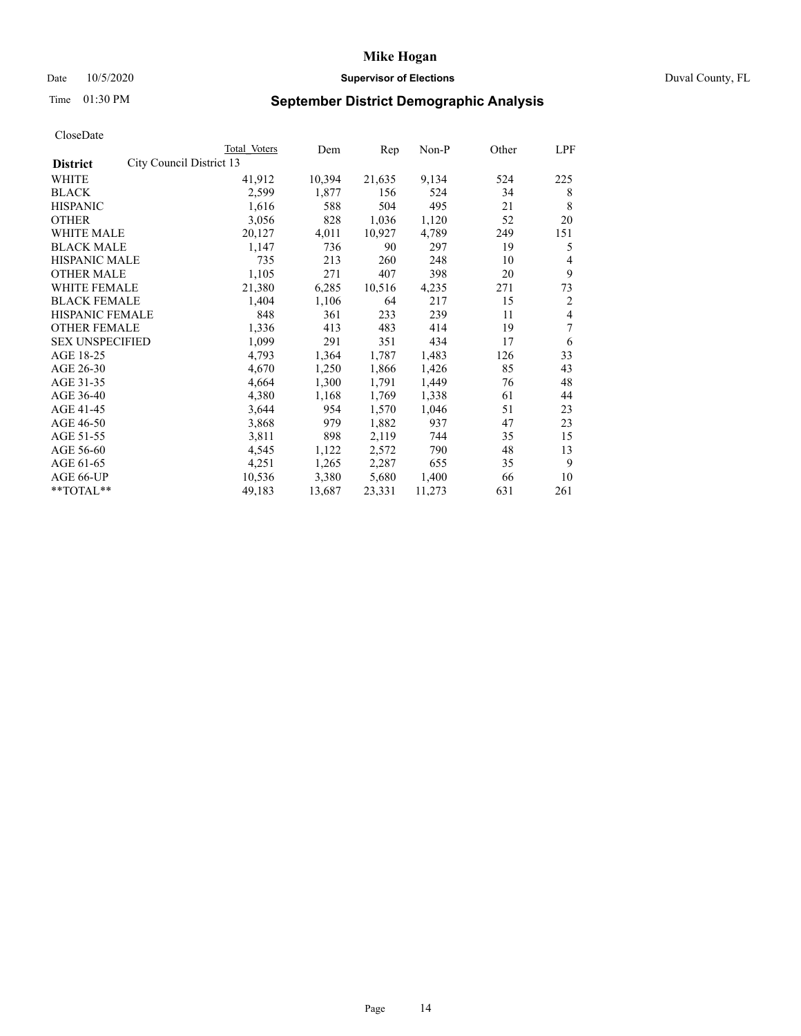# Date 10/5/2020 **Supervisor of Elections Supervisor of Elections** Duval County, FL

# Time 01:30 PM **September District Demographic Analysis**

| Total Voters | Dem                      | Rep    | $Non-P$ | Other | LPF |
|--------------|--------------------------|--------|---------|-------|-----|
|              |                          |        |         |       |     |
| 41,912       | 10,394                   | 21,635 | 9,134   | 524   | 225 |
| 2,599        | 1,877                    | 156    | 524     | 34    | 8   |
| 1,616        | 588                      | 504    | 495     | 21    | 8   |
| 3,056        | 828                      | 1,036  | 1,120   | 52    | 20  |
| 20,127       | 4,011                    | 10,927 | 4,789   | 249   | 151 |
| 1,147        | 736                      | 90     | 297     | 19    | 5   |
| 735          | 213                      | 260    | 248     | 10    | 4   |
| 1,105        | 271                      | 407    | 398     | 20    | 9   |
| 21,380       | 6,285                    | 10,516 | 4,235   | 271   | 73  |
| 1,404        | 1,106                    | 64     | 217     | 15    | 2   |
| 848          | 361                      | 233    | 239     | 11    | 4   |
| 1,336        | 413                      | 483    | 414     | 19    | 7   |
| 1,099        | 291                      | 351    | 434     | 17    | 6   |
| 4,793        | 1,364                    | 1,787  | 1,483   | 126   | 33  |
| 4,670        | 1,250                    | 1,866  | 1,426   | 85    | 43  |
| 4,664        | 1,300                    | 1,791  | 1,449   | 76    | 48  |
| 4,380        | 1,168                    | 1,769  | 1,338   | 61    | 44  |
| 3,644        | 954                      | 1,570  | 1,046   | 51    | 23  |
| 3,868        | 979                      | 1,882  | 937     | 47    | 23  |
| 3,811        | 898                      | 2,119  | 744     | 35    | 15  |
| 4,545        | 1,122                    | 2,572  | 790     | 48    | 13  |
| 4,251        | 1,265                    | 2,287  | 655     | 35    | 9   |
| 10,536       | 3,380                    | 5,680  | 1,400   | 66    | 10  |
| 49,183       | 13,687                   | 23,331 | 11,273  | 631   | 261 |
|              | City Council District 13 |        |         |       |     |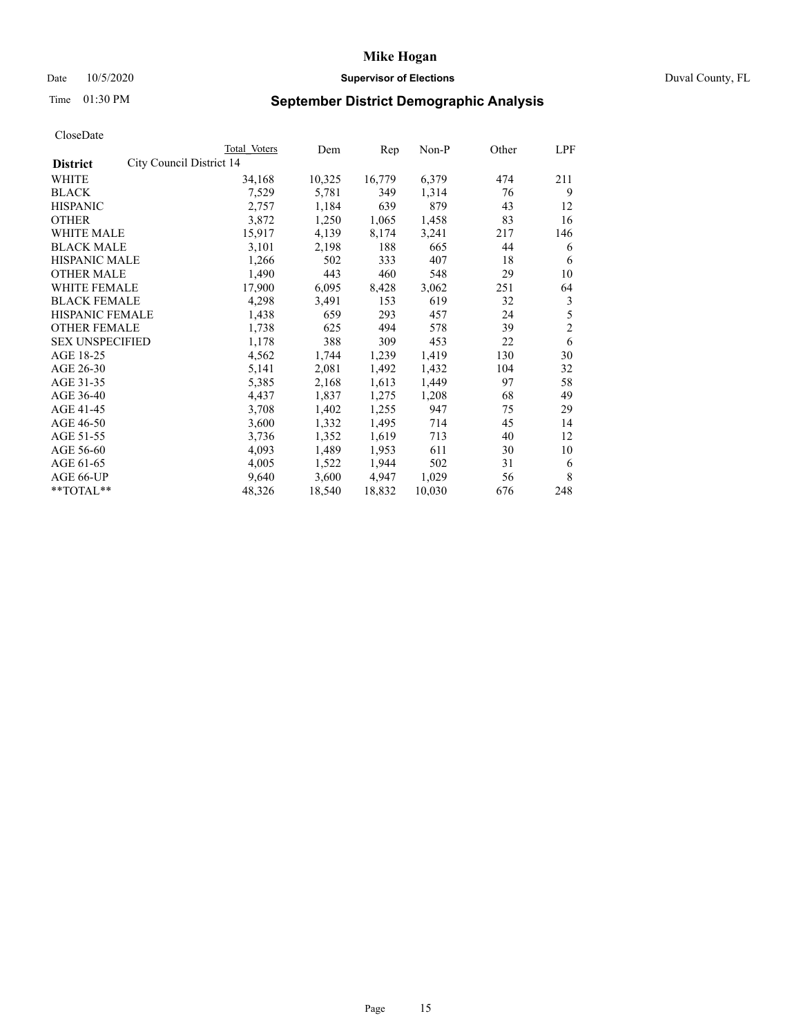# Date 10/5/2020 **Supervisor of Elections Supervisor of Elections** Duval County, FL

# Time 01:30 PM **September District Demographic Analysis**

|                                             | Total Voters | Dem    | Rep    | Non-P  | Other | LPF            |
|---------------------------------------------|--------------|--------|--------|--------|-------|----------------|
| City Council District 14<br><b>District</b> |              |        |        |        |       |                |
| WHITE                                       | 34,168       | 10,325 | 16,779 | 6,379  | 474   | 211            |
| <b>BLACK</b>                                | 7,529        | 5,781  | 349    | 1,314  | 76    | 9              |
| <b>HISPANIC</b>                             | 2,757        | 1,184  | 639    | 879    | 43    | 12             |
| <b>OTHER</b>                                | 3,872        | 1,250  | 1,065  | 1,458  | 83    | 16             |
| WHITE MALE                                  | 15,917       | 4,139  | 8,174  | 3,241  | 217   | 146            |
| <b>BLACK MALE</b>                           | 3,101        | 2,198  | 188    | 665    | 44    | 6              |
| <b>HISPANIC MALE</b>                        | 1,266        | 502    | 333    | 407    | 18    | 6              |
| <b>OTHER MALE</b>                           | 1,490        | 443    | 460    | 548    | 29    | 10             |
| WHITE FEMALE                                | 17,900       | 6,095  | 8,428  | 3,062  | 251   | 64             |
| <b>BLACK FEMALE</b>                         | 4,298        | 3,491  | 153    | 619    | 32    | 3              |
| HISPANIC FEMALE                             | 1,438        | 659    | 293    | 457    | 24    | 5              |
| <b>OTHER FEMALE</b>                         | 1,738        | 625    | 494    | 578    | 39    | $\mathfrak{2}$ |
| <b>SEX UNSPECIFIED</b>                      | 1,178        | 388    | 309    | 453    | 22    | 6              |
| AGE 18-25                                   | 4,562        | 1,744  | 1,239  | 1,419  | 130   | 30             |
| AGE 26-30                                   | 5,141        | 2,081  | 1,492  | 1,432  | 104   | 32             |
| AGE 31-35                                   | 5,385        | 2,168  | 1,613  | 1,449  | 97    | 58             |
| AGE 36-40                                   | 4,437        | 1,837  | 1,275  | 1,208  | 68    | 49             |
| AGE 41-45                                   | 3,708        | 1,402  | 1,255  | 947    | 75    | 29             |
| AGE 46-50                                   | 3,600        | 1,332  | 1,495  | 714    | 45    | 14             |
| AGE 51-55                                   | 3,736        | 1,352  | 1,619  | 713    | 40    | 12             |
| AGE 56-60                                   | 4,093        | 1,489  | 1,953  | 611    | 30    | 10             |
| AGE 61-65                                   | 4,005        | 1,522  | 1,944  | 502    | 31    | 6              |
| AGE 66-UP                                   | 9,640        | 3,600  | 4,947  | 1,029  | 56    | 8              |
| **TOTAL**                                   | 48,326       | 18,540 | 18,832 | 10,030 | 676   | 248            |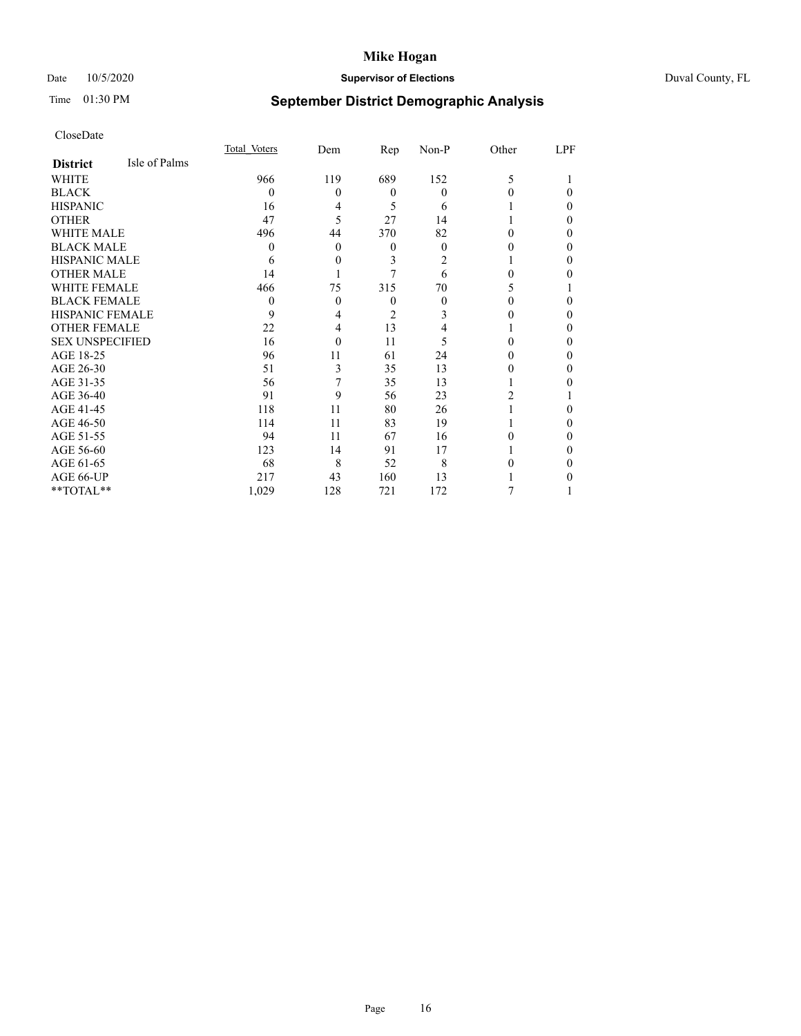# Date 10/5/2020 **Supervisor of Elections** Duval County, FL

# Time 01:30 PM **September District Demographic Analysis**

|                        |               | Total Voters | Dem      | Rep      | $Non-P$ | Other | LPF |
|------------------------|---------------|--------------|----------|----------|---------|-------|-----|
| <b>District</b>        | Isle of Palms |              |          |          |         |       |     |
| WHITE                  |               | 966          | 119      | 689      | 152     | 5     |     |
| <b>BLACK</b>           |               | $\theta$     | $\theta$ | $\theta$ | 0       | 0     | 0   |
| <b>HISPANIC</b>        |               | 16           | 4        | 5        | 6       |       | 0   |
| <b>OTHER</b>           |               | 47           | 5        | 27       | 14      |       | 0   |
| WHITE MALE             |               | 496          | 44       | 370      | 82      |       | 0   |
| <b>BLACK MALE</b>      |               | 0            | $\theta$ | $\theta$ | 0       |       | 0   |
| <b>HISPANIC MALE</b>   |               | 6            | $\theta$ | 3        | 2       |       | 0   |
| <b>OTHER MALE</b>      |               | 14           |          |          | 6       | 0     | 0   |
| <b>WHITE FEMALE</b>    |               | 466          | 75       | 315      | 70      |       |     |
| <b>BLACK FEMALE</b>    |               | $\theta$     | $\theta$ | $\theta$ | 0       | 0     | 0   |
| <b>HISPANIC FEMALE</b> |               | 9            | 4        | 2        | 3       |       | 0   |
| <b>OTHER FEMALE</b>    |               | 22           | 4        | 13       | 4       |       | 0   |
| <b>SEX UNSPECIFIED</b> |               | 16           | $\Omega$ | 11       | 5       | 0     | 0   |
| AGE 18-25              |               | 96           | 11       | 61       | 24      |       | 0   |
| AGE 26-30              |               | 51           | 3        | 35       | 13      |       | 0   |
| AGE 31-35              |               | 56           | 7        | 35       | 13      |       |     |
| AGE 36-40              |               | 91           | 9        | 56       | 23      | 2     |     |
| AGE 41-45              |               | 118          | 11       | 80       | 26      |       | 0   |
| AGE 46-50              |               | 114          | 11       | 83       | 19      |       | 0   |
| AGE 51-55              |               | 94           | 11       | 67       | 16      | 0     | 0   |
| AGE 56-60              |               | 123          | 14       | 91       | 17      |       | 0   |
| AGE 61-65              |               | 68           | 8        | 52       | 8       |       | 0   |
| AGE 66-UP              |               | 217          | 43       | 160      | 13      |       |     |
| **TOTAL**              |               | 1,029        | 128      | 721      | 172     |       |     |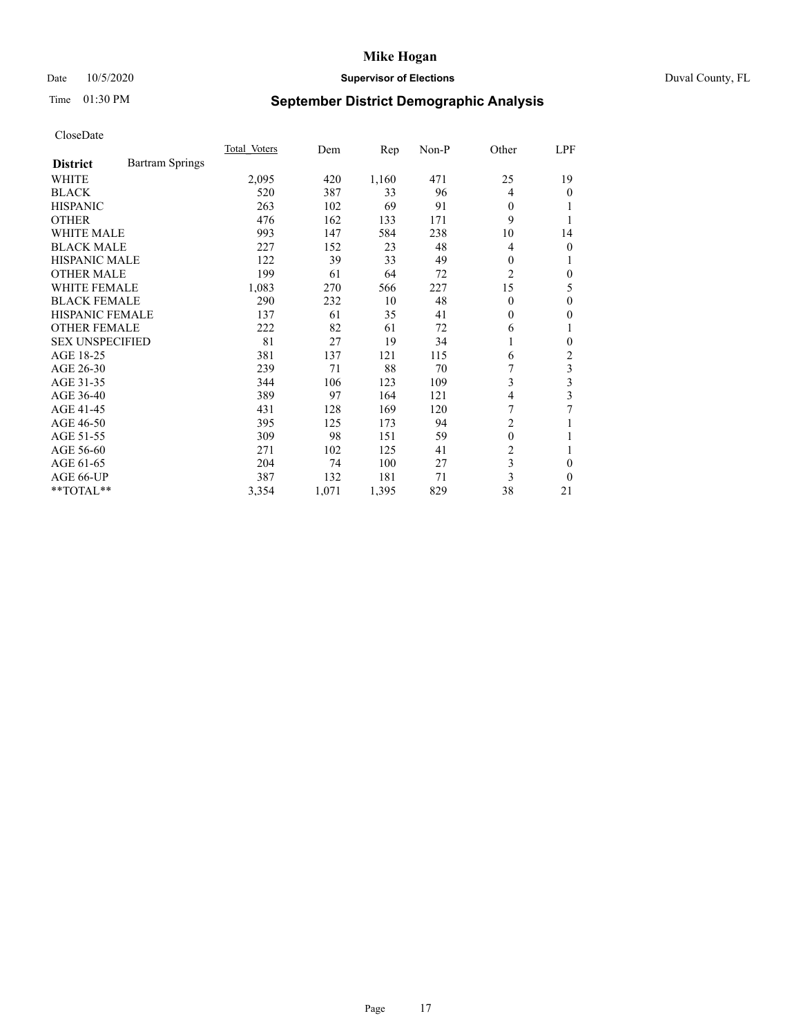# Date 10/5/2020 **Supervisor of Elections Supervisor of Elections** Duval County, FL

# Time 01:30 PM **September District Demographic Analysis**

|                        |                        | Total Voters | Dem   | Rep   | $Non-P$ | Other          | LPF |
|------------------------|------------------------|--------------|-------|-------|---------|----------------|-----|
| <b>District</b>        | <b>Bartram Springs</b> |              |       |       |         |                |     |
| WHITE                  |                        | 2,095        | 420   | 1,160 | 471     | 25             | 19  |
| <b>BLACK</b>           |                        | 520          | 387   | 33    | 96      | $\overline{4}$ | 0   |
| <b>HISPANIC</b>        |                        | 263          | 102   | 69    | 91      | $\theta$       |     |
| <b>OTHER</b>           |                        | 476          | 162   | 133   | 171     | 9              |     |
| <b>WHITE MALE</b>      |                        | 993          | 147   | 584   | 238     | 10             | 14  |
| <b>BLACK MALE</b>      |                        | 227          | 152   | 23    | 48      | 4              | 0   |
| <b>HISPANIC MALE</b>   |                        | 122          | 39    | 33    | 49      | 0              |     |
| <b>OTHER MALE</b>      |                        | 199          | 61    | 64    | 72      | 2              | 0   |
| <b>WHITE FEMALE</b>    |                        | 1,083        | 270   | 566   | 227     | 15             | 5   |
| <b>BLACK FEMALE</b>    |                        | 290          | 232   | 10    | 48      | $\theta$       | 0   |
| <b>HISPANIC FEMALE</b> |                        | 137          | 61    | 35    | 41      | $\Omega$       | 0   |
| <b>OTHER FEMALE</b>    |                        | 222          | 82    | 61    | 72      | 6              | 1   |
| <b>SEX UNSPECIFIED</b> |                        | 81           | 27    | 19    | 34      | 1              | 0   |
| AGE 18-25              |                        | 381          | 137   | 121   | 115     | 6              | 2   |
| AGE 26-30              |                        | 239          | 71    | 88    | 70      |                | 3   |
| AGE 31-35              |                        | 344          | 106   | 123   | 109     | 3              | 3   |
| AGE 36-40              |                        | 389          | 97    | 164   | 121     | 4              | 3   |
| AGE 41-45              |                        | 431          | 128   | 169   | 120     | 7              | 7   |
| AGE 46-50              |                        | 395          | 125   | 173   | 94      | 2              |     |
| AGE 51-55              |                        | 309          | 98    | 151   | 59      | $\mathbf{0}$   |     |
| AGE 56-60              |                        | 271          | 102   | 125   | 41      | $\overline{c}$ | 1   |
| AGE 61-65              |                        | 204          | 74    | 100   | 27      | 3              | 0   |
| AGE 66-UP              |                        | 387          | 132   | 181   | 71      | 3              | 0   |
| **TOTAL**              |                        | 3,354        | 1,071 | 1,395 | 829     | 38             | 21  |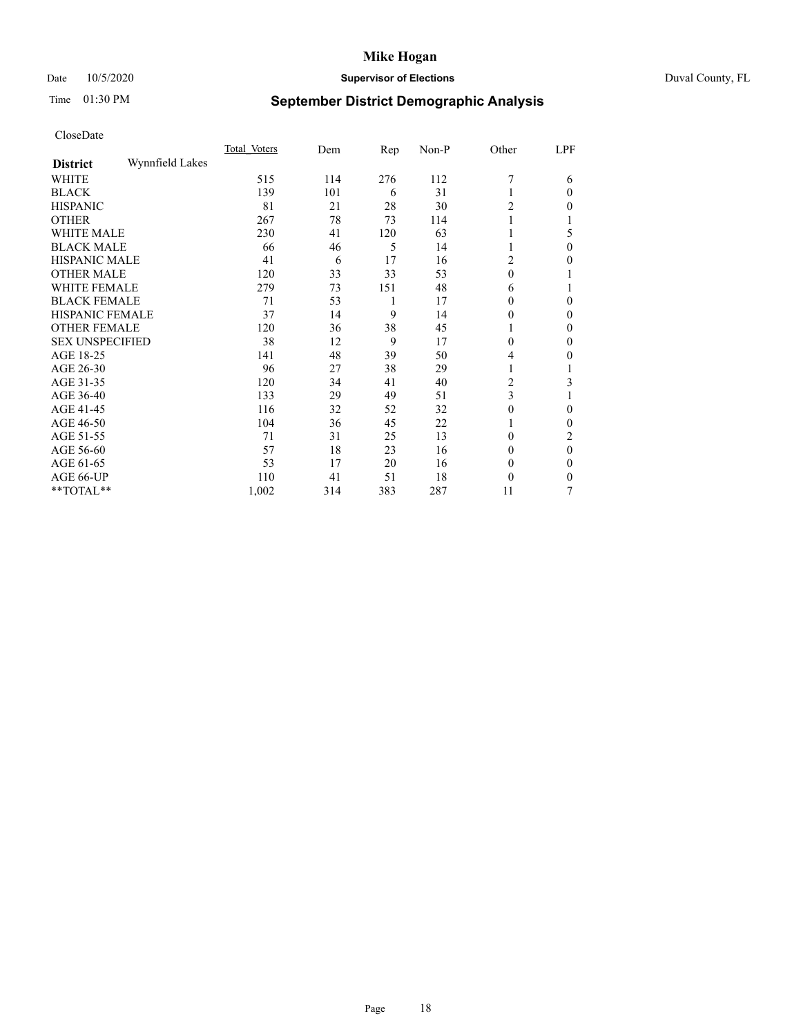# Date 10/5/2020 **Supervisor of Elections** Duval County, FL

# Time 01:30 PM **September District Demographic Analysis**

|                        |                 | Total Voters | Dem | Rep | Non-P | Other    | LPF      |
|------------------------|-----------------|--------------|-----|-----|-------|----------|----------|
| <b>District</b>        | Wynnfield Lakes |              |     |     |       |          |          |
| WHITE                  |                 | 515          | 114 | 276 | 112   | 7        | 6        |
| <b>BLACK</b>           |                 | 139          | 101 | 6   | 31    |          | 0        |
| <b>HISPANIC</b>        |                 | 81           | 21  | 28  | 30    | 2        | 0        |
| <b>OTHER</b>           |                 | 267          | 78  | 73  | 114   | 1        |          |
| <b>WHITE MALE</b>      |                 | 230          | 41  | 120 | 63    |          | 5        |
| <b>BLACK MALE</b>      |                 | 66           | 46  | 5   | 14    | 1        | 0        |
| <b>HISPANIC MALE</b>   |                 | 41           | 6   | 17  | 16    | 2        | 0        |
| <b>OTHER MALE</b>      |                 | 120          | 33  | 33  | 53    | $\theta$ | 1        |
| <b>WHITE FEMALE</b>    |                 | 279          | 73  | 151 | 48    | 6        |          |
| <b>BLACK FEMALE</b>    |                 | 71           | 53  | 1   | 17    | 0        | 0        |
| <b>HISPANIC FEMALE</b> |                 | 37           | 14  | 9   | 14    | 0        | 0        |
| <b>OTHER FEMALE</b>    |                 | 120          | 36  | 38  | 45    | 1        | 0        |
| <b>SEX UNSPECIFIED</b> |                 | 38           | 12  | 9   | 17    | $\theta$ | 0        |
| AGE 18-25              |                 | 141          | 48  | 39  | 50    | 4        | 0        |
| AGE 26-30              |                 | 96           | 27  | 38  | 29    | 1        |          |
| AGE 31-35              |                 | 120          | 34  | 41  | 40    | 2        | 3        |
| AGE 36-40              |                 | 133          | 29  | 49  | 51    | 3        |          |
| AGE 41-45              |                 | 116          | 32  | 52  | 32    | 0        | 0        |
| AGE 46-50              |                 | 104          | 36  | 45  | 22    | 1        | 0        |
| AGE 51-55              |                 | 71           | 31  | 25  | 13    | $\Omega$ | 2        |
| AGE 56-60              |                 | 57           | 18  | 23  | 16    | $\theta$ | $\theta$ |
| AGE 61-65              |                 | 53           | 17  | 20  | 16    | $\bf{0}$ | 0        |
| AGE 66-UP              |                 | 110          | 41  | 51  | 18    | $\theta$ | 0        |
| **TOTAL**              |                 | 1,002        | 314 | 383 | 287   | 11       | 7        |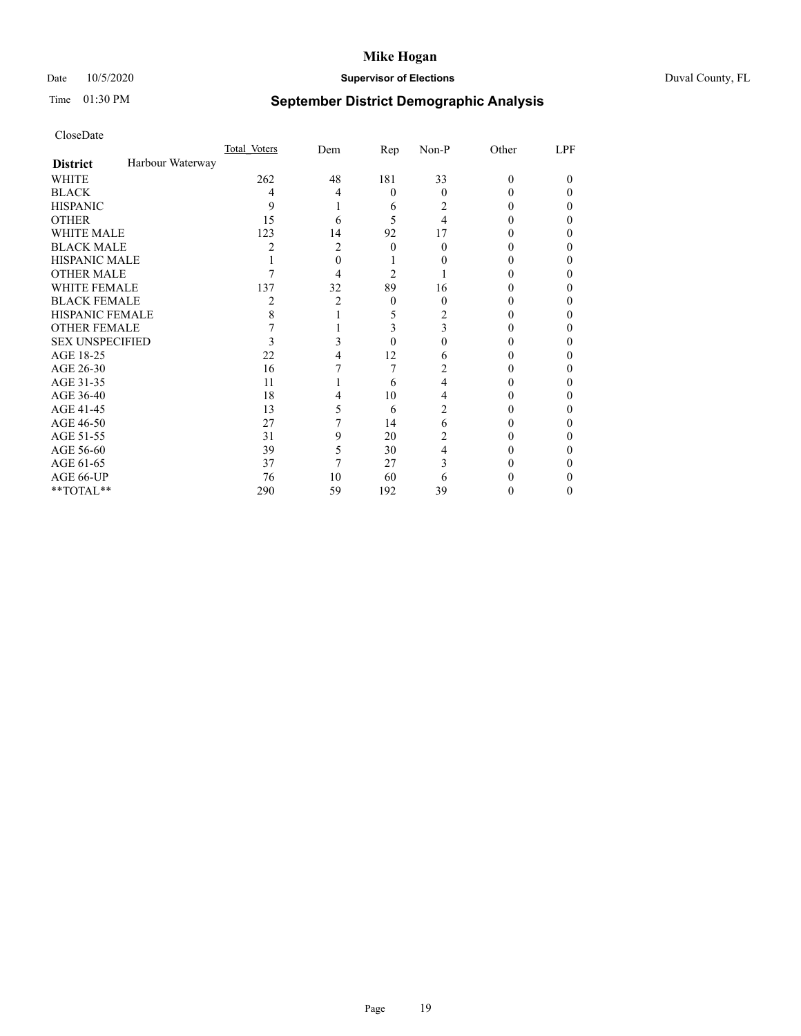# Date 10/5/2020 **Supervisor of Elections** Duval County, FL

# Time 01:30 PM **September District Demographic Analysis**

|                        |                  | Total Voters | Dem | Rep      | Non-P    | Other    | LPF    |
|------------------------|------------------|--------------|-----|----------|----------|----------|--------|
| <b>District</b>        | Harbour Waterway |              |     |          |          |          |        |
| WHITE                  |                  | 262          | 48  | 181      | 33       | $\Omega$ | $_{0}$ |
| <b>BLACK</b>           |                  | 4            | 4   | $\theta$ | $\theta$ | 0        | 0      |
| <b>HISPANIC</b>        |                  | 9            |     | 6        | 2        | 0        | 0      |
| <b>OTHER</b>           |                  | 15           | 6   | 5        | 4        |          | 0      |
| WHITE MALE             |                  | 123          | 14  | 92       | 17       |          | 0      |
| <b>BLACK MALE</b>      |                  | 2            | 2   | $\Omega$ | 0        |          | 0      |
| <b>HISPANIC MALE</b>   |                  |              | 0   |          |          |          | 0      |
| <b>OTHER MALE</b>      |                  |              | 4   | 2        |          |          | 0      |
| WHITE FEMALE           |                  | 137          | 32  | 89       | 16       |          | 0      |
| <b>BLACK FEMALE</b>    |                  | 2            | 2   | $\theta$ | $\theta$ | 0        | 0      |
| <b>HISPANIC FEMALE</b> |                  | 8            |     | 5        | 2        |          | 0      |
| <b>OTHER FEMALE</b>    |                  |              |     | 3        | 3        | 0        | 0      |
| <b>SEX UNSPECIFIED</b> |                  | 3            | 3   | $\Omega$ | 0        |          | 0      |
| AGE 18-25              |                  | 22           |     | 12       | 6        |          | 0      |
| AGE 26-30              |                  | 16           |     | 7        | 2        |          | 0      |
| AGE 31-35              |                  | 11           |     | 6        | 4        |          | 0      |
| AGE 36-40              |                  | 18           | 4   | 10       | 4        |          | 0      |
| AGE 41-45              |                  | 13           | 5   | 6        | 2        |          |        |
| AGE 46-50              |                  | 27           | 7   | 14       | 6        | 0        | 0      |
| AGE 51-55              |                  | 31           | 9   | 20       | 2        |          | 0      |
| AGE 56-60              |                  | 39           | 5   | 30       | 4        |          | 0      |
| AGE 61-65              |                  | 37           | 7   | 27       | 3        |          | 0      |
| AGE 66-UP              |                  | 76           | 10  | 60       | 6        |          | 0      |
| **TOTAL**              |                  | 290          | 59  | 192      | 39       | 0        | 0      |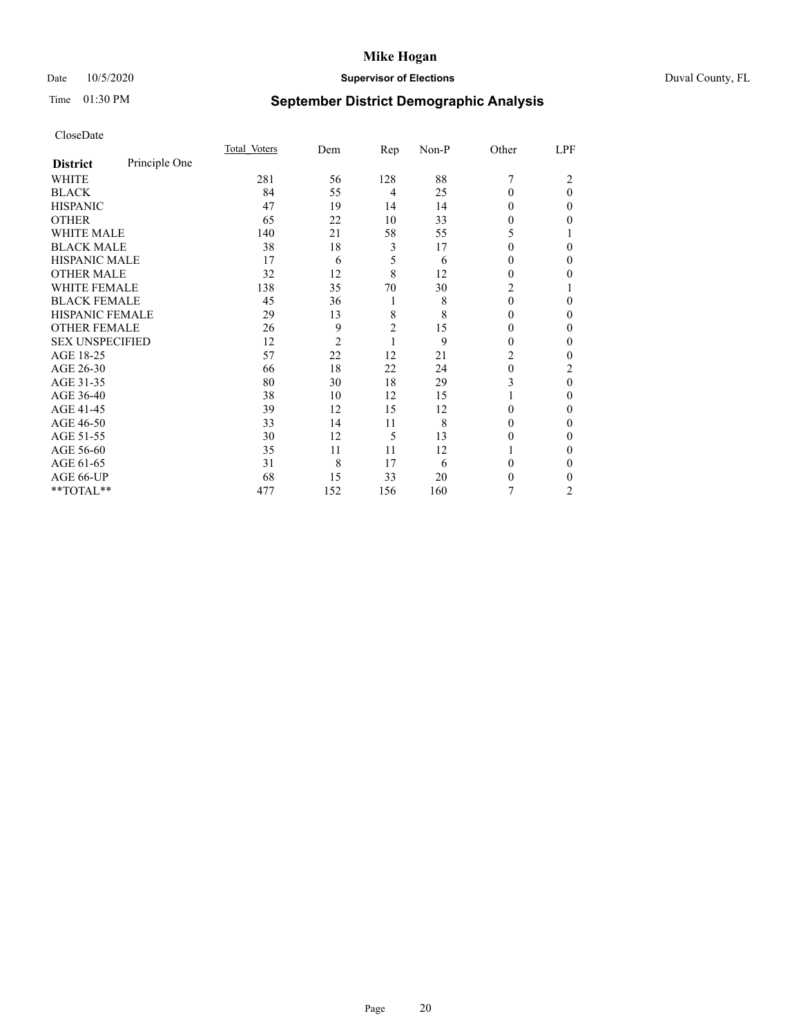# Date 10/5/2020 **Supervisor of Elections** Duval County, FL

# Time 01:30 PM **September District Demographic Analysis**

|                        |               | Total Voters | Dem            | Rep            | Non-P | Other    | LPF            |
|------------------------|---------------|--------------|----------------|----------------|-------|----------|----------------|
| <b>District</b>        | Principle One |              |                |                |       |          |                |
| WHITE                  |               | 281          | 56             | 128            | 88    | 7        | 2              |
| <b>BLACK</b>           |               | 84           | 55             | 4              | 25    | $\Omega$ | $\theta$       |
| <b>HISPANIC</b>        |               | 47           | 19             | 14             | 14    | $\Omega$ | 0              |
| <b>OTHER</b>           |               | 65           | 22             | 10             | 33    | 0        | 0              |
| WHITE MALE             |               | 140          | 21             | 58             | 55    | 5        |                |
| <b>BLACK MALE</b>      |               | 38           | 18             | 3              | 17    | 0        | 0              |
| <b>HISPANIC MALE</b>   |               | 17           | 6              | 5              | 6     | 0        | 0              |
| <b>OTHER MALE</b>      |               | 32           | 12             | 8              | 12    | 0        | 0              |
| WHITE FEMALE           |               | 138          | 35             | 70             | 30    | 2        |                |
| <b>BLACK FEMALE</b>    |               | 45           | 36             | 1              | 8     | $\theta$ | 0              |
| <b>HISPANIC FEMALE</b> |               | 29           | 13             | 8              | 8     | 0        | 0              |
| <b>OTHER FEMALE</b>    |               | 26           | 9              | $\overline{2}$ | 15    | 0        | 0              |
| <b>SEX UNSPECIFIED</b> |               | 12           | $\overline{c}$ | 1              | 9     | 0        | 0              |
| AGE 18-25              |               | 57           | 22             | 12             | 21    | 2        | 0              |
| AGE 26-30              |               | 66           | 18             | 22             | 24    | $\theta$ | 2              |
| AGE 31-35              |               | 80           | 30             | 18             | 29    | 3        | 0              |
| AGE 36-40              |               | 38           | 10             | 12             | 15    |          | 0              |
| AGE 41-45              |               | 39           | 12             | 15             | 12    | 0        | 0              |
| AGE 46-50              |               | 33           | 14             | 11             | 8     | $\Omega$ | 0              |
| AGE 51-55              |               | 30           | 12             | 5              | 13    | $_{0}$   | 0              |
| AGE 56-60              |               | 35           | 11             | 11             | 12    |          | 0              |
| AGE 61-65              |               | 31           | 8              | 17             | 6     | 0        | 0              |
| AGE 66-UP              |               | 68           | 15             | 33             | 20    | 0        | 0              |
| **TOTAL**              |               | 477          | 152            | 156            | 160   | 7        | $\overline{2}$ |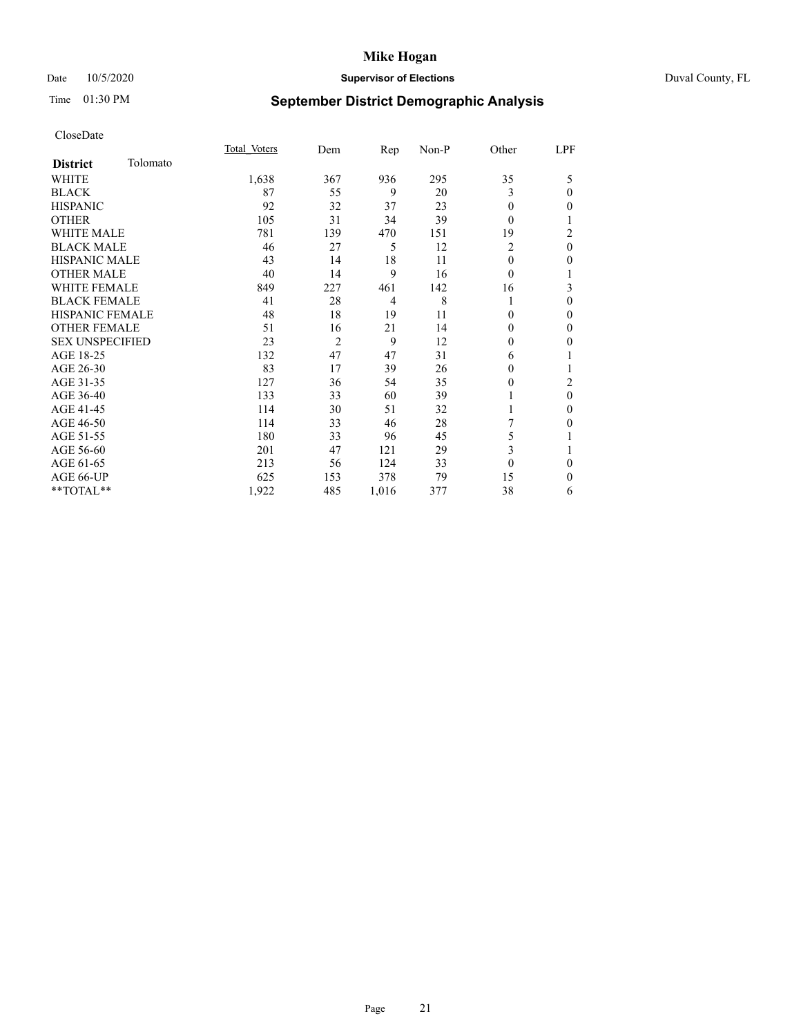# Date 10/5/2020 **Supervisor of Elections Supervisor of Elections** Duval County, FL

# Time 01:30 PM **September District Demographic Analysis**

|                        |          | Total Voters | Dem            | Rep            | Non-P | Other    | LPF      |
|------------------------|----------|--------------|----------------|----------------|-------|----------|----------|
| <b>District</b>        | Tolomato |              |                |                |       |          |          |
| WHITE                  |          | 1,638        | 367            | 936            | 295   | 35       | 5        |
| <b>BLACK</b>           |          | 87           | 55             | 9              | 20    | 3        | 0        |
| <b>HISPANIC</b>        |          | 92           | 32             | 37             | 23    | $\Omega$ | 0        |
| <b>OTHER</b>           |          | 105          | 31             | 34             | 39    | $\Omega$ |          |
| <b>WHITE MALE</b>      |          | 781          | 139            | 470            | 151   | 19       | 2        |
| <b>BLACK MALE</b>      |          | 46           | 27             | 5              | 12    | 2        | $\theta$ |
| <b>HISPANIC MALE</b>   |          | 43           | 14             | 18             | 11    | $\Omega$ | 0        |
| <b>OTHER MALE</b>      |          | 40           | 14             | 9              | 16    | $\Omega$ | 1        |
| <b>WHITE FEMALE</b>    |          | 849          | 227            | 461            | 142   | 16       | 3        |
| <b>BLACK FEMALE</b>    |          | 41           | 28             | $\overline{4}$ | 8     | 1        | 0        |
| <b>HISPANIC FEMALE</b> |          | 48           | 18             | 19             | 11    | $\Omega$ | 0        |
| <b>OTHER FEMALE</b>    |          | 51           | 16             | 21             | 14    | $\Omega$ | 0        |
| <b>SEX UNSPECIFIED</b> |          | 23           | $\overline{2}$ | 9              | 12    | $\Omega$ | 0        |
| AGE 18-25              |          | 132          | 47             | 47             | 31    | 6        |          |
| AGE 26-30              |          | 83           | 17             | 39             | 26    | $\theta$ |          |
| AGE 31-35              |          | 127          | 36             | 54             | 35    | 0        | 2        |
| AGE 36-40              |          | 133          | 33             | 60             | 39    | 1        | $\theta$ |
| AGE 41-45              |          | 114          | 30             | 51             | 32    |          | 0        |
| AGE 46-50              |          | 114          | 33             | 46             | 28    |          | 0        |
| AGE 51-55              |          | 180          | 33             | 96             | 45    | 5        |          |
| AGE 56-60              |          | 201          | 47             | 121            | 29    | 3        |          |
| AGE 61-65              |          | 213          | 56             | 124            | 33    | $\theta$ | 0        |
| AGE 66-UP              |          | 625          | 153            | 378            | 79    | 15       | 0        |
| **TOTAL**              |          | 1,922        | 485            | 1,016          | 377   | 38       | 6        |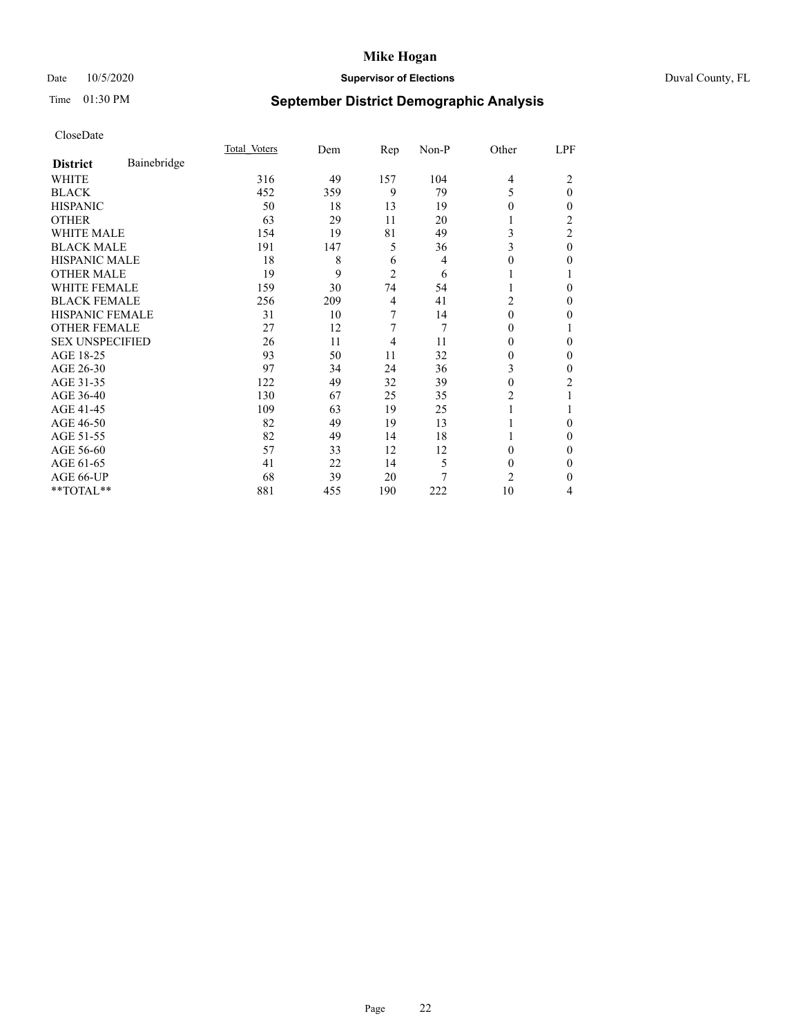# Date 10/5/2020 **Supervisor of Elections** Duval County, FL

# Time 01:30 PM **September District Demographic Analysis**

|                        |             | Total Voters | Dem | Rep            | Non-P | Other          | LPF            |
|------------------------|-------------|--------------|-----|----------------|-------|----------------|----------------|
| <b>District</b>        | Bainebridge |              |     |                |       |                |                |
| WHITE                  |             | 316          | 49  | 157            | 104   | $\overline{4}$ | 2              |
| <b>BLACK</b>           |             | 452          | 359 | 9              | 79    | 5              | $\theta$       |
| <b>HISPANIC</b>        |             | 50           | 18  | 13             | 19    | 0              | 0              |
| <b>OTHER</b>           |             | 63           | 29  | 11             | 20    |                | $\overline{2}$ |
| WHITE MALE             |             | 154          | 19  | 81             | 49    | 3              | $\overline{2}$ |
| <b>BLACK MALE</b>      |             | 191          | 147 | 5              | 36    | 3              | $\theta$       |
| <b>HISPANIC MALE</b>   |             | 18           | 8   | 6              | 4     | 0              | 0              |
| <b>OTHER MALE</b>      |             | 19           | 9   | $\overline{2}$ | 6     | 1              |                |
| <b>WHITE FEMALE</b>    |             | 159          | 30  | 74             | 54    |                | 0              |
| <b>BLACK FEMALE</b>    |             | 256          | 209 | $\overline{4}$ | 41    | 2              | 0              |
| <b>HISPANIC FEMALE</b> |             | 31           | 10  | 7              | 14    | $\Omega$       | 0              |
| <b>OTHER FEMALE</b>    |             | 27           | 12  | 7              | 7     | 0              |                |
| <b>SEX UNSPECIFIED</b> |             | 26           | 11  | 4              | 11    | $\Omega$       | 0              |
| AGE 18-25              |             | 93           | 50  | 11             | 32    | 0              | 0              |
| AGE 26-30              |             | 97           | 34  | 24             | 36    | 3              | 0              |
| AGE 31-35              |             | 122          | 49  | 32             | 39    | 0              | 2              |
| AGE 36-40              |             | 130          | 67  | 25             | 35    | 2              |                |
| AGE 41-45              |             | 109          | 63  | 19             | 25    |                |                |
| AGE 46-50              |             | 82           | 49  | 19             | 13    |                | $\Omega$       |
| AGE 51-55              |             | 82           | 49  | 14             | 18    |                | 0              |
| AGE 56-60              |             | 57           | 33  | 12             | 12    | 0              | 0              |
| AGE 61-65              |             | 41           | 22  | 14             | 5     | $\Omega$       | 0              |
| AGE 66-UP              |             | 68           | 39  | 20             | 7     | 2              | 0              |
| **TOTAL**              |             | 881          | 455 | 190            | 222   | 10             | 4              |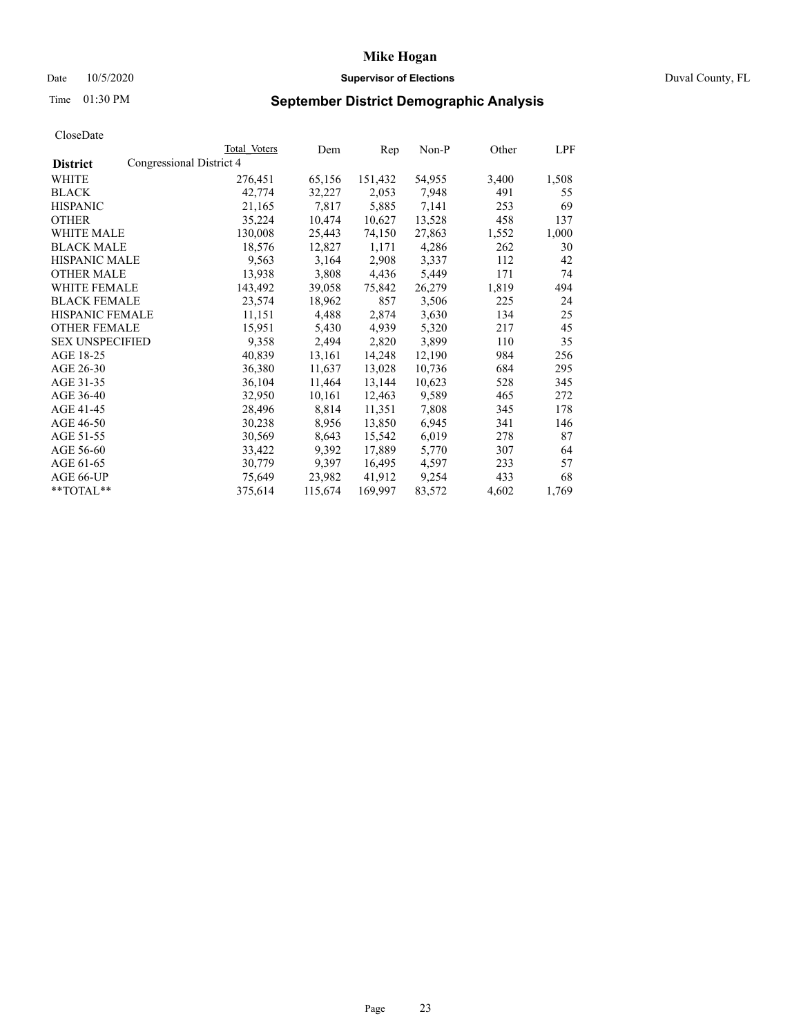# Date 10/5/2020 **Supervisor of Elections Supervisor of Elections** Duval County, FL

# Time 01:30 PM **September District Demographic Analysis**

|                        |                          | Total Voters | Dem     | Rep     | Non-P  | Other | LPF   |
|------------------------|--------------------------|--------------|---------|---------|--------|-------|-------|
| <b>District</b>        | Congressional District 4 |              |         |         |        |       |       |
| WHITE                  |                          | 276,451      | 65,156  | 151,432 | 54,955 | 3,400 | 1,508 |
| <b>BLACK</b>           |                          | 42,774       | 32,227  | 2,053   | 7,948  | 491   | 55    |
| <b>HISPANIC</b>        |                          | 21,165       | 7,817   | 5,885   | 7,141  | 253   | 69    |
| <b>OTHER</b>           |                          | 35,224       | 10,474  | 10,627  | 13,528 | 458   | 137   |
| <b>WHITE MALE</b>      |                          | 130,008      | 25,443  | 74,150  | 27,863 | 1,552 | 1,000 |
| <b>BLACK MALE</b>      |                          | 18,576       | 12,827  | 1,171   | 4,286  | 262   | 30    |
| <b>HISPANIC MALE</b>   |                          | 9,563        | 3,164   | 2,908   | 3,337  | 112   | 42    |
| <b>OTHER MALE</b>      |                          | 13,938       | 3,808   | 4,436   | 5,449  | 171   | 74    |
| WHITE FEMALE           |                          | 143,492      | 39,058  | 75,842  | 26,279 | 1,819 | 494   |
| <b>BLACK FEMALE</b>    |                          | 23,574       | 18,962  | 857     | 3,506  | 225   | 24    |
| <b>HISPANIC FEMALE</b> |                          | 11,151       | 4,488   | 2,874   | 3,630  | 134   | 25    |
| <b>OTHER FEMALE</b>    |                          | 15,951       | 5,430   | 4,939   | 5,320  | 217   | 45    |
| <b>SEX UNSPECIFIED</b> |                          | 9,358        | 2,494   | 2,820   | 3,899  | 110   | 35    |
| AGE 18-25              |                          | 40,839       | 13,161  | 14,248  | 12,190 | 984   | 256   |
| AGE 26-30              |                          | 36,380       | 11,637  | 13,028  | 10,736 | 684   | 295   |
| AGE 31-35              |                          | 36,104       | 11,464  | 13,144  | 10,623 | 528   | 345   |
| AGE 36-40              |                          | 32,950       | 10,161  | 12,463  | 9,589  | 465   | 272   |
| AGE 41-45              |                          | 28,496       | 8,814   | 11,351  | 7,808  | 345   | 178   |
| AGE 46-50              |                          | 30,238       | 8,956   | 13,850  | 6,945  | 341   | 146   |
| AGE 51-55              |                          | 30,569       | 8,643   | 15,542  | 6,019  | 278   | 87    |
| AGE 56-60              |                          | 33,422       | 9,392   | 17,889  | 5,770  | 307   | 64    |
| AGE 61-65              |                          | 30,779       | 9,397   | 16,495  | 4,597  | 233   | 57    |
| AGE 66-UP              |                          | 75,649       | 23,982  | 41,912  | 9,254  | 433   | 68    |
| $*$ $TOTAL**$          |                          | 375,614      | 115,674 | 169,997 | 83,572 | 4,602 | 1,769 |
|                        |                          |              |         |         |        |       |       |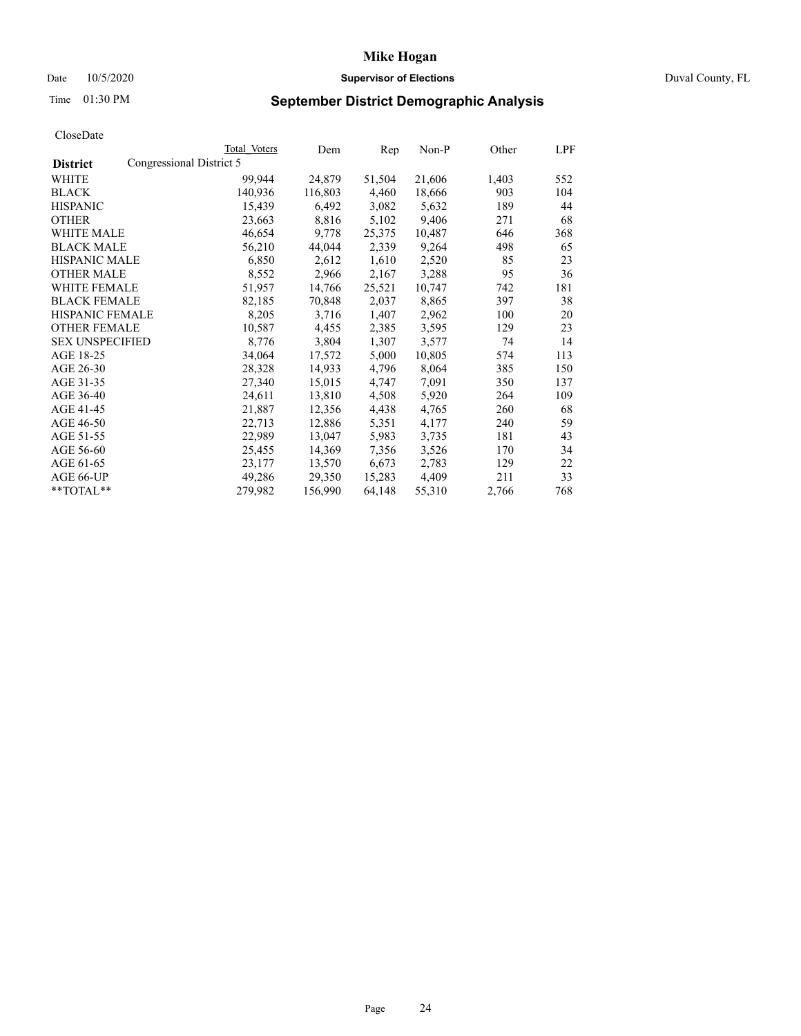# Date 10/5/2020 **Supervisor of Elections Supervisor of Elections** Duval County, FL

# Time 01:30 PM **September District Demographic Analysis**

| Total Voters             | Dem     | Rep    | Non-P  | Other | LPF |
|--------------------------|---------|--------|--------|-------|-----|
| Congressional District 5 |         |        |        |       |     |
| 99,944                   | 24,879  | 51,504 | 21,606 | 1,403 | 552 |
| 140,936                  | 116,803 | 4,460  | 18,666 | 903   | 104 |
| 15,439                   | 6,492   | 3,082  | 5,632  | 189   | 44  |
| 23,663                   | 8,816   | 5,102  | 9,406  | 271   | 68  |
| 46,654                   | 9,778   | 25,375 | 10,487 | 646   | 368 |
| 56,210                   | 44,044  | 2,339  | 9,264  | 498   | 65  |
| 6,850                    | 2,612   | 1,610  | 2,520  | 85    | 23  |
| 8,552                    | 2,966   | 2,167  | 3,288  | 95    | 36  |
| 51,957                   | 14,766  | 25,521 | 10,747 | 742   | 181 |
| 82,185                   | 70,848  | 2,037  | 8,865  | 397   | 38  |
| 8,205                    | 3,716   | 1,407  | 2,962  | 100   | 20  |
| 10,587                   | 4,455   | 2,385  | 3,595  | 129   | 23  |
| 8,776                    | 3,804   | 1,307  | 3,577  | 74    | 14  |
| 34,064                   | 17,572  | 5,000  | 10,805 | 574   | 113 |
| 28,328                   | 14,933  | 4,796  | 8,064  | 385   | 150 |
| 27,340                   | 15,015  | 4,747  | 7,091  | 350   | 137 |
| 24,611                   | 13,810  | 4,508  | 5,920  | 264   | 109 |
| 21,887                   | 12,356  | 4,438  | 4,765  | 260   | 68  |
| 22,713                   | 12,886  | 5,351  | 4,177  | 240   | 59  |
| 22,989                   | 13,047  | 5,983  | 3,735  | 181   | 43  |
| 25,455                   | 14,369  | 7,356  | 3,526  | 170   | 34  |
| 23,177                   | 13,570  | 6,673  | 2,783  | 129   | 22  |
| 49,286                   | 29,350  | 15,283 | 4,409  | 211   | 33  |
| 279,982                  | 156,990 | 64,148 | 55,310 | 2,766 | 768 |
|                          |         |        |        |       |     |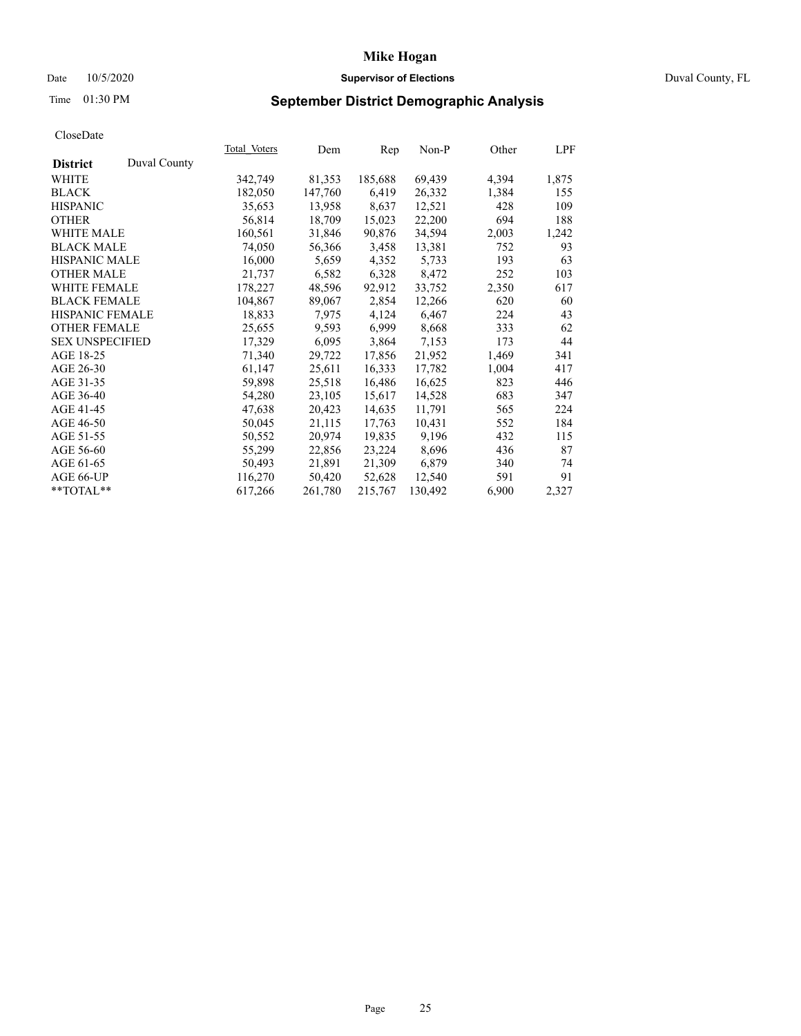# Date 10/5/2020 **Supervisor of Elections Supervisor of Elections** Duval County, FL

# Time 01:30 PM **September District Demographic Analysis**

|                                 | Total Voters | Dem     | Rep     | $Non-P$ | Other | LPF   |
|---------------------------------|--------------|---------|---------|---------|-------|-------|
| Duval County<br><b>District</b> |              |         |         |         |       |       |
| WHITE                           | 342,749      | 81,353  | 185,688 | 69,439  | 4,394 | 1,875 |
| <b>BLACK</b>                    | 182,050      | 147,760 | 6,419   | 26,332  | 1,384 | 155   |
| <b>HISPANIC</b>                 | 35,653       | 13,958  | 8,637   | 12,521  | 428   | 109   |
| <b>OTHER</b>                    | 56,814       | 18,709  | 15,023  | 22,200  | 694   | 188   |
| <b>WHITE MALE</b>               | 160,561      | 31,846  | 90,876  | 34,594  | 2,003 | 1,242 |
| <b>BLACK MALE</b>               | 74,050       | 56,366  | 3,458   | 13,381  | 752   | 93    |
| <b>HISPANIC MALE</b>            | 16,000       | 5,659   | 4,352   | 5,733   | 193   | 63    |
| <b>OTHER MALE</b>               | 21,737       | 6,582   | 6,328   | 8,472   | 252   | 103   |
| <b>WHITE FEMALE</b>             | 178,227      | 48,596  | 92,912  | 33,752  | 2,350 | 617   |
| <b>BLACK FEMALE</b>             | 104,867      | 89,067  | 2,854   | 12,266  | 620   | 60    |
| HISPANIC FEMALE                 | 18,833       | 7,975   | 4,124   | 6,467   | 224   | 43    |
| <b>OTHER FEMALE</b>             | 25,655       | 9,593   | 6,999   | 8,668   | 333   | 62    |
| <b>SEX UNSPECIFIED</b>          | 17,329       | 6,095   | 3,864   | 7,153   | 173   | 44    |
| AGE 18-25                       | 71,340       | 29,722  | 17,856  | 21,952  | 1,469 | 341   |
| AGE 26-30                       | 61,147       | 25,611  | 16,333  | 17,782  | 1,004 | 417   |
| AGE 31-35                       | 59,898       | 25,518  | 16,486  | 16,625  | 823   | 446   |
| AGE 36-40                       | 54,280       | 23,105  | 15,617  | 14,528  | 683   | 347   |
| AGE 41-45                       | 47,638       | 20,423  | 14,635  | 11,791  | 565   | 224   |
| AGE 46-50                       | 50,045       | 21,115  | 17,763  | 10,431  | 552   | 184   |
| AGE 51-55                       | 50,552       | 20,974  | 19,835  | 9,196   | 432   | 115   |
| AGE 56-60                       | 55,299       | 22,856  | 23,224  | 8,696   | 436   | 87    |
| AGE 61-65                       | 50,493       | 21,891  | 21,309  | 6,879   | 340   | 74    |
| AGE 66-UP                       | 116,270      | 50,420  | 52,628  | 12,540  | 591   | 91    |
| **TOTAL**                       | 617,266      | 261,780 | 215,767 | 130,492 | 6,900 | 2,327 |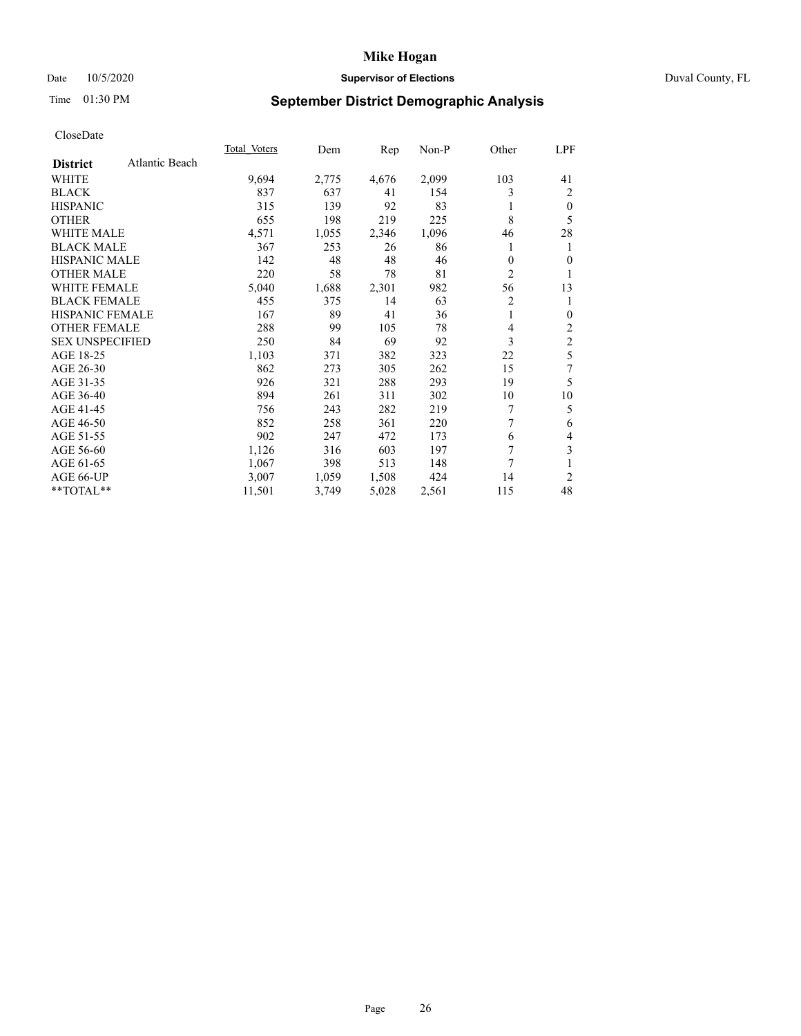# Date 10/5/2020 **Supervisor of Elections Supervisor of Elections** Duval County, FL

# Time 01:30 PM **September District Demographic Analysis**

| <b>Total Voters</b> | Dem   | Rep   | $Non-P$ | Other          | LPF            |
|---------------------|-------|-------|---------|----------------|----------------|
|                     |       |       |         |                |                |
| 9,694               | 2,775 | 4,676 | 2,099   | 103            | 41             |
| 837                 | 637   | 41    | 154     | 3              | 2              |
| 315                 | 139   | 92    | 83      |                | $\mathbf{0}$   |
| 655                 | 198   | 219   | 225     | 8              | 5              |
| 4,571               | 1,055 | 2,346 | 1,096   | 46             | 28             |
| 367                 | 253   | 26    | 86      |                | 1              |
| 142                 | 48    | 48    | 46      | $\theta$       | $\theta$       |
| 220                 | 58    | 78    | 81      | $\overline{c}$ | 1              |
| 5,040               | 1,688 | 2,301 | 982     | 56             | 13             |
| 455                 | 375   | 14    | 63      | 2              | 1              |
| 167                 | 89    | 41    | 36      | 1              | $\mathbf{0}$   |
| 288                 | 99    | 105   | 78      | 4              | $\overline{c}$ |
| 250                 | 84    | 69    | 92      | 3              | $\overline{c}$ |
| 1,103               | 371   | 382   | 323     | 22             | 5              |
| 862                 | 273   | 305   | 262     | 15             | 7              |
| 926                 | 321   | 288   | 293     | 19             | 5              |
| 894                 | 261   | 311   | 302     | 10             | 10             |
| 756                 | 243   | 282   | 219     | 7              | 5              |
| 852                 | 258   | 361   | 220     | 7              | 6              |
| 902                 | 247   | 472   | 173     | 6              | 4              |
| 1,126               | 316   | 603   | 197     | 7              | 3              |
| 1,067               | 398   | 513   | 148     | 7              | 1              |
| 3,007               | 1,059 | 1,508 | 424     | 14             | 2              |
| 11,501              | 3,749 | 5,028 | 2,561   | 115            | 48             |
|                     |       |       |         |                |                |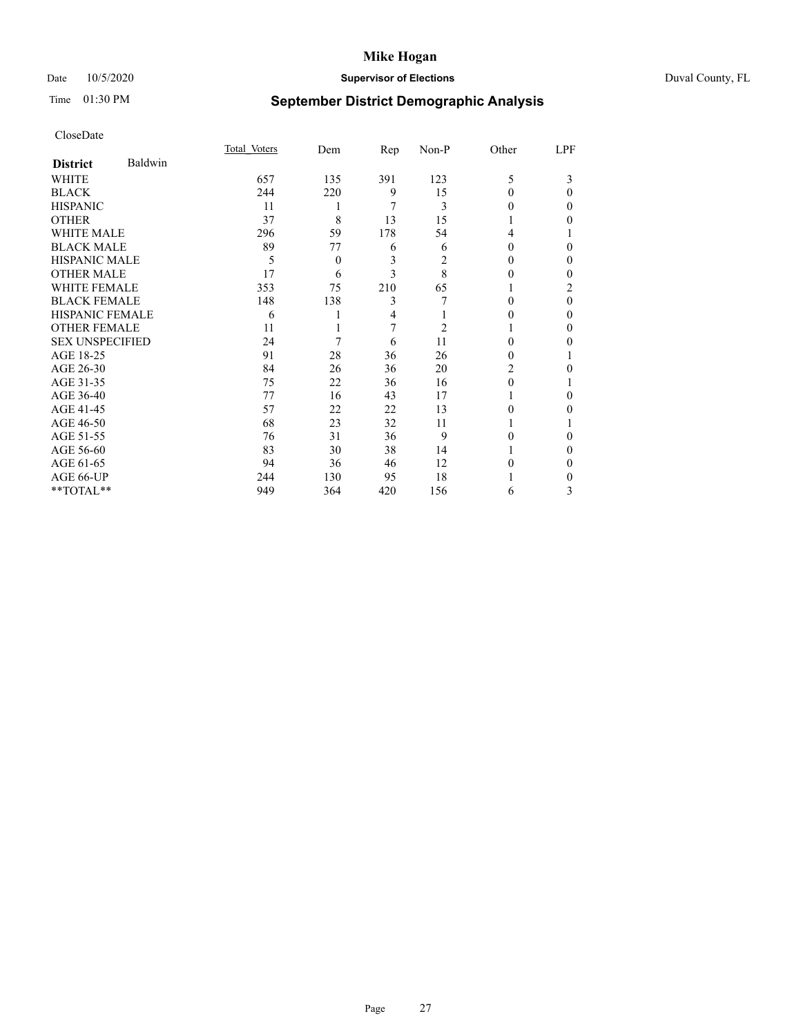# Date 10/5/2020 **Supervisor of Elections** Duval County, FL

# Time 01:30 PM **September District Demographic Analysis**

|                        |         | Total Voters | Dem            | Rep | Non-P          | Other  | LPF            |
|------------------------|---------|--------------|----------------|-----|----------------|--------|----------------|
| <b>District</b>        | Baldwin |              |                |     |                |        |                |
| WHITE                  |         | 657          | 135            | 391 | 123            | 5      | 3              |
| <b>BLACK</b>           |         | 244          | 220            | 9   | 15             | 0      | $\Omega$       |
| <b>HISPANIC</b>        |         | 11           | 1              | 7   | 3              | $_{0}$ | 0              |
| <b>OTHER</b>           |         | 37           | 8              | 13  | 15             |        | 0              |
| WHITE MALE             |         | 296          | 59             | 178 | 54             | 4      |                |
| <b>BLACK MALE</b>      |         | 89           | 77             | 6   | 6              | $_{0}$ | 0              |
| <b>HISPANIC MALE</b>   |         | 5            | $\overline{0}$ | 3   | 2              | 0      | 0              |
| <b>OTHER MALE</b>      |         | 17           | 6              | 3   | 8              | 0      | 0              |
| <b>WHITE FEMALE</b>    |         | 353          | 75             | 210 | 65             |        | $\overline{c}$ |
| <b>BLACK FEMALE</b>    |         | 148          | 138            | 3   |                | 0      | $\Omega$       |
| <b>HISPANIC FEMALE</b> |         | 6            |                | 4   |                | 0      | 0              |
| <b>OTHER FEMALE</b>    |         | 11           |                | 7   | $\overline{c}$ |        | 0              |
| <b>SEX UNSPECIFIED</b> |         | 24           | 7              | 6   | 11             | 0      | 0              |
| AGE 18-25              |         | 91           | 28             | 36  | 26             | 0      |                |
| AGE 26-30              |         | 84           | 26             | 36  | 20             | 2      | 0              |
| AGE 31-35              |         | 75           | 22             | 36  | 16             | 0      |                |
| AGE 36-40              |         | 77           | 16             | 43  | 17             |        | 0              |
| AGE 41-45              |         | 57           | 22             | 22  | 13             | 0      | 0              |
| AGE 46-50              |         | 68           | 23             | 32  | 11             |        |                |
| AGE 51-55              |         | 76           | 31             | 36  | 9              | 0      | 0              |
| AGE 56-60              |         | 83           | 30             | 38  | 14             |        | 0              |
| AGE 61-65              |         | 94           | 36             | 46  | 12             | 0      | 0              |
| AGE 66-UP              |         | 244          | 130            | 95  | 18             |        | 0              |
| **TOTAL**              |         | 949          | 364            | 420 | 156            | 6      | 3              |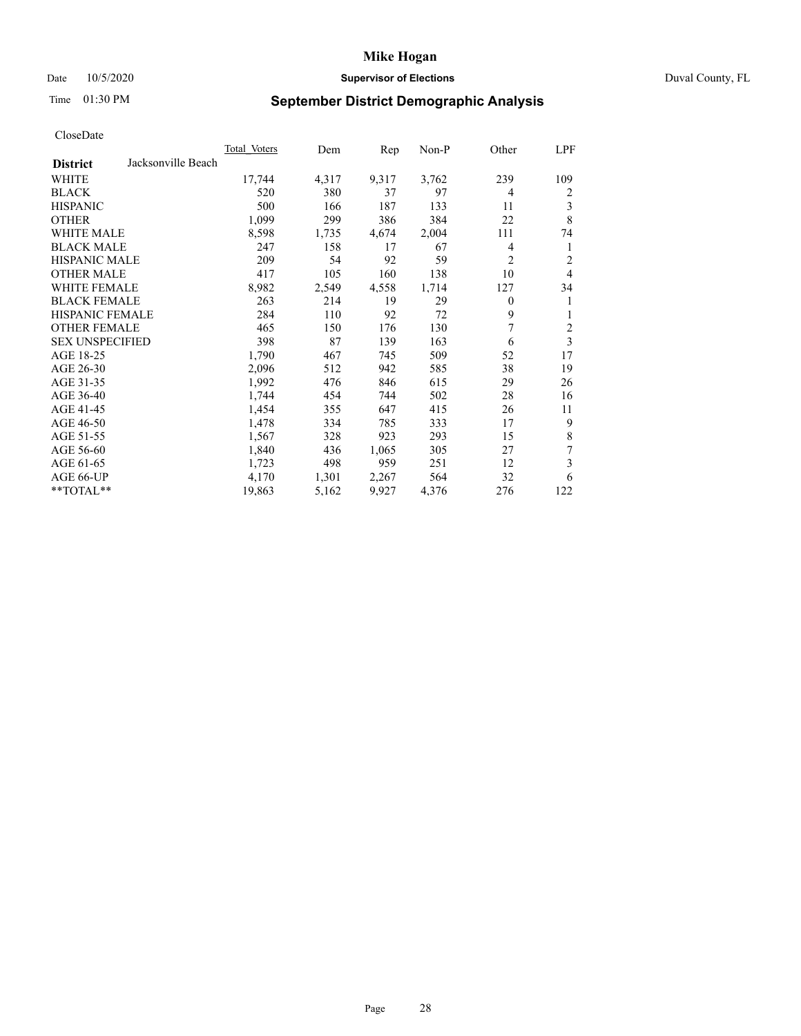# Date 10/5/2020 **Supervisor of Elections Supervisor of Elections** Duval County, FL

# Time 01:30 PM **September District Demographic Analysis**

| <b>Total Voters</b> | Dem   | Rep   | $Non-P$ |                | LPF   |
|---------------------|-------|-------|---------|----------------|-------|
|                     |       |       |         |                |       |
| 17,744              | 4,317 | 9,317 | 3,762   | 239            | 109   |
| 520                 | 380   | 37    | 97      | 4              | 2     |
| 500                 | 166   | 187   | 133     | 11             | 3     |
| 1,099               | 299   | 386   | 384     | 22             | 8     |
| 8,598               | 1,735 | 4,674 | 2,004   | 111            | 74    |
| 247                 | 158   | 17    | 67      | 4              | 1     |
| 209                 | 54    | 92    | 59      | $\overline{2}$ | 2     |
| 417                 | 105   | 160   | 138     | 10             | 4     |
| 8,982               | 2,549 | 4,558 | 1,714   | 127            | 34    |
| 263                 | 214   | 19    | 29      | $\overline{0}$ | 1     |
| 284                 | 110   | 92    | 72      | 9              | 1     |
| 465                 | 150   | 176   | 130     | 7              | 2     |
| 398                 | 87    | 139   | 163     | 6              | 3     |
| 1,790               | 467   | 745   | 509     | 52             | 17    |
| 2,096               | 512   | 942   | 585     | 38             | 19    |
| 1,992               | 476   | 846   | 615     | 29             | 26    |
| 1,744               | 454   | 744   | 502     | 28             | 16    |
| 1,454               | 355   | 647   | 415     | 26             | 11    |
| 1,478               | 334   | 785   | 333     | 17             | 9     |
| 1,567               | 328   | 923   | 293     | 15             | 8     |
| 1,840               | 436   | 1,065 | 305     | 27             | 7     |
| 1,723               | 498   | 959   | 251     | 12             | 3     |
| 4,170               | 1,301 | 2,267 | 564     | 32             | 6     |
| 19,863              | 5,162 | 9,927 | 4,376   | 276            | 122   |
|                     |       |       |         |                | Other |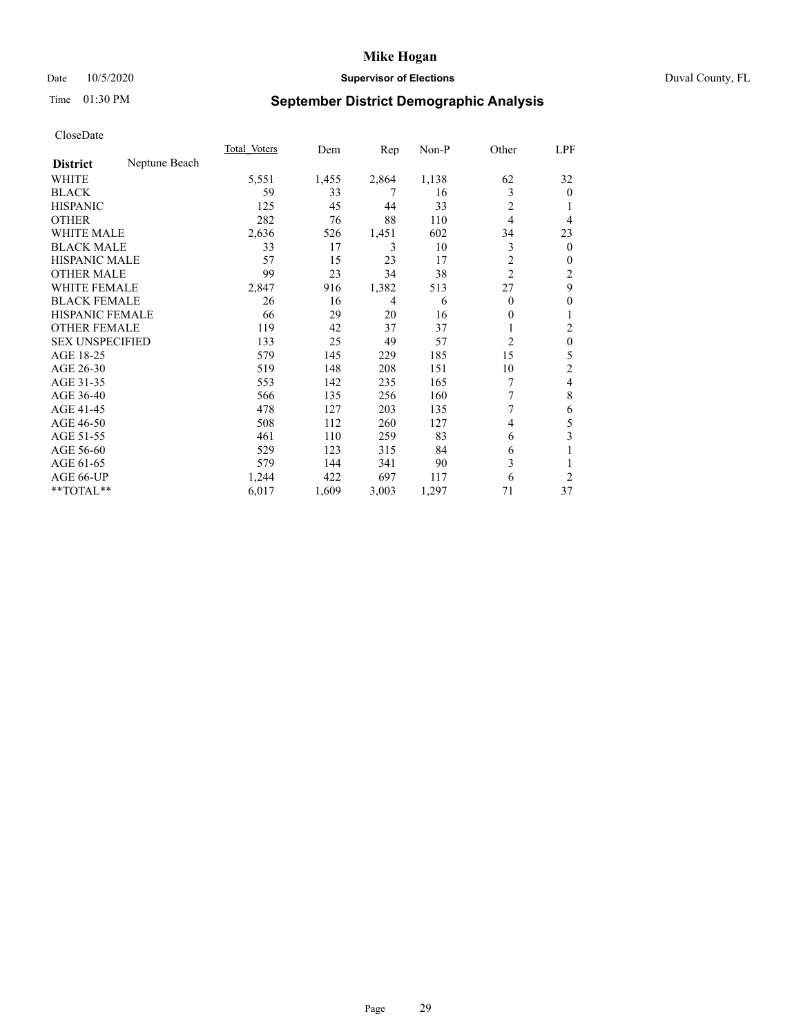# Date 10/5/2020 **Supervisor of Elections Supervisor of Elections** Duval County, FL

# Time 01:30 PM **September District Demographic Analysis**

|                        |               | Total Voters | Dem   | Rep   | Non-P | Other          | LPF              |
|------------------------|---------------|--------------|-------|-------|-------|----------------|------------------|
| <b>District</b>        | Neptune Beach |              |       |       |       |                |                  |
| WHITE                  |               | 5,551        | 1,455 | 2,864 | 1,138 | 62             | 32               |
| <b>BLACK</b>           |               | 59           | 33    | 7     | 16    | 3              | $\theta$         |
| <b>HISPANIC</b>        |               | 125          | 45    | 44    | 33    | $\overline{2}$ |                  |
| <b>OTHER</b>           |               | 282          | 76    | 88    | 110   | $\overline{4}$ | 4                |
| <b>WHITE MALE</b>      |               | 2,636        | 526   | 1,451 | 602   | 34             | 23               |
| <b>BLACK MALE</b>      |               | 33           | 17    | 3     | 10    | 3              | $\overline{0}$   |
| <b>HISPANIC MALE</b>   |               | 57           | 15    | 23    | 17    | 2              | 0                |
| <b>OTHER MALE</b>      |               | 99           | 23    | 34    | 38    | $\overline{c}$ | 2                |
| WHITE FEMALE           |               | 2,847        | 916   | 1,382 | 513   | 27             | 9                |
| <b>BLACK FEMALE</b>    |               | 26           | 16    | 4     | 6     | $\theta$       | $\boldsymbol{0}$ |
| <b>HISPANIC FEMALE</b> |               | 66           | 29    | 20    | 16    | 0              | 1                |
| <b>OTHER FEMALE</b>    |               | 119          | 42    | 37    | 37    | 1              | 2                |
| <b>SEX UNSPECIFIED</b> |               | 133          | 25    | 49    | 57    | 2              | $\theta$         |
| AGE 18-25              |               | 579          | 145   | 229   | 185   | 15             | 5                |
| AGE 26-30              |               | 519          | 148   | 208   | 151   | 10             | $\overline{c}$   |
| AGE 31-35              |               | 553          | 142   | 235   | 165   | 7              | 4                |
| AGE 36-40              |               | 566          | 135   | 256   | 160   | 7              | 8                |
| AGE 41-45              |               | 478          | 127   | 203   | 135   | 7              | 6                |
| AGE 46-50              |               | 508          | 112   | 260   | 127   | 4              | 5                |
| AGE 51-55              |               | 461          | 110   | 259   | 83    | 6              | 3                |
| AGE 56-60              |               | 529          | 123   | 315   | 84    | 6              | 1                |
| AGE 61-65              |               | 579          | 144   | 341   | 90    | 3              |                  |
| AGE 66-UP              |               | 1,244        | 422   | 697   | 117   | 6              | $\overline{2}$   |
| **TOTAL**              |               | 6,017        | 1,609 | 3,003 | 1,297 | 71             | 37               |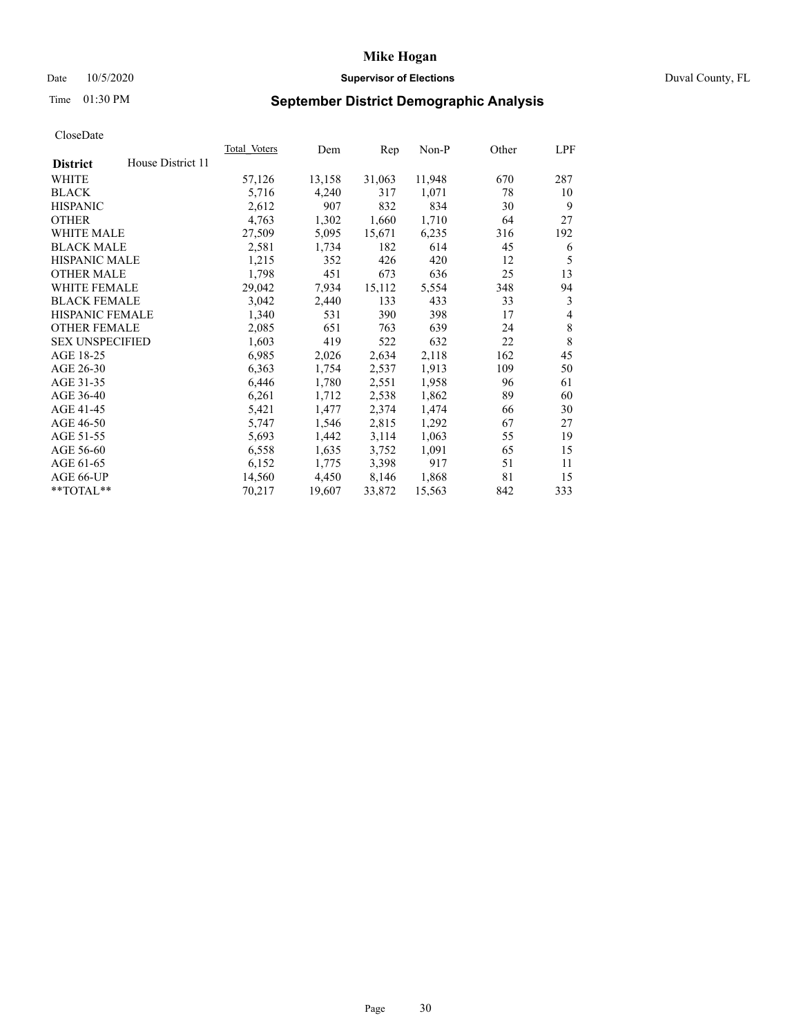# Date 10/5/2020 **Supervisor of Elections** Duval County, FL

# Time 01:30 PM **September District Demographic Analysis**

|                        |                   | Total Voters | Dem    | Rep    | Non-P  | Other | LPF |
|------------------------|-------------------|--------------|--------|--------|--------|-------|-----|
| <b>District</b>        | House District 11 |              |        |        |        |       |     |
| WHITE                  |                   | 57,126       | 13,158 | 31,063 | 11,948 | 670   | 287 |
| <b>BLACK</b>           |                   | 5,716        | 4,240  | 317    | 1,071  | 78    | 10  |
| <b>HISPANIC</b>        |                   | 2,612        | 907    | 832    | 834    | 30    | 9   |
| <b>OTHER</b>           |                   | 4,763        | 1,302  | 1,660  | 1,710  | 64    | 27  |
| WHITE MALE             |                   | 27,509       | 5,095  | 15,671 | 6,235  | 316   | 192 |
| <b>BLACK MALE</b>      |                   | 2,581        | 1,734  | 182    | 614    | 45    | 6   |
| <b>HISPANIC MALE</b>   |                   | 1,215        | 352    | 426    | 420    | 12    | 5   |
| <b>OTHER MALE</b>      |                   | 1,798        | 451    | 673    | 636    | 25    | 13  |
| WHITE FEMALE           |                   | 29,042       | 7,934  | 15,112 | 5,554  | 348   | 94  |
| <b>BLACK FEMALE</b>    |                   | 3,042        | 2,440  | 133    | 433    | 33    | 3   |
| <b>HISPANIC FEMALE</b> |                   | 1,340        | 531    | 390    | 398    | 17    | 4   |
| <b>OTHER FEMALE</b>    |                   | 2,085        | 651    | 763    | 639    | 24    | 8   |
| <b>SEX UNSPECIFIED</b> |                   | 1,603        | 419    | 522    | 632    | 22    | 8   |
| AGE 18-25              |                   | 6,985        | 2,026  | 2,634  | 2,118  | 162   | 45  |
| AGE 26-30              |                   | 6,363        | 1,754  | 2,537  | 1,913  | 109   | 50  |
| AGE 31-35              |                   | 6,446        | 1,780  | 2,551  | 1,958  | 96    | 61  |
| AGE 36-40              |                   | 6,261        | 1,712  | 2,538  | 1,862  | 89    | 60  |
| AGE 41-45              |                   | 5,421        | 1,477  | 2,374  | 1,474  | 66    | 30  |
| AGE 46-50              |                   | 5,747        | 1,546  | 2,815  | 1,292  | 67    | 27  |
| AGE 51-55              |                   | 5,693        | 1,442  | 3,114  | 1,063  | 55    | 19  |
| AGE 56-60              |                   | 6,558        | 1,635  | 3,752  | 1,091  | 65    | 15  |
| AGE 61-65              |                   | 6,152        | 1,775  | 3,398  | 917    | 51    | 11  |
| AGE 66-UP              |                   | 14,560       | 4,450  | 8,146  | 1,868  | 81    | 15  |
| $**TOTAL**$            |                   | 70,217       | 19,607 | 33,872 | 15,563 | 842   | 333 |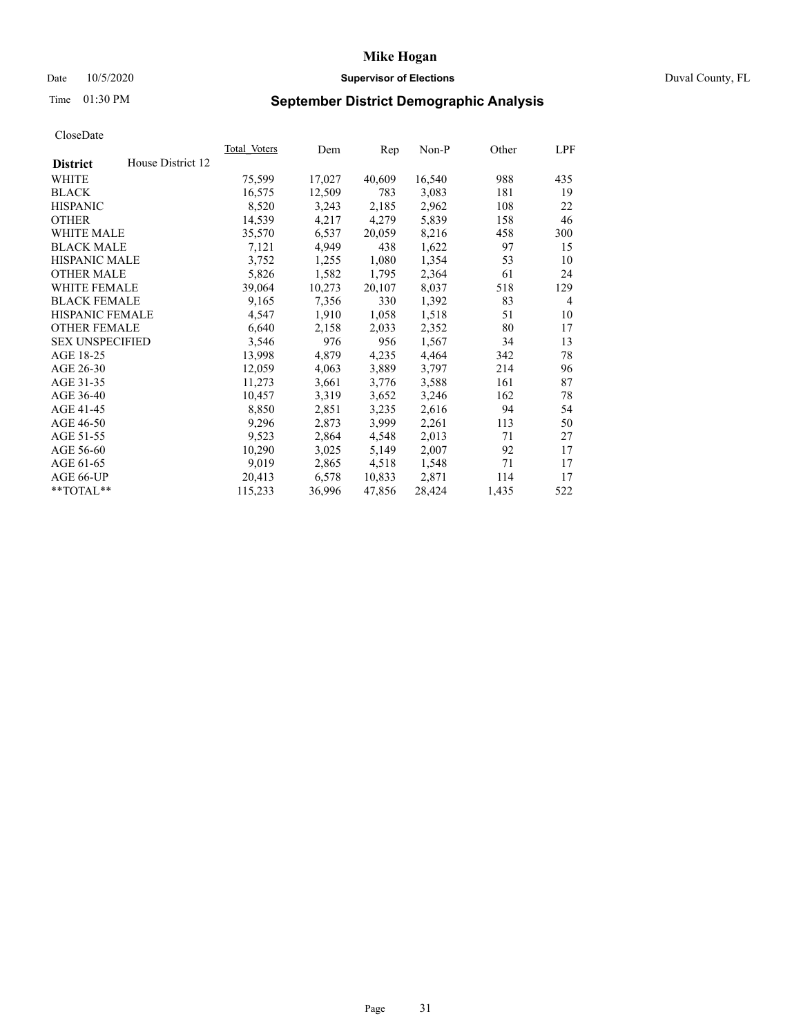# Date 10/5/2020 **Supervisor of Elections Supervisor of Elections** Duval County, FL

# Time 01:30 PM **September District Demographic Analysis**

| <b>Total Voters</b> | Dem    | Rep    | $Non-P$ | Other | LPF            |
|---------------------|--------|--------|---------|-------|----------------|
|                     |        |        |         |       |                |
| 75,599              | 17,027 | 40,609 | 16,540  | 988   | 435            |
| 16,575              | 12,509 | 783    | 3,083   | 181   | 19             |
| 8,520               | 3,243  | 2,185  | 2,962   | 108   | 22             |
| 14,539              | 4,217  | 4,279  | 5,839   | 158   | 46             |
| 35,570              | 6,537  | 20,059 | 8,216   | 458   | 300            |
| 7,121               | 4,949  | 438    | 1,622   | 97    | 15             |
| 3,752               | 1,255  | 1,080  | 1,354   | 53    | 10             |
| 5,826               | 1,582  | 1,795  | 2,364   | 61    | 24             |
| 39,064              | 10,273 | 20,107 | 8,037   | 518   | 129            |
| 9,165               | 7,356  | 330    | 1,392   | 83    | $\overline{4}$ |
| 4,547               | 1,910  | 1,058  | 1,518   | 51    | 10             |
| 6,640               | 2,158  | 2,033  | 2,352   | 80    | 17             |
| 3,546               | 976    | 956    | 1,567   | 34    | 13             |
| 13,998              | 4,879  | 4,235  | 4,464   | 342   | 78             |
| 12,059              | 4,063  | 3,889  | 3,797   | 214   | 96             |
| 11,273              | 3,661  | 3,776  | 3,588   | 161   | 87             |
| 10,457              | 3,319  | 3,652  | 3,246   | 162   | 78             |
| 8,850               | 2,851  | 3,235  | 2,616   | 94    | 54             |
| 9,296               | 2,873  | 3,999  | 2,261   | 113   | 50             |
| 9,523               | 2,864  | 4,548  | 2,013   | 71    | 27             |
| 10,290              | 3,025  | 5,149  | 2,007   | 92    | 17             |
| 9,019               | 2,865  | 4,518  | 1,548   | 71    | 17             |
| 20,413              | 6,578  | 10,833 | 2,871   | 114   | 17             |
| 115,233             | 36,996 | 47,856 | 28,424  | 1,435 | 522            |
|                     |        |        |         |       |                |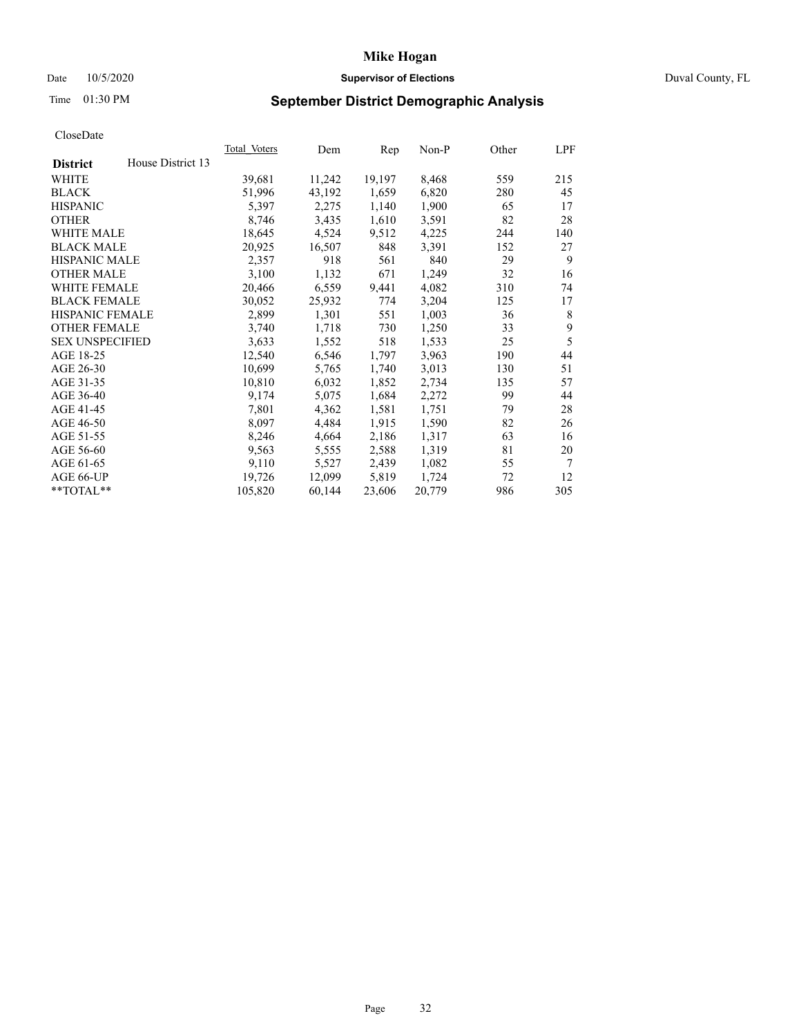# Date 10/5/2020 **Supervisor of Elections Supervisor of Elections** Duval County, FL

# Time 01:30 PM **September District Demographic Analysis**

| <b>Total Voters</b> | Dem    | Rep    | $Non-P$ | Other | LPF |
|---------------------|--------|--------|---------|-------|-----|
|                     |        |        |         |       |     |
| 39,681              | 11,242 | 19,197 | 8,468   | 559   | 215 |
| 51,996              | 43,192 | 1,659  | 6,820   | 280   | 45  |
| 5,397               | 2,275  | 1,140  | 1,900   | 65    | 17  |
| 8,746               | 3,435  | 1,610  | 3,591   | 82    | 28  |
| 18,645              | 4,524  | 9,512  | 4,225   | 244   | 140 |
| 20,925              | 16,507 | 848    | 3,391   | 152   | 27  |
| 2,357               | 918    | 561    | 840     | 29    | 9   |
| 3,100               | 1,132  | 671    | 1,249   | 32    | 16  |
| 20,466              | 6,559  | 9,441  | 4,082   | 310   | 74  |
| 30,052              | 25,932 | 774    | 3,204   | 125   | 17  |
| 2,899               | 1,301  | 551    | 1,003   | 36    | 8   |
| 3,740               | 1,718  | 730    | 1,250   | 33    | 9   |
| 3,633               | 1,552  | 518    | 1,533   | 25    | 5   |
| 12,540              | 6,546  | 1,797  | 3,963   | 190   | 44  |
| 10,699              | 5,765  | 1,740  | 3,013   | 130   | 51  |
| 10,810              | 6,032  | 1,852  | 2,734   | 135   | 57  |
| 9,174               | 5,075  | 1,684  | 2,272   | 99    | 44  |
| 7,801               | 4,362  | 1,581  | 1,751   | 79    | 28  |
| 8,097               | 4,484  | 1,915  | 1,590   | 82    | 26  |
| 8,246               | 4,664  | 2,186  | 1,317   | 63    | 16  |
| 9,563               | 5,555  | 2,588  | 1,319   | 81    | 20  |
| 9,110               | 5,527  | 2,439  | 1,082   | 55    | 7   |
| 19,726              | 12,099 | 5,819  | 1,724   | 72    | 12  |
| 105,820             | 60,144 | 23,606 | 20,779  | 986   | 305 |
|                     |        |        |         |       |     |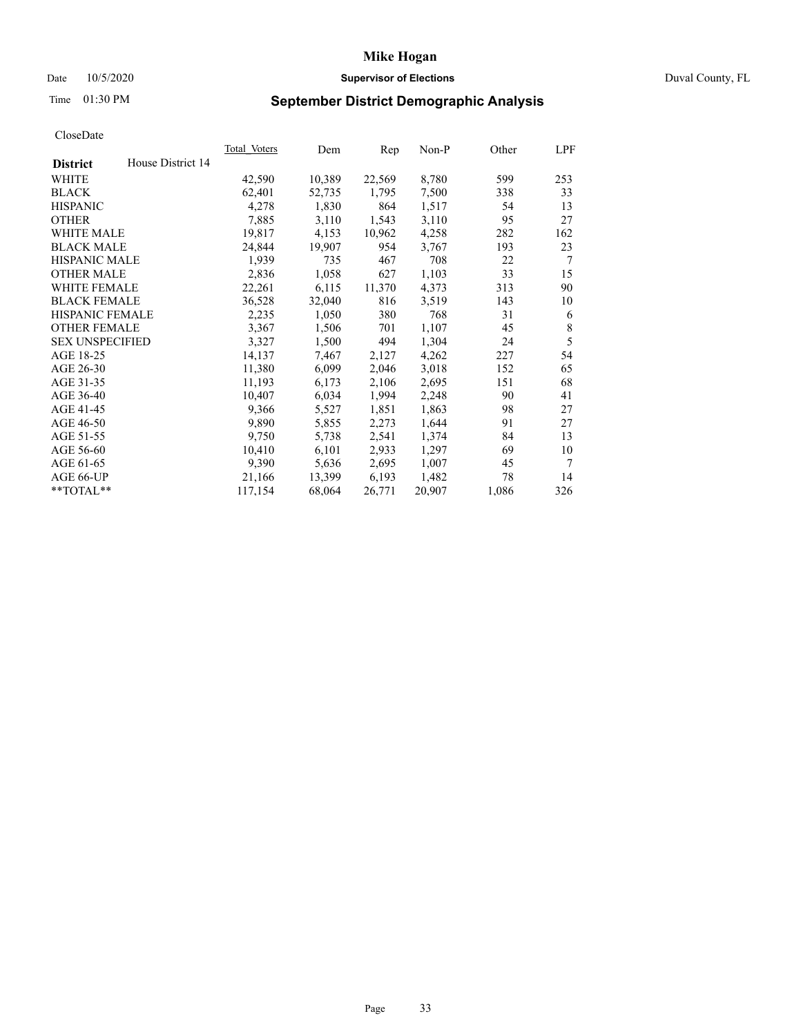# Date 10/5/2020 **Supervisor of Elections Supervisor of Elections** Duval County, FL

# Time 01:30 PM **September District Demographic Analysis**

|                        |                   | Total Voters | Dem    | Rep    | $Non-P$ | Other | LPF    |
|------------------------|-------------------|--------------|--------|--------|---------|-------|--------|
| <b>District</b>        | House District 14 |              |        |        |         |       |        |
| WHITE                  |                   | 42,590       | 10,389 | 22,569 | 8,780   | 599   | 253    |
| <b>BLACK</b>           |                   | 62,401       | 52,735 | 1,795  | 7,500   | 338   | 33     |
| <b>HISPANIC</b>        |                   | 4,278        | 1,830  | 864    | 1,517   | 54    | 13     |
| <b>OTHER</b>           |                   | 7,885        | 3,110  | 1,543  | 3,110   | 95    | 27     |
| WHITE MALE             |                   | 19,817       | 4,153  | 10,962 | 4,258   | 282   | 162    |
| <b>BLACK MALE</b>      |                   | 24,844       | 19,907 | 954    | 3,767   | 193   | 23     |
| <b>HISPANIC MALE</b>   |                   | 1,939        | 735    | 467    | 708     | 22    | 7      |
| <b>OTHER MALE</b>      |                   | 2,836        | 1,058  | 627    | 1,103   | 33    | 15     |
| WHITE FEMALE           |                   | 22,261       | 6,115  | 11,370 | 4,373   | 313   | 90     |
| <b>BLACK FEMALE</b>    |                   | 36,528       | 32,040 | 816    | 3,519   | 143   | 10     |
| HISPANIC FEMALE        |                   | 2,235        | 1,050  | 380    | 768     | 31    | 6      |
| <b>OTHER FEMALE</b>    |                   | 3,367        | 1,506  | 701    | 1,107   | 45    | 8      |
| <b>SEX UNSPECIFIED</b> |                   | 3,327        | 1,500  | 494    | 1,304   | 24    | 5      |
| AGE 18-25              |                   | 14,137       | 7,467  | 2,127  | 4,262   | 227   | 54     |
| AGE 26-30              |                   | 11,380       | 6,099  | 2,046  | 3,018   | 152   | 65     |
| AGE 31-35              |                   | 11,193       | 6,173  | 2,106  | 2,695   | 151   | 68     |
| AGE 36-40              |                   | 10,407       | 6,034  | 1,994  | 2,248   | 90    | 41     |
| AGE 41-45              |                   | 9,366        | 5,527  | 1,851  | 1,863   | 98    | 27     |
| AGE 46-50              |                   | 9,890        | 5,855  | 2,273  | 1,644   | 91    | 27     |
| AGE 51-55              |                   | 9,750        | 5,738  | 2,541  | 1,374   | 84    | 13     |
| AGE 56-60              |                   | 10,410       | 6,101  | 2,933  | 1,297   | 69    | 10     |
| AGE 61-65              |                   | 9,390        | 5,636  | 2,695  | 1,007   | 45    | $\tau$ |
| AGE 66-UP              |                   | 21,166       | 13,399 | 6,193  | 1,482   | 78    | 14     |
| **TOTAL**              |                   | 117,154      | 68,064 | 26,771 | 20,907  | 1,086 | 326    |
|                        |                   |              |        |        |         |       |        |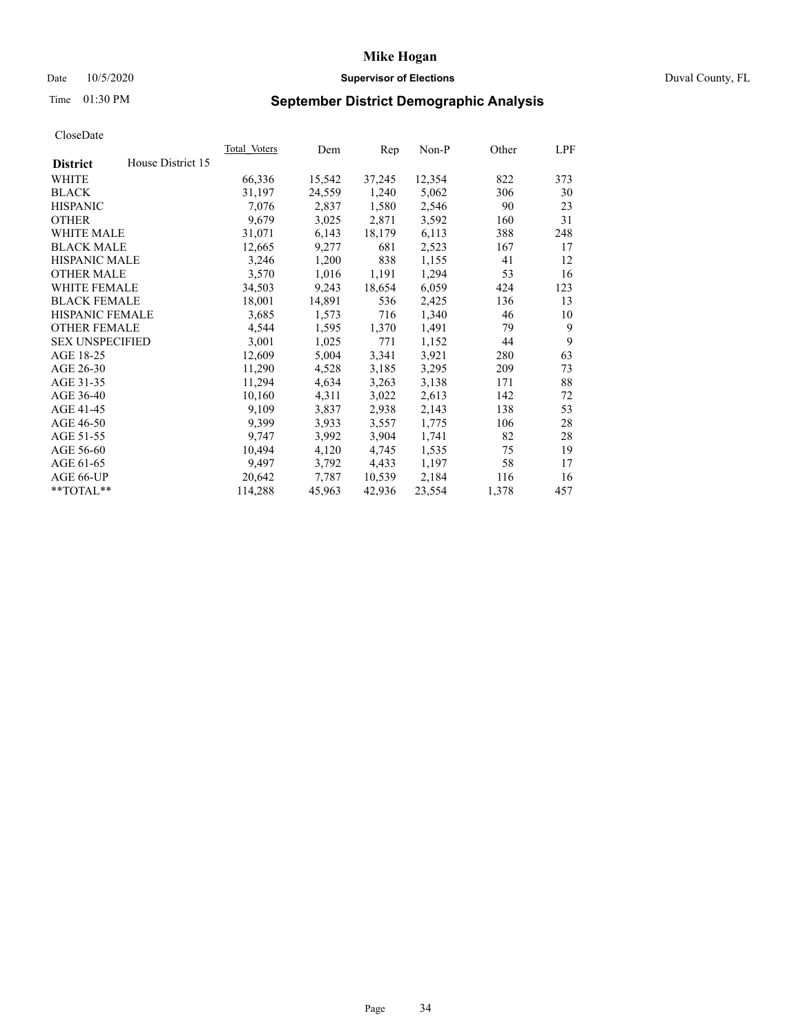# Date 10/5/2020 **Supervisor of Elections Supervisor of Elections** Duval County, FL

# Time 01:30 PM **September District Demographic Analysis**

|                        |                   | Total Voters | Dem    | Rep    | Non-P  | Other | LPF |
|------------------------|-------------------|--------------|--------|--------|--------|-------|-----|
| <b>District</b>        | House District 15 |              |        |        |        |       |     |
| WHITE                  |                   | 66,336       | 15,542 | 37,245 | 12,354 | 822   | 373 |
| <b>BLACK</b>           |                   | 31,197       | 24,559 | 1,240  | 5,062  | 306   | 30  |
| <b>HISPANIC</b>        |                   | 7,076        | 2,837  | 1,580  | 2,546  | 90    | 23  |
| <b>OTHER</b>           |                   | 9,679        | 3,025  | 2,871  | 3,592  | 160   | 31  |
| <b>WHITE MALE</b>      |                   | 31,071       | 6,143  | 18,179 | 6,113  | 388   | 248 |
| <b>BLACK MALE</b>      |                   | 12,665       | 9,277  | 681    | 2,523  | 167   | 17  |
| <b>HISPANIC MALE</b>   |                   | 3,246        | 1,200  | 838    | 1,155  | 41    | 12  |
| <b>OTHER MALE</b>      |                   | 3,570        | 1,016  | 1,191  | 1,294  | 53    | 16  |
| WHITE FEMALE           |                   | 34,503       | 9,243  | 18,654 | 6,059  | 424   | 123 |
| <b>BLACK FEMALE</b>    |                   | 18,001       | 14,891 | 536    | 2,425  | 136   | 13  |
| HISPANIC FEMALE        |                   | 3,685        | 1,573  | 716    | 1,340  | 46    | 10  |
| <b>OTHER FEMALE</b>    |                   | 4,544        | 1,595  | 1,370  | 1,491  | 79    | 9   |
| <b>SEX UNSPECIFIED</b> |                   | 3,001        | 1,025  | 771    | 1,152  | 44    | 9   |
| AGE 18-25              |                   | 12,609       | 5,004  | 3,341  | 3,921  | 280   | 63  |
| AGE 26-30              |                   | 11,290       | 4,528  | 3,185  | 3,295  | 209   | 73  |
| AGE 31-35              |                   | 11,294       | 4,634  | 3,263  | 3,138  | 171   | 88  |
| AGE 36-40              |                   | 10,160       | 4,311  | 3,022  | 2,613  | 142   | 72  |
| AGE 41-45              |                   | 9,109        | 3,837  | 2,938  | 2,143  | 138   | 53  |
| AGE 46-50              |                   | 9,399        | 3,933  | 3,557  | 1,775  | 106   | 28  |
| AGE 51-55              |                   | 9,747        | 3,992  | 3,904  | 1,741  | 82    | 28  |
| AGE 56-60              |                   | 10,494       | 4,120  | 4,745  | 1,535  | 75    | 19  |
| AGE 61-65              |                   | 9,497        | 3,792  | 4,433  | 1,197  | 58    | 17  |
| AGE 66-UP              |                   | 20,642       | 7,787  | 10,539 | 2,184  | 116   | 16  |
| **TOTAL**              |                   | 114,288      | 45,963 | 42,936 | 23,554 | 1,378 | 457 |
|                        |                   |              |        |        |        |       |     |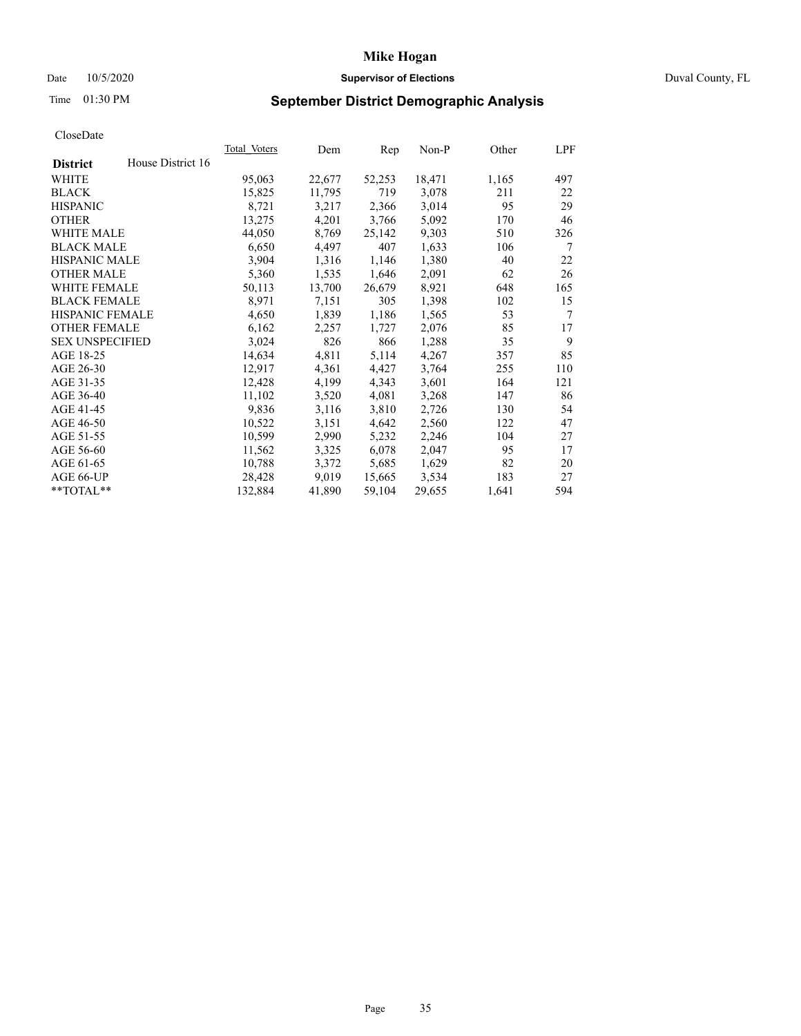# Date 10/5/2020 **Supervisor of Elections** Duval County, FL

# Time 01:30 PM **September District Demographic Analysis**

|                        |                   | Total Voters | Dem    | Rep    | Non-P  | Other | LPF    |
|------------------------|-------------------|--------------|--------|--------|--------|-------|--------|
| <b>District</b>        | House District 16 |              |        |        |        |       |        |
| WHITE                  |                   | 95,063       | 22,677 | 52,253 | 18,471 | 1,165 | 497    |
| <b>BLACK</b>           |                   | 15,825       | 11,795 | 719    | 3,078  | 211   | 22     |
| <b>HISPANIC</b>        |                   | 8,721        | 3,217  | 2,366  | 3,014  | 95    | 29     |
| <b>OTHER</b>           |                   | 13,275       | 4,201  | 3,766  | 5,092  | 170   | 46     |
| WHITE MALE             |                   | 44,050       | 8,769  | 25,142 | 9,303  | 510   | 326    |
| <b>BLACK MALE</b>      |                   | 6,650        | 4,497  | 407    | 1,633  | 106   | 7      |
| <b>HISPANIC MALE</b>   |                   | 3,904        | 1,316  | 1,146  | 1,380  | 40    | 22     |
| <b>OTHER MALE</b>      |                   | 5,360        | 1,535  | 1,646  | 2,091  | 62    | 26     |
| <b>WHITE FEMALE</b>    |                   | 50,113       | 13,700 | 26,679 | 8,921  | 648   | 165    |
| <b>BLACK FEMALE</b>    |                   | 8,971        | 7,151  | 305    | 1,398  | 102   | 15     |
| <b>HISPANIC FEMALE</b> |                   | 4,650        | 1,839  | 1,186  | 1,565  | 53    | $\tau$ |
| <b>OTHER FEMALE</b>    |                   | 6,162        | 2,257  | 1,727  | 2,076  | 85    | 17     |
| <b>SEX UNSPECIFIED</b> |                   | 3,024        | 826    | 866    | 1,288  | 35    | 9      |
| AGE 18-25              |                   | 14,634       | 4,811  | 5,114  | 4,267  | 357   | 85     |
| AGE 26-30              |                   | 12,917       | 4,361  | 4,427  | 3,764  | 255   | 110    |
| AGE 31-35              |                   | 12,428       | 4,199  | 4,343  | 3,601  | 164   | 121    |
| AGE 36-40              |                   | 11,102       | 3,520  | 4,081  | 3,268  | 147   | 86     |
| AGE 41-45              |                   | 9,836        | 3,116  | 3,810  | 2,726  | 130   | 54     |
| AGE 46-50              |                   | 10,522       | 3,151  | 4,642  | 2,560  | 122   | 47     |
| AGE 51-55              |                   | 10,599       | 2,990  | 5,232  | 2,246  | 104   | 27     |
| AGE 56-60              |                   | 11,562       | 3,325  | 6,078  | 2,047  | 95    | 17     |
| AGE 61-65              |                   | 10,788       | 3,372  | 5,685  | 1,629  | 82    | 20     |
| AGE 66-UP              |                   | 28,428       | 9,019  | 15,665 | 3,534  | 183   | 27     |
| $*$ TOTAL $*$          |                   | 132,884      | 41,890 | 59,104 | 29,655 | 1,641 | 594    |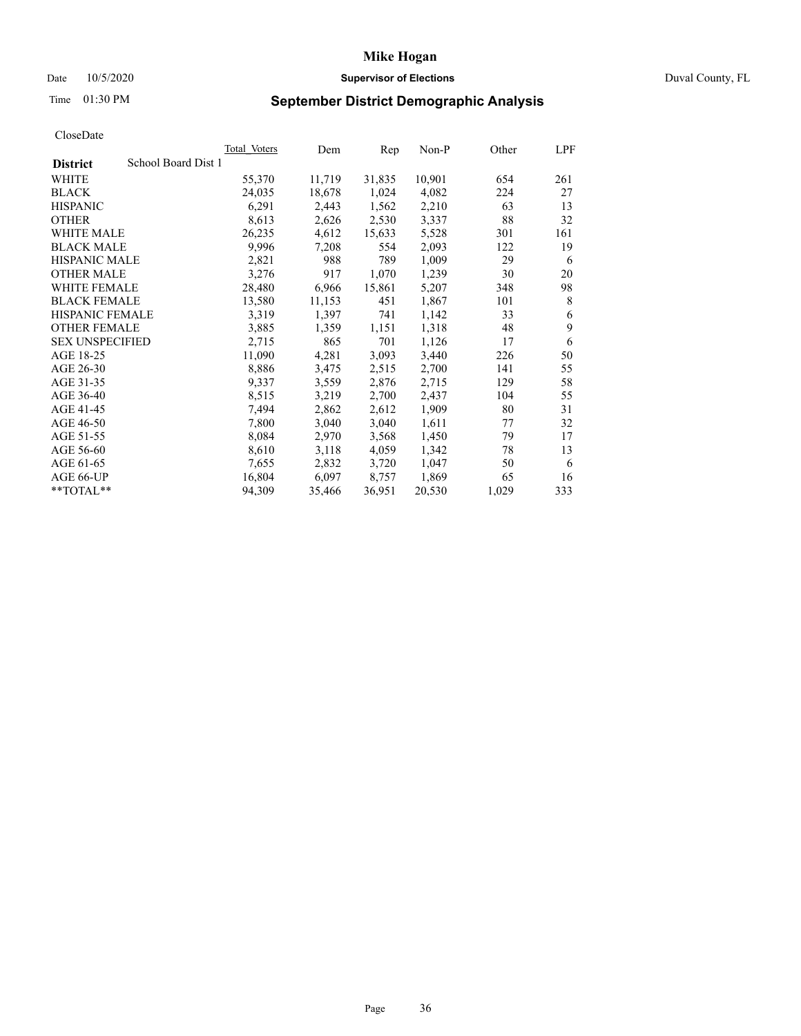# Date 10/5/2020 **Supervisor of Elections Supervisor of Elections** Duval County, FL

# Time 01:30 PM **September District Demographic Analysis**

|                                        | <b>Total Voters</b> | Dem    | Rep    | $Non-P$ | Other | LPF |
|----------------------------------------|---------------------|--------|--------|---------|-------|-----|
| School Board Dist 1<br><b>District</b> |                     |        |        |         |       |     |
| WHITE                                  | 55,370              | 11,719 | 31,835 | 10,901  | 654   | 261 |
| <b>BLACK</b>                           | 24,035              | 18,678 | 1,024  | 4,082   | 224   | 27  |
| <b>HISPANIC</b>                        | 6,291               | 2,443  | 1,562  | 2,210   | 63    | 13  |
| <b>OTHER</b>                           | 8,613               | 2,626  | 2,530  | 3,337   | 88    | 32  |
| WHITE MALE                             | 26,235              | 4,612  | 15,633 | 5,528   | 301   | 161 |
| <b>BLACK MALE</b>                      | 9,996               | 7,208  | 554    | 2,093   | 122   | 19  |
| <b>HISPANIC MALE</b>                   | 2,821               | 988    | 789    | 1,009   | 29    | 6   |
| <b>OTHER MALE</b>                      | 3,276               | 917    | 1,070  | 1,239   | 30    | 20  |
| WHITE FEMALE                           | 28,480              | 6,966  | 15,861 | 5,207   | 348   | 98  |
| <b>BLACK FEMALE</b>                    | 13,580              | 11,153 | 451    | 1,867   | 101   | 8   |
| HISPANIC FEMALE                        | 3,319               | 1,397  | 741    | 1,142   | 33    | 6   |
| <b>OTHER FEMALE</b>                    | 3,885               | 1,359  | 1,151  | 1,318   | 48    | 9   |
| <b>SEX UNSPECIFIED</b>                 | 2,715               | 865    | 701    | 1,126   | 17    | 6   |
| AGE 18-25                              | 11,090              | 4,281  | 3,093  | 3,440   | 226   | 50  |
| AGE 26-30                              | 8,886               | 3,475  | 2,515  | 2,700   | 141   | 55  |
| AGE 31-35                              | 9,337               | 3,559  | 2,876  | 2,715   | 129   | 58  |
| AGE 36-40                              | 8,515               | 3,219  | 2,700  | 2,437   | 104   | 55  |
| AGE 41-45                              | 7,494               | 2,862  | 2,612  | 1,909   | 80    | 31  |
| AGE 46-50                              | 7,800               | 3,040  | 3,040  | 1,611   | 77    | 32  |
| AGE 51-55                              | 8,084               | 2,970  | 3,568  | 1,450   | 79    | 17  |
| AGE 56-60                              | 8,610               | 3,118  | 4,059  | 1,342   | 78    | 13  |
| AGE 61-65                              | 7,655               | 2,832  | 3,720  | 1,047   | 50    | 6   |
| AGE 66-UP                              | 16,804              | 6,097  | 8,757  | 1,869   | 65    | 16  |
| **TOTAL**                              | 94,309              | 35,466 | 36,951 | 20,530  | 1,029 | 333 |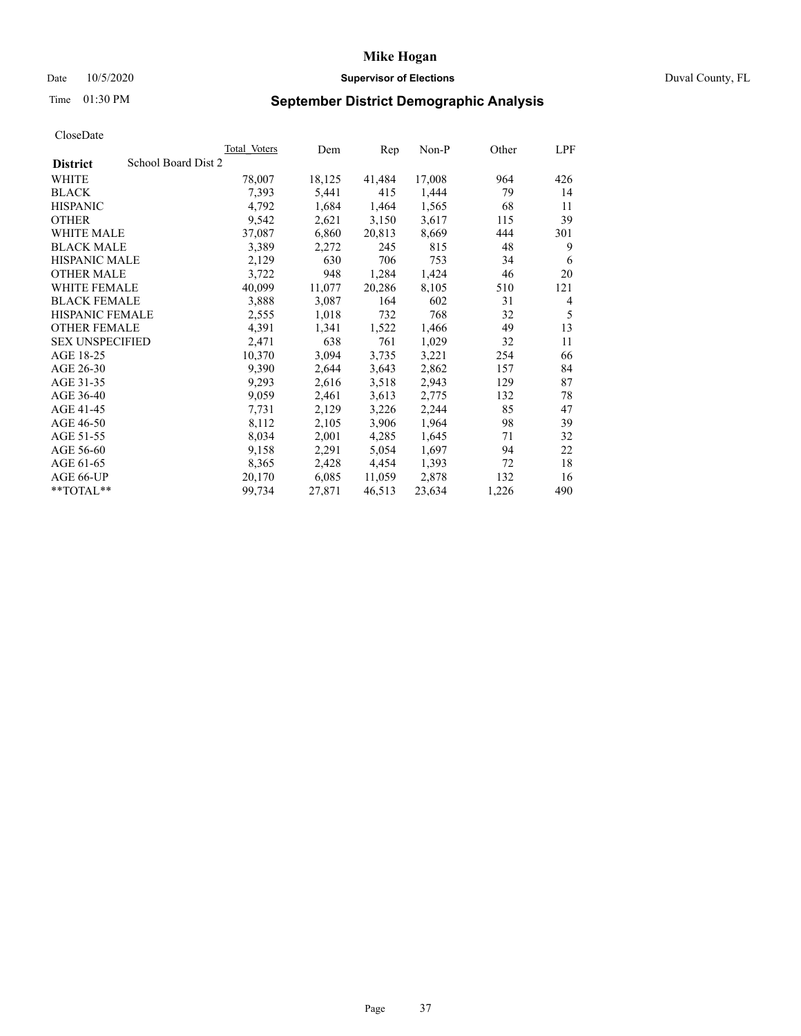# Date 10/5/2020 **Supervisor of Elections Supervisor of Elections** Duval County, FL

# Time 01:30 PM **September District Demographic Analysis**

| <b>Total Voters</b> | Dem    | Rep    | $Non-P$ | Other | LPF |
|---------------------|--------|--------|---------|-------|-----|
| School Board Dist 2 |        |        |         |       |     |
| 78,007              | 18,125 | 41,484 | 17,008  | 964   | 426 |
| 7,393               | 5,441  | 415    | 1,444   | 79    | 14  |
| 4,792               | 1,684  | 1,464  | 1,565   | 68    | 11  |
| 9,542               | 2,621  | 3,150  | 3,617   | 115   | 39  |
| 37,087              | 6,860  | 20,813 | 8,669   | 444   | 301 |
| 3,389               | 2,272  | 245    | 815     | 48    | 9   |
| 2,129               | 630    | 706    | 753     | 34    | 6   |
| 3,722               | 948    | 1,284  | 1,424   | 46    | 20  |
| 40,099              | 11,077 | 20,286 | 8,105   | 510   | 121 |
| 3,888               | 3,087  | 164    | 602     | 31    | 4   |
| 2,555               | 1,018  | 732    | 768     | 32    | 5   |
| 4,391               | 1,341  | 1,522  | 1,466   | 49    | 13  |
| 2,471               | 638    | 761    | 1,029   | 32    | 11  |
| 10,370              | 3,094  | 3,735  | 3,221   | 254   | 66  |
| 9,390               | 2,644  | 3,643  | 2,862   | 157   | 84  |
| 9,293               | 2,616  | 3,518  | 2,943   | 129   | 87  |
| 9,059               | 2,461  | 3,613  | 2,775   | 132   | 78  |
| 7,731               | 2,129  | 3,226  | 2,244   | 85    | 47  |
| 8,112               | 2,105  | 3,906  | 1,964   | 98    | 39  |
| 8,034               | 2,001  | 4,285  | 1,645   | 71    | 32  |
| 9,158               | 2,291  | 5,054  | 1,697   | 94    | 22  |
| 8,365               | 2,428  | 4,454  | 1,393   | 72    | 18  |
| 20,170              | 6,085  | 11,059 | 2,878   | 132   | 16  |
| 99,734              | 27,871 | 46,513 | 23,634  | 1,226 | 490 |
|                     |        |        |         |       |     |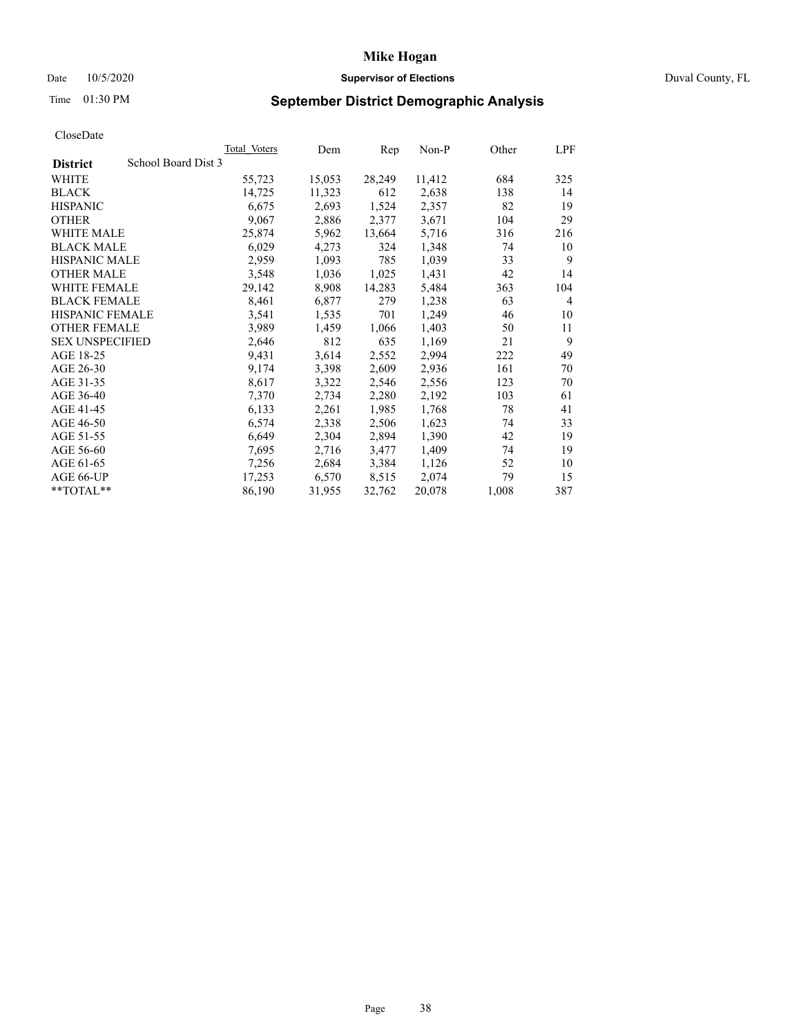# Date 10/5/2020 **Supervisor of Elections Supervisor of Elections** Duval County, FL

# Time 01:30 PM **September District Demographic Analysis**

|                        |                     | <b>Total Voters</b> | Dem    | Rep    | $Non-P$ | Other | LPF |
|------------------------|---------------------|---------------------|--------|--------|---------|-------|-----|
| <b>District</b>        | School Board Dist 3 |                     |        |        |         |       |     |
| WHITE                  |                     | 55,723              | 15,053 | 28,249 | 11,412  | 684   | 325 |
| <b>BLACK</b>           |                     | 14,725              | 11,323 | 612    | 2,638   | 138   | 14  |
| <b>HISPANIC</b>        |                     | 6,675               | 2,693  | 1,524  | 2,357   | 82    | 19  |
| <b>OTHER</b>           |                     | 9,067               | 2,886  | 2,377  | 3,671   | 104   | 29  |
| WHITE MALE             |                     | 25,874              | 5,962  | 13,664 | 5,716   | 316   | 216 |
| <b>BLACK MALE</b>      |                     | 6,029               | 4,273  | 324    | 1,348   | 74    | 10  |
| <b>HISPANIC MALE</b>   |                     | 2,959               | 1,093  | 785    | 1,039   | 33    | 9   |
| <b>OTHER MALE</b>      |                     | 3,548               | 1,036  | 1,025  | 1,431   | 42    | 14  |
| WHITE FEMALE           |                     | 29,142              | 8,908  | 14,283 | 5,484   | 363   | 104 |
| <b>BLACK FEMALE</b>    |                     | 8,461               | 6,877  | 279    | 1,238   | 63    | 4   |
| HISPANIC FEMALE        |                     | 3,541               | 1,535  | 701    | 1,249   | 46    | 10  |
| <b>OTHER FEMALE</b>    |                     | 3,989               | 1,459  | 1,066  | 1,403   | 50    | 11  |
| <b>SEX UNSPECIFIED</b> |                     | 2,646               | 812    | 635    | 1,169   | 21    | 9   |
| AGE 18-25              |                     | 9,431               | 3,614  | 2,552  | 2,994   | 222   | 49  |
| AGE 26-30              |                     | 9,174               | 3,398  | 2,609  | 2,936   | 161   | 70  |
| AGE 31-35              |                     | 8,617               | 3,322  | 2,546  | 2,556   | 123   | 70  |
| AGE 36-40              |                     | 7,370               | 2,734  | 2,280  | 2,192   | 103   | 61  |
| AGE 41-45              |                     | 6,133               | 2,261  | 1,985  | 1,768   | 78    | 41  |
| AGE 46-50              |                     | 6,574               | 2,338  | 2,506  | 1,623   | 74    | 33  |
| AGE 51-55              |                     | 6,649               | 2,304  | 2,894  | 1,390   | 42    | 19  |
| AGE 56-60              |                     | 7,695               | 2,716  | 3,477  | 1,409   | 74    | 19  |
| AGE 61-65              |                     | 7,256               | 2,684  | 3,384  | 1,126   | 52    | 10  |
| AGE 66-UP              |                     | 17,253              | 6,570  | 8,515  | 2,074   | 79    | 15  |
| **TOTAL**              |                     | 86,190              | 31,955 | 32,762 | 20,078  | 1,008 | 387 |
|                        |                     |                     |        |        |         |       |     |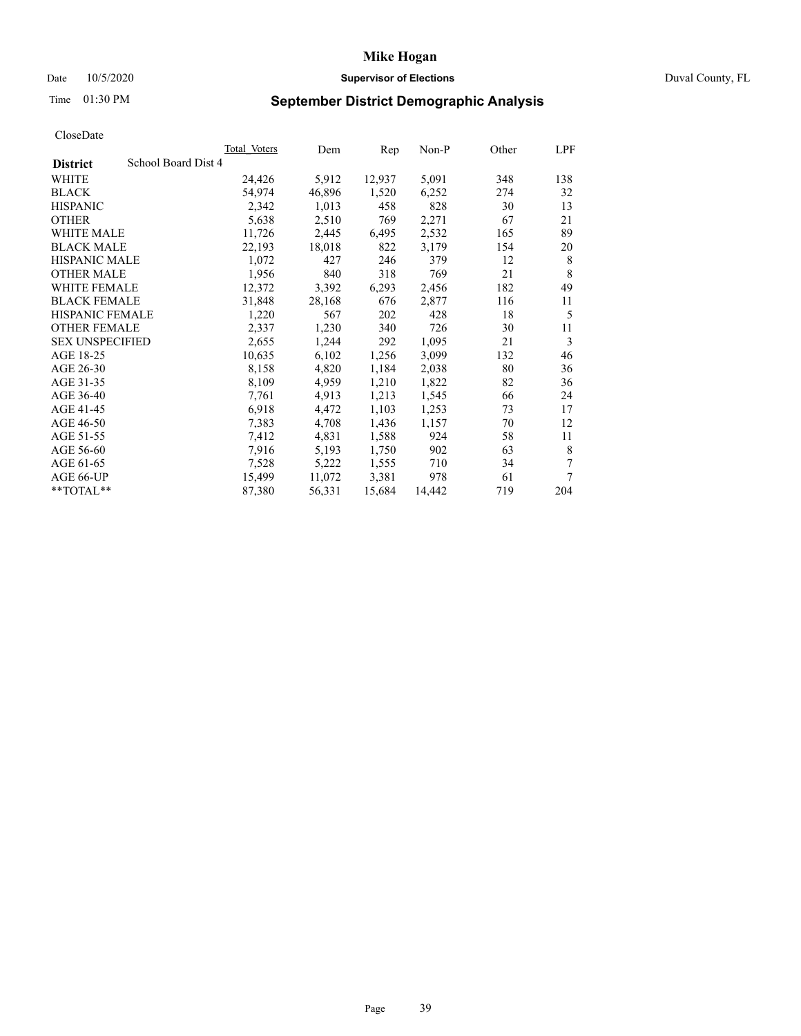# Date 10/5/2020 **Supervisor of Elections Supervisor of Elections** Duval County, FL

# Time 01:30 PM **September District Demographic Analysis**

| Total Voters | Dem                 | Rep    | Non-P  | Other | LPF |
|--------------|---------------------|--------|--------|-------|-----|
|              |                     |        |        |       |     |
| 24,426       | 5,912               | 12,937 | 5,091  | 348   | 138 |
| 54,974       | 46,896              | 1,520  | 6,252  | 274   | 32  |
| 2,342        | 1,013               | 458    | 828    | 30    | 13  |
| 5,638        | 2,510               | 769    | 2,271  | 67    | 21  |
| 11,726       | 2,445               | 6,495  | 2,532  | 165   | 89  |
| 22,193       | 18,018              | 822    | 3,179  | 154   | 20  |
| 1,072        | 427                 | 246    | 379    | 12    | 8   |
| 1,956        | 840                 | 318    | 769    | 21    | 8   |
| 12,372       | 3,392               | 6,293  | 2,456  | 182   | 49  |
| 31,848       | 28,168              | 676    | 2,877  | 116   | 11  |
| 1,220        | 567                 | 202    | 428    | 18    | 5   |
| 2,337        | 1,230               | 340    | 726    | 30    | 11  |
| 2,655        | 1,244               | 292    | 1,095  | 21    | 3   |
| 10,635       | 6,102               | 1,256  | 3,099  | 132   | 46  |
| 8,158        | 4,820               | 1,184  | 2,038  | 80    | 36  |
| 8,109        | 4,959               | 1,210  | 1,822  | 82    | 36  |
| 7,761        | 4,913               | 1,213  | 1,545  | 66    | 24  |
| 6,918        | 4,472               | 1,103  | 1,253  | 73    | 17  |
| 7,383        | 4,708               | 1,436  | 1,157  | 70    | 12  |
| 7,412        | 4,831               | 1,588  | 924    | 58    | 11  |
| 7,916        | 5,193               | 1,750  | 902    | 63    | 8   |
| 7,528        | 5,222               | 1,555  | 710    | 34    | 7   |
| 15,499       | 11,072              | 3,381  | 978    | 61    | 7   |
| 87,380       | 56,331              | 15,684 | 14,442 | 719   | 204 |
|              | School Board Dist 4 |        |        |       |     |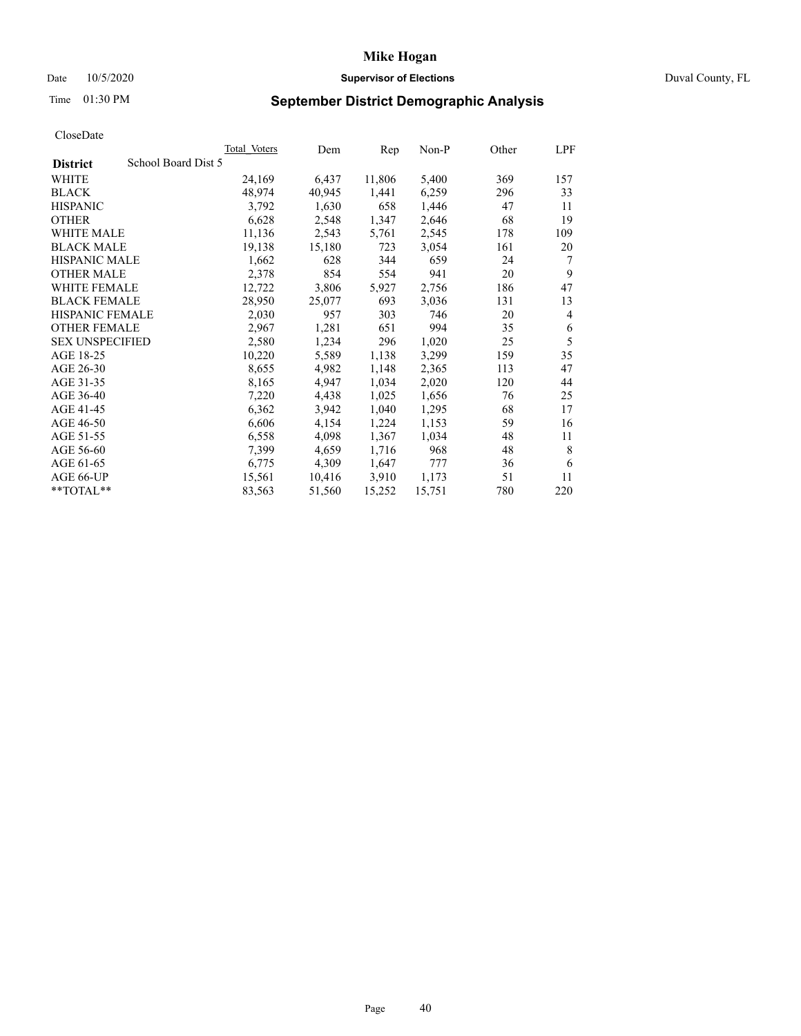# Date 10/5/2020 **Supervisor of Elections Supervisor of Elections** Duval County, FL

# Time 01:30 PM **September District Demographic Analysis**

|                        |                     | Total Voters | Dem    | Rep    | $Non-P$ | Other | LPF |
|------------------------|---------------------|--------------|--------|--------|---------|-------|-----|
| <b>District</b>        | School Board Dist 5 |              |        |        |         |       |     |
| WHITE                  |                     | 24,169       | 6,437  | 11,806 | 5,400   | 369   | 157 |
| <b>BLACK</b>           |                     | 48,974       | 40,945 | 1,441  | 6,259   | 296   | 33  |
| <b>HISPANIC</b>        |                     | 3,792        | 1,630  | 658    | 1,446   | 47    | 11  |
| <b>OTHER</b>           |                     | 6,628        | 2,548  | 1,347  | 2,646   | 68    | 19  |
| WHITE MALE             |                     | 11,136       | 2,543  | 5,761  | 2,545   | 178   | 109 |
| <b>BLACK MALE</b>      |                     | 19,138       | 15,180 | 723    | 3,054   | 161   | 20  |
| <b>HISPANIC MALE</b>   |                     | 1,662        | 628    | 344    | 659     | 24    | 7   |
| <b>OTHER MALE</b>      |                     | 2,378        | 854    | 554    | 941     | 20    | 9   |
| WHITE FEMALE           |                     | 12,722       | 3,806  | 5,927  | 2,756   | 186   | 47  |
| <b>BLACK FEMALE</b>    |                     | 28,950       | 25,077 | 693    | 3,036   | 131   | 13  |
| HISPANIC FEMALE        |                     | 2,030        | 957    | 303    | 746     | 20    | 4   |
| <b>OTHER FEMALE</b>    |                     | 2,967        | 1,281  | 651    | 994     | 35    | 6   |
| <b>SEX UNSPECIFIED</b> |                     | 2,580        | 1,234  | 296    | 1,020   | 25    | 5   |
| AGE 18-25              |                     | 10,220       | 5,589  | 1,138  | 3,299   | 159   | 35  |
| AGE 26-30              |                     | 8,655        | 4,982  | 1,148  | 2,365   | 113   | 47  |
| AGE 31-35              |                     | 8,165        | 4,947  | 1,034  | 2,020   | 120   | 44  |
| AGE 36-40              |                     | 7,220        | 4,438  | 1,025  | 1,656   | 76    | 25  |
| AGE 41-45              |                     | 6,362        | 3,942  | 1,040  | 1,295   | 68    | 17  |
| AGE 46-50              |                     | 6,606        | 4,154  | 1,224  | 1,153   | 59    | 16  |
| AGE 51-55              |                     | 6,558        | 4,098  | 1,367  | 1,034   | 48    | 11  |
| AGE 56-60              |                     | 7,399        | 4,659  | 1,716  | 968     | 48    | 8   |
| AGE 61-65              |                     | 6,775        | 4,309  | 1,647  | 777     | 36    | 6   |
| AGE 66-UP              |                     | 15,561       | 10,416 | 3,910  | 1,173   | 51    | 11  |
| **TOTAL**              |                     | 83,563       | 51,560 | 15,252 | 15,751  | 780   | 220 |
|                        |                     |              |        |        |         |       |     |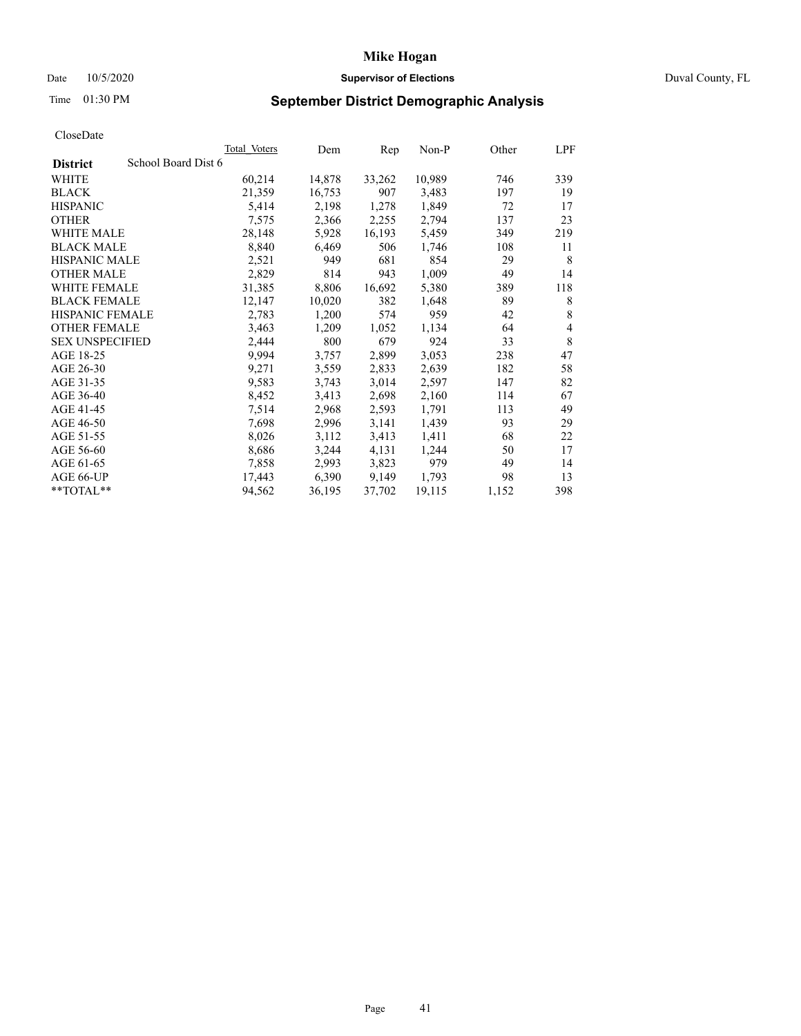# Date 10/5/2020 **Supervisor of Elections Supervisor of Elections** Duval County, FL

# Time 01:30 PM **September District Demographic Analysis**

|                                        | <b>Total Voters</b> | Dem    | Rep    | $Non-P$ | Other | LPF            |
|----------------------------------------|---------------------|--------|--------|---------|-------|----------------|
| School Board Dist 6<br><b>District</b> |                     |        |        |         |       |                |
| WHITE                                  | 60,214              | 14,878 | 33,262 | 10,989  | 746   | 339            |
| <b>BLACK</b>                           | 21,359              | 16,753 | 907    | 3,483   | 197   | 19             |
| <b>HISPANIC</b>                        | 5,414               | 2,198  | 1,278  | 1,849   | 72    | 17             |
| <b>OTHER</b>                           | 7,575               | 2,366  | 2,255  | 2,794   | 137   | 23             |
| WHITE MALE                             | 28,148              | 5,928  | 16,193 | 5,459   | 349   | 219            |
| <b>BLACK MALE</b>                      | 8,840               | 6,469  | 506    | 1,746   | 108   | 11             |
| <b>HISPANIC MALE</b>                   | 2,521               | 949    | 681    | 854     | 29    | 8              |
| <b>OTHER MALE</b>                      | 2,829               | 814    | 943    | 1,009   | 49    | 14             |
| WHITE FEMALE                           | 31,385              | 8,806  | 16,692 | 5,380   | 389   | 118            |
| <b>BLACK FEMALE</b>                    | 12,147              | 10,020 | 382    | 1,648   | 89    | 8              |
| HISPANIC FEMALE                        | 2,783               | 1,200  | 574    | 959     | 42    | 8              |
| <b>OTHER FEMALE</b>                    | 3,463               | 1,209  | 1,052  | 1,134   | 64    | $\overline{4}$ |
| <b>SEX UNSPECIFIED</b>                 | 2,444               | 800    | 679    | 924     | 33    | 8              |
| AGE 18-25                              | 9,994               | 3,757  | 2,899  | 3,053   | 238   | 47             |
| AGE 26-30                              | 9,271               | 3,559  | 2,833  | 2,639   | 182   | 58             |
| AGE 31-35                              | 9,583               | 3,743  | 3,014  | 2,597   | 147   | 82             |
| AGE 36-40                              | 8,452               | 3,413  | 2,698  | 2,160   | 114   | 67             |
| AGE 41-45                              | 7,514               | 2,968  | 2,593  | 1,791   | 113   | 49             |
| AGE 46-50                              | 7,698               | 2,996  | 3,141  | 1,439   | 93    | 29             |
| AGE 51-55                              | 8,026               | 3,112  | 3,413  | 1,411   | 68    | 22             |
| AGE 56-60                              | 8,686               | 3,244  | 4,131  | 1,244   | 50    | 17             |
| AGE 61-65                              | 7,858               | 2,993  | 3,823  | 979     | 49    | 14             |
| AGE 66-UP                              | 17,443              | 6,390  | 9,149  | 1,793   | 98    | 13             |
| **TOTAL**                              | 94,562              | 36,195 | 37,702 | 19,115  | 1,152 | 398            |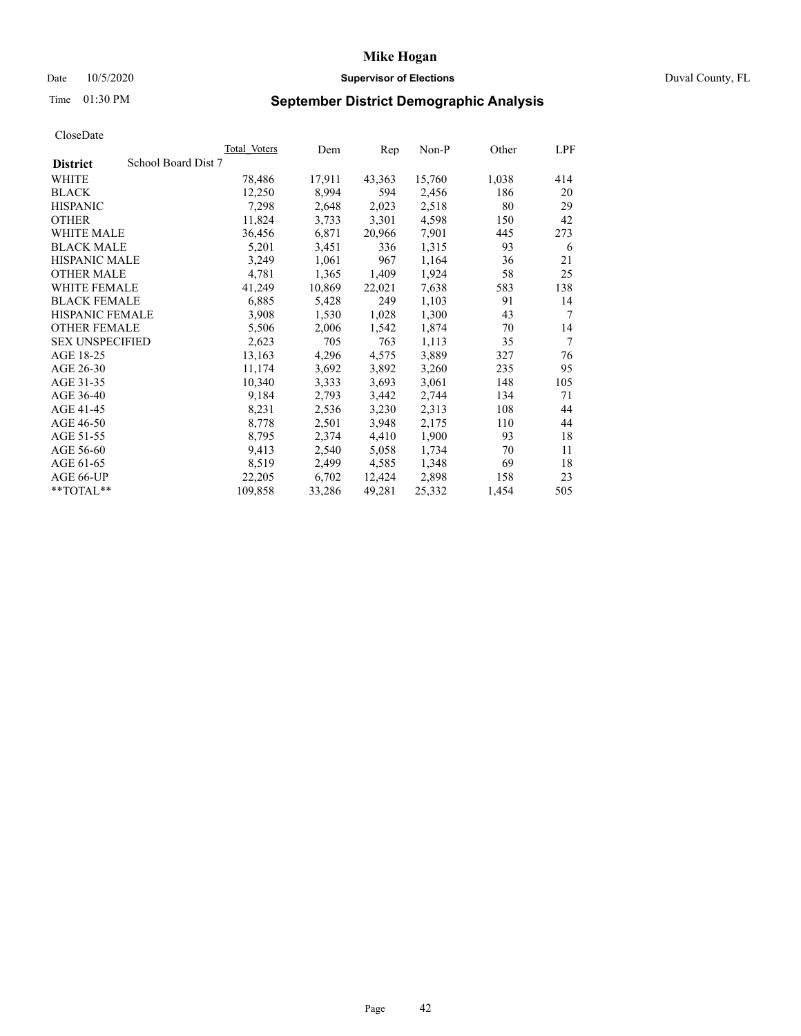# Date 10/5/2020 **Supervisor of Elections Supervisor of Elections** Duval County, FL

# Time 01:30 PM **September District Demographic Analysis**

|                                        | <b>Total Voters</b> | Dem    | Rep    | $Non-P$ | Other | LPF             |
|----------------------------------------|---------------------|--------|--------|---------|-------|-----------------|
| School Board Dist 7<br><b>District</b> |                     |        |        |         |       |                 |
| WHITE                                  | 78,486              | 17,911 | 43,363 | 15,760  | 1,038 | 414             |
| <b>BLACK</b>                           | 12,250              | 8,994  | 594    | 2,456   | 186   | 20              |
| <b>HISPANIC</b>                        | 7,298               | 2,648  | 2,023  | 2,518   | 80    | 29              |
| <b>OTHER</b>                           | 11,824              | 3,733  | 3,301  | 4,598   | 150   | 42              |
| WHITE MALE                             | 36,456              | 6,871  | 20,966 | 7,901   | 445   | 273             |
| <b>BLACK MALE</b>                      | 5,201               | 3,451  | 336    | 1,315   | 93    | 6               |
| <b>HISPANIC MALE</b>                   | 3,249               | 1,061  | 967    | 1,164   | 36    | 21              |
| <b>OTHER MALE</b>                      | 4,781               | 1,365  | 1,409  | 1,924   | 58    | 25              |
| <b>WHITE FEMALE</b>                    | 41,249              | 10,869 | 22,021 | 7,638   | 583   | 138             |
| <b>BLACK FEMALE</b>                    | 6,885               | 5,428  | 249    | 1,103   | 91    | 14              |
| HISPANIC FEMALE                        | 3,908               | 1,530  | 1,028  | 1,300   | 43    | $7\phantom{.0}$ |
| <b>OTHER FEMALE</b>                    | 5,506               | 2,006  | 1,542  | 1,874   | 70    | 14              |
| <b>SEX UNSPECIFIED</b>                 | 2,623               | 705    | 763    | 1,113   | 35    | $\tau$          |
| AGE 18-25                              | 13,163              | 4,296  | 4,575  | 3,889   | 327   | 76              |
| AGE 26-30                              | 11,174              | 3,692  | 3,892  | 3,260   | 235   | 95              |
| AGE 31-35                              | 10,340              | 3,333  | 3,693  | 3,061   | 148   | 105             |
| AGE 36-40                              | 9,184               | 2,793  | 3,442  | 2,744   | 134   | 71              |
| AGE 41-45                              | 8,231               | 2,536  | 3,230  | 2,313   | 108   | 44              |
| AGE 46-50                              | 8,778               | 2,501  | 3,948  | 2,175   | 110   | 44              |
| AGE 51-55                              | 8,795               | 2,374  | 4,410  | 1,900   | 93    | 18              |
| AGE 56-60                              | 9,413               | 2,540  | 5,058  | 1,734   | 70    | 11              |
| AGE 61-65                              | 8,519               | 2,499  | 4,585  | 1,348   | 69    | 18              |
| AGE 66-UP                              | 22,205              | 6,702  | 12,424 | 2,898   | 158   | 23              |
| **TOTAL**                              | 109,858             | 33,286 | 49,281 | 25,332  | 1,454 | 505             |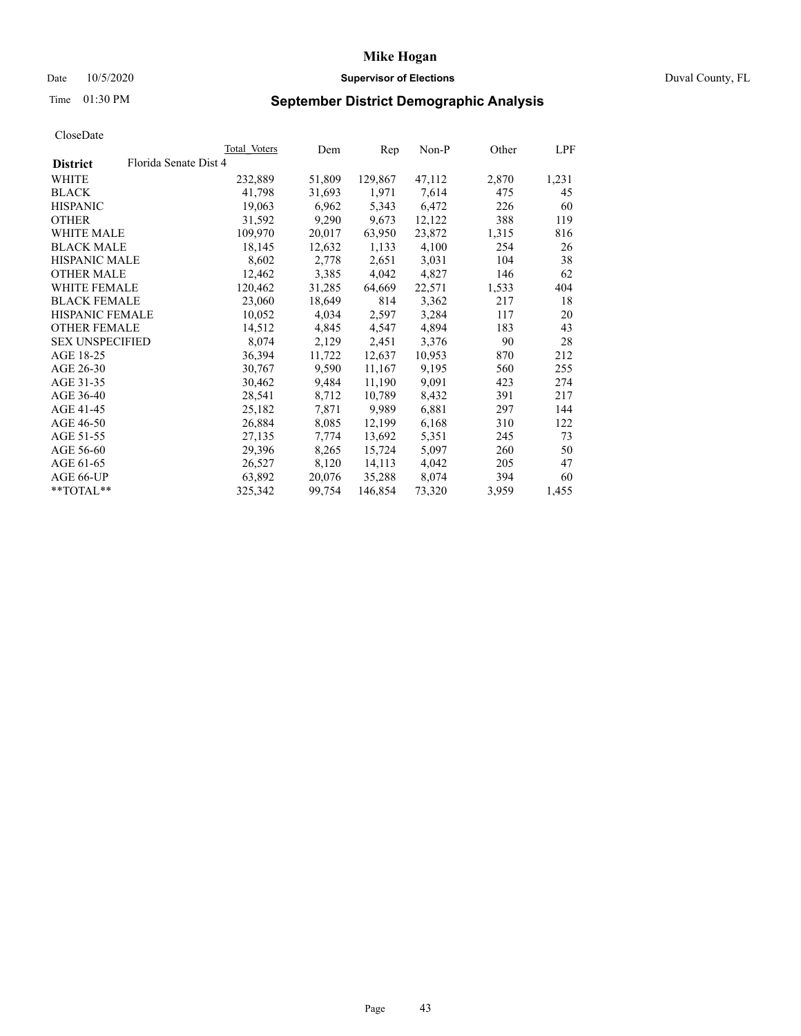# Date 10/5/2020 **Supervisor of Elections Supervisor of Elections** Duval County, FL

# Time 01:30 PM **September District Demographic Analysis**

|                        |                       | Total Voters | Dem    | Rep     | $Non-P$ | Other | LPF   |
|------------------------|-----------------------|--------------|--------|---------|---------|-------|-------|
| <b>District</b>        | Florida Senate Dist 4 |              |        |         |         |       |       |
| WHITE                  |                       | 232,889      | 51,809 | 129,867 | 47,112  | 2,870 | 1,231 |
| <b>BLACK</b>           |                       | 41,798       | 31,693 | 1,971   | 7,614   | 475   | 45    |
| <b>HISPANIC</b>        |                       | 19,063       | 6,962  | 5,343   | 6,472   | 226   | 60    |
| <b>OTHER</b>           |                       | 31,592       | 9,290  | 9,673   | 12,122  | 388   | 119   |
| WHITE MALE             |                       | 109,970      | 20,017 | 63,950  | 23,872  | 1,315 | 816   |
| <b>BLACK MALE</b>      |                       | 18,145       | 12,632 | 1,133   | 4,100   | 254   | 26    |
| <b>HISPANIC MALE</b>   |                       | 8,602        | 2,778  | 2,651   | 3,031   | 104   | 38    |
| <b>OTHER MALE</b>      |                       | 12,462       | 3,385  | 4,042   | 4,827   | 146   | 62    |
| <b>WHITE FEMALE</b>    |                       | 120,462      | 31,285 | 64,669  | 22,571  | 1,533 | 404   |
| <b>BLACK FEMALE</b>    |                       | 23,060       | 18,649 | 814     | 3,362   | 217   | 18    |
| HISPANIC FEMALE        |                       | 10,052       | 4,034  | 2,597   | 3,284   | 117   | 20    |
| <b>OTHER FEMALE</b>    |                       | 14,512       | 4,845  | 4,547   | 4,894   | 183   | 43    |
| <b>SEX UNSPECIFIED</b> |                       | 8,074        | 2,129  | 2,451   | 3,376   | 90    | 28    |
| AGE 18-25              |                       | 36,394       | 11,722 | 12,637  | 10,953  | 870   | 212   |
| AGE 26-30              |                       | 30,767       | 9,590  | 11,167  | 9,195   | 560   | 255   |
| AGE 31-35              |                       | 30,462       | 9,484  | 11,190  | 9,091   | 423   | 274   |
| AGE 36-40              |                       | 28,541       | 8,712  | 10,789  | 8,432   | 391   | 217   |
| AGE 41-45              |                       | 25,182       | 7,871  | 9,989   | 6,881   | 297   | 144   |
| AGE 46-50              |                       | 26,884       | 8,085  | 12,199  | 6,168   | 310   | 122   |
| AGE 51-55              |                       | 27,135       | 7,774  | 13,692  | 5,351   | 245   | 73    |
| AGE 56-60              |                       | 29,396       | 8,265  | 15,724  | 5,097   | 260   | 50    |
| AGE 61-65              |                       | 26,527       | 8,120  | 14,113  | 4,042   | 205   | 47    |
| AGE 66-UP              |                       | 63,892       | 20,076 | 35,288  | 8,074   | 394   | 60    |
| **TOTAL**              |                       | 325,342      | 99,754 | 146,854 | 73,320  | 3,959 | 1,455 |
|                        |                       |              |        |         |         |       |       |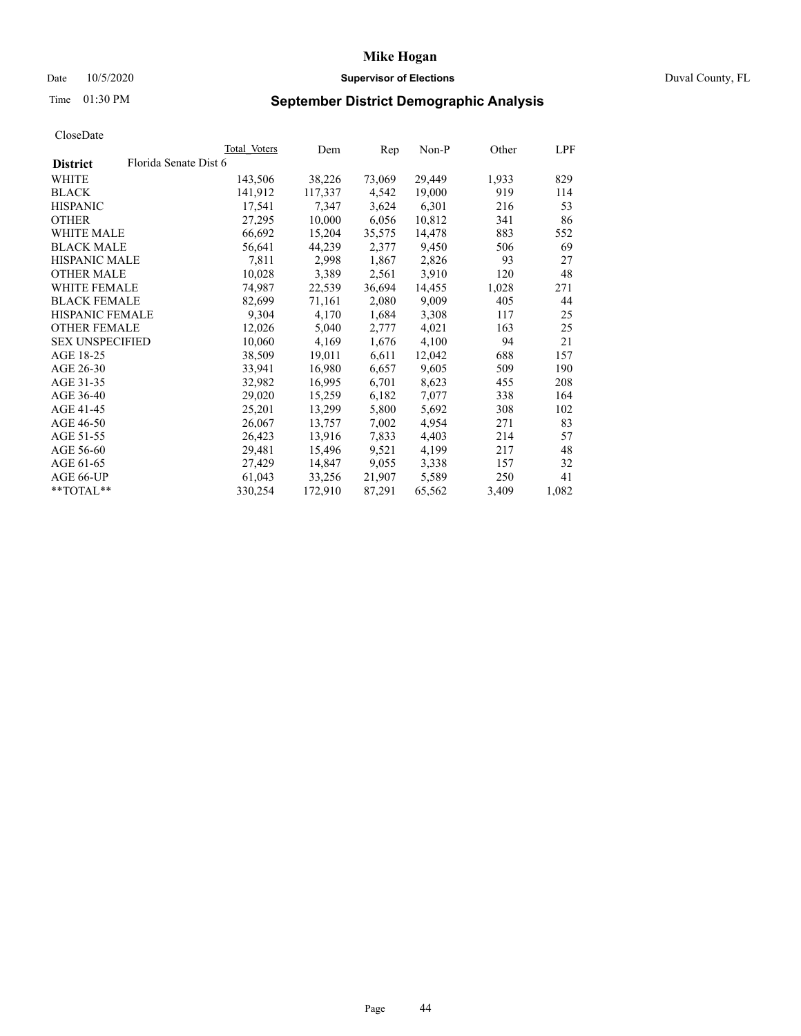# Date 10/5/2020 **Supervisor of Elections Supervisor of Elections** Duval County, FL

# Time 01:30 PM **September District Demographic Analysis**

| Florida Senate Dist 6<br><b>District</b><br>29,449<br>WHITE<br>38,226<br>73,069<br>1,933<br>143,506<br>919<br>141,912<br>117,337<br>4,542<br>19,000<br><b>BLACK</b><br>6,301<br><b>HISPANIC</b><br>17,541<br>7,347<br>3,624<br>216<br><b>OTHER</b><br>27,295<br>10,000<br>6,056<br>10,812<br>341<br>883<br>WHITE MALE<br>66,692<br>15,204<br>35,575<br>14,478<br><b>BLACK MALE</b><br>56,641<br>44,239<br>2,377<br>9,450<br>506<br><b>HISPANIC MALE</b><br>93<br>7,811<br>2,998<br>1,867<br>2,826<br>3,910<br><b>OTHER MALE</b><br>10,028<br>3,389<br>2,561<br>120<br><b>WHITE FEMALE</b><br>74,987<br>22,539<br>36,694<br>14,455<br>1,028<br><b>BLACK FEMALE</b><br>9,009<br>82,699<br>71,161<br>2,080<br>405<br>HISPANIC FEMALE<br>9,304<br>1,684<br>3,308<br>117<br>4,170<br><b>OTHER FEMALE</b><br>12,026<br>5,040<br>4,021<br>2,777<br>163<br>10,060<br>4,100<br><b>SEX UNSPECIFIED</b><br>4,169<br>1,676<br>94<br>AGE 18-25<br>38,509<br>6,611<br>12,042<br>688<br>19,011<br>9,605<br>AGE 26-30<br>33,941<br>16,980<br>509<br>6,657<br>AGE 31-35<br>32,982<br>6,701<br>8,623<br>16,995<br>455<br>AGE 36-40<br>15,259<br>7,077<br>338<br>29,020<br>6,182<br>AGE 41-45<br>25,201<br>13,299<br>5,800<br>5,692<br>308<br>AGE 46-50<br>26,067<br>7,002<br>4,954<br>271<br>13,757<br>4,403<br>AGE 51-55<br>26,423<br>13,916<br>7,833<br>214<br>29,481<br>4,199<br>AGE 56-60<br>9,521<br>217<br>15,496<br>9,055<br>3,338<br>AGE 61-65<br>27,429<br>14,847<br>157<br>5,589<br>AGE 66-UP<br>61,043<br>33,256<br>21,907<br>250<br>**TOTAL**<br>87,291<br>330,254<br>172,910<br>65,562<br>3,409 |  | Total Voters | Dem | Rep | $Non-P$ | Other | LPF   |
|--------------------------------------------------------------------------------------------------------------------------------------------------------------------------------------------------------------------------------------------------------------------------------------------------------------------------------------------------------------------------------------------------------------------------------------------------------------------------------------------------------------------------------------------------------------------------------------------------------------------------------------------------------------------------------------------------------------------------------------------------------------------------------------------------------------------------------------------------------------------------------------------------------------------------------------------------------------------------------------------------------------------------------------------------------------------------------------------------------------------------------------------------------------------------------------------------------------------------------------------------------------------------------------------------------------------------------------------------------------------------------------------------------------------------------------------------------------------------------------------------------------------------------------------------------------------------------------------|--|--------------|-----|-----|---------|-------|-------|
|                                                                                                                                                                                                                                                                                                                                                                                                                                                                                                                                                                                                                                                                                                                                                                                                                                                                                                                                                                                                                                                                                                                                                                                                                                                                                                                                                                                                                                                                                                                                                                                            |  |              |     |     |         |       |       |
|                                                                                                                                                                                                                                                                                                                                                                                                                                                                                                                                                                                                                                                                                                                                                                                                                                                                                                                                                                                                                                                                                                                                                                                                                                                                                                                                                                                                                                                                                                                                                                                            |  |              |     |     |         |       | 829   |
|                                                                                                                                                                                                                                                                                                                                                                                                                                                                                                                                                                                                                                                                                                                                                                                                                                                                                                                                                                                                                                                                                                                                                                                                                                                                                                                                                                                                                                                                                                                                                                                            |  |              |     |     |         |       | 114   |
|                                                                                                                                                                                                                                                                                                                                                                                                                                                                                                                                                                                                                                                                                                                                                                                                                                                                                                                                                                                                                                                                                                                                                                                                                                                                                                                                                                                                                                                                                                                                                                                            |  |              |     |     |         |       | 53    |
|                                                                                                                                                                                                                                                                                                                                                                                                                                                                                                                                                                                                                                                                                                                                                                                                                                                                                                                                                                                                                                                                                                                                                                                                                                                                                                                                                                                                                                                                                                                                                                                            |  |              |     |     |         |       | 86    |
|                                                                                                                                                                                                                                                                                                                                                                                                                                                                                                                                                                                                                                                                                                                                                                                                                                                                                                                                                                                                                                                                                                                                                                                                                                                                                                                                                                                                                                                                                                                                                                                            |  |              |     |     |         |       | 552   |
|                                                                                                                                                                                                                                                                                                                                                                                                                                                                                                                                                                                                                                                                                                                                                                                                                                                                                                                                                                                                                                                                                                                                                                                                                                                                                                                                                                                                                                                                                                                                                                                            |  |              |     |     |         |       | 69    |
|                                                                                                                                                                                                                                                                                                                                                                                                                                                                                                                                                                                                                                                                                                                                                                                                                                                                                                                                                                                                                                                                                                                                                                                                                                                                                                                                                                                                                                                                                                                                                                                            |  |              |     |     |         |       | 27    |
|                                                                                                                                                                                                                                                                                                                                                                                                                                                                                                                                                                                                                                                                                                                                                                                                                                                                                                                                                                                                                                                                                                                                                                                                                                                                                                                                                                                                                                                                                                                                                                                            |  |              |     |     |         |       | 48    |
|                                                                                                                                                                                                                                                                                                                                                                                                                                                                                                                                                                                                                                                                                                                                                                                                                                                                                                                                                                                                                                                                                                                                                                                                                                                                                                                                                                                                                                                                                                                                                                                            |  |              |     |     |         |       | 271   |
|                                                                                                                                                                                                                                                                                                                                                                                                                                                                                                                                                                                                                                                                                                                                                                                                                                                                                                                                                                                                                                                                                                                                                                                                                                                                                                                                                                                                                                                                                                                                                                                            |  |              |     |     |         |       | 44    |
|                                                                                                                                                                                                                                                                                                                                                                                                                                                                                                                                                                                                                                                                                                                                                                                                                                                                                                                                                                                                                                                                                                                                                                                                                                                                                                                                                                                                                                                                                                                                                                                            |  |              |     |     |         |       | 25    |
|                                                                                                                                                                                                                                                                                                                                                                                                                                                                                                                                                                                                                                                                                                                                                                                                                                                                                                                                                                                                                                                                                                                                                                                                                                                                                                                                                                                                                                                                                                                                                                                            |  |              |     |     |         |       | 25    |
|                                                                                                                                                                                                                                                                                                                                                                                                                                                                                                                                                                                                                                                                                                                                                                                                                                                                                                                                                                                                                                                                                                                                                                                                                                                                                                                                                                                                                                                                                                                                                                                            |  |              |     |     |         |       | 21    |
|                                                                                                                                                                                                                                                                                                                                                                                                                                                                                                                                                                                                                                                                                                                                                                                                                                                                                                                                                                                                                                                                                                                                                                                                                                                                                                                                                                                                                                                                                                                                                                                            |  |              |     |     |         |       | 157   |
|                                                                                                                                                                                                                                                                                                                                                                                                                                                                                                                                                                                                                                                                                                                                                                                                                                                                                                                                                                                                                                                                                                                                                                                                                                                                                                                                                                                                                                                                                                                                                                                            |  |              |     |     |         |       | 190   |
|                                                                                                                                                                                                                                                                                                                                                                                                                                                                                                                                                                                                                                                                                                                                                                                                                                                                                                                                                                                                                                                                                                                                                                                                                                                                                                                                                                                                                                                                                                                                                                                            |  |              |     |     |         |       | 208   |
|                                                                                                                                                                                                                                                                                                                                                                                                                                                                                                                                                                                                                                                                                                                                                                                                                                                                                                                                                                                                                                                                                                                                                                                                                                                                                                                                                                                                                                                                                                                                                                                            |  |              |     |     |         |       | 164   |
|                                                                                                                                                                                                                                                                                                                                                                                                                                                                                                                                                                                                                                                                                                                                                                                                                                                                                                                                                                                                                                                                                                                                                                                                                                                                                                                                                                                                                                                                                                                                                                                            |  |              |     |     |         |       | 102   |
|                                                                                                                                                                                                                                                                                                                                                                                                                                                                                                                                                                                                                                                                                                                                                                                                                                                                                                                                                                                                                                                                                                                                                                                                                                                                                                                                                                                                                                                                                                                                                                                            |  |              |     |     |         |       | 83    |
|                                                                                                                                                                                                                                                                                                                                                                                                                                                                                                                                                                                                                                                                                                                                                                                                                                                                                                                                                                                                                                                                                                                                                                                                                                                                                                                                                                                                                                                                                                                                                                                            |  |              |     |     |         |       | 57    |
|                                                                                                                                                                                                                                                                                                                                                                                                                                                                                                                                                                                                                                                                                                                                                                                                                                                                                                                                                                                                                                                                                                                                                                                                                                                                                                                                                                                                                                                                                                                                                                                            |  |              |     |     |         |       | 48    |
|                                                                                                                                                                                                                                                                                                                                                                                                                                                                                                                                                                                                                                                                                                                                                                                                                                                                                                                                                                                                                                                                                                                                                                                                                                                                                                                                                                                                                                                                                                                                                                                            |  |              |     |     |         |       | 32    |
|                                                                                                                                                                                                                                                                                                                                                                                                                                                                                                                                                                                                                                                                                                                                                                                                                                                                                                                                                                                                                                                                                                                                                                                                                                                                                                                                                                                                                                                                                                                                                                                            |  |              |     |     |         |       | 41    |
|                                                                                                                                                                                                                                                                                                                                                                                                                                                                                                                                                                                                                                                                                                                                                                                                                                                                                                                                                                                                                                                                                                                                                                                                                                                                                                                                                                                                                                                                                                                                                                                            |  |              |     |     |         |       | 1,082 |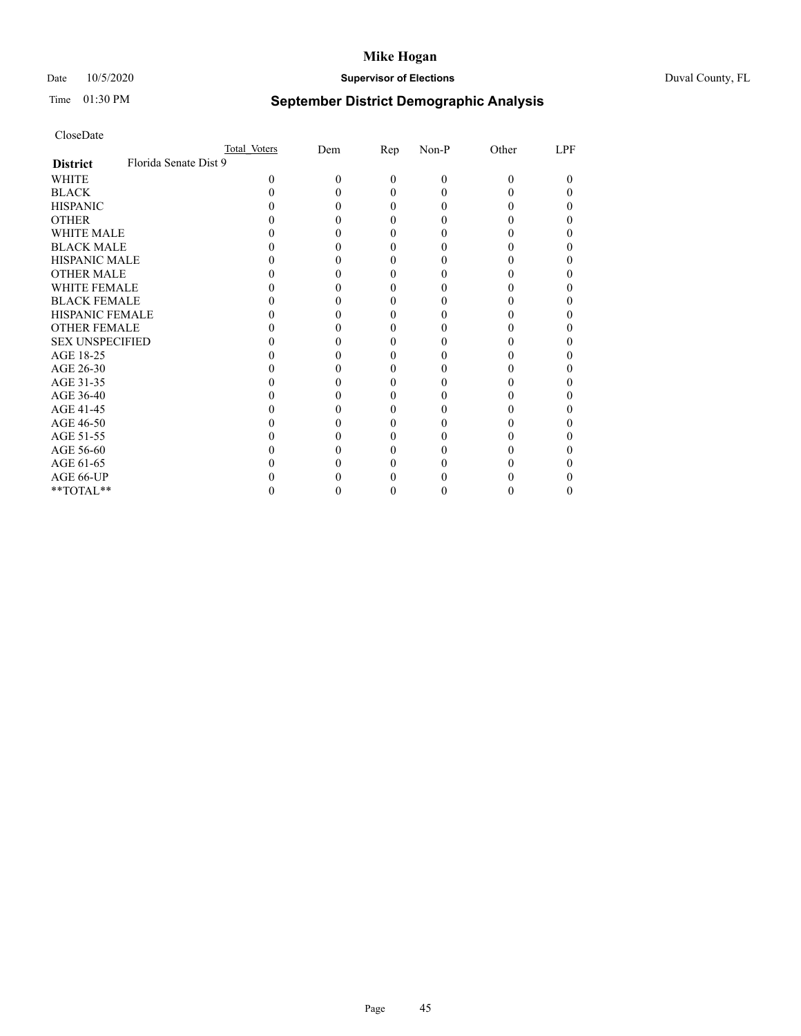# Date 10/5/2020 **Supervisor of Elections** Duval County, FL

# Time 01:30 PM **September District Demographic Analysis**

|                                          | Total Voters | Dem | <u>Rep</u> | Non-P    | Other | LPF |
|------------------------------------------|--------------|-----|------------|----------|-------|-----|
| Florida Senate Dist 9<br><b>District</b> |              |     |            |          |       |     |
| WHITE                                    | 0            | 0   | $\Omega$   | $\theta$ | 0     | 0   |
| <b>BLACK</b>                             |              |     | 0          |          |       |     |
| <b>HISPANIC</b>                          |              |     | 0          |          |       |     |
| <b>OTHER</b>                             |              |     |            |          |       |     |
| <b>WHITE MALE</b>                        |              |     |            |          |       |     |
| <b>BLACK MALE</b>                        |              |     |            |          |       |     |
| <b>HISPANIC MALE</b>                     |              |     |            |          |       |     |
| <b>OTHER MALE</b>                        |              |     |            |          |       |     |
| <b>WHITE FEMALE</b>                      |              |     |            |          |       |     |
| <b>BLACK FEMALE</b>                      |              |     |            |          |       |     |
| <b>HISPANIC FEMALE</b>                   |              |     |            |          |       |     |
| <b>OTHER FEMALE</b>                      |              |     |            |          |       |     |
| <b>SEX UNSPECIFIED</b>                   |              |     |            |          |       |     |
| AGE 18-25                                |              |     |            |          |       |     |
| AGE 26-30                                |              |     |            |          |       |     |
| AGE 31-35                                |              |     |            |          |       |     |
| AGE 36-40                                |              |     |            |          |       |     |
| AGE 41-45                                |              |     |            |          |       |     |
| AGE 46-50                                |              |     |            |          |       |     |
| AGE 51-55                                |              |     |            |          |       |     |
| AGE 56-60                                |              |     |            |          |       |     |
| AGE 61-65                                |              |     |            |          |       |     |
| AGE 66-UP                                |              |     |            |          |       |     |
| **TOTAL**                                |              |     |            | 0        |       |     |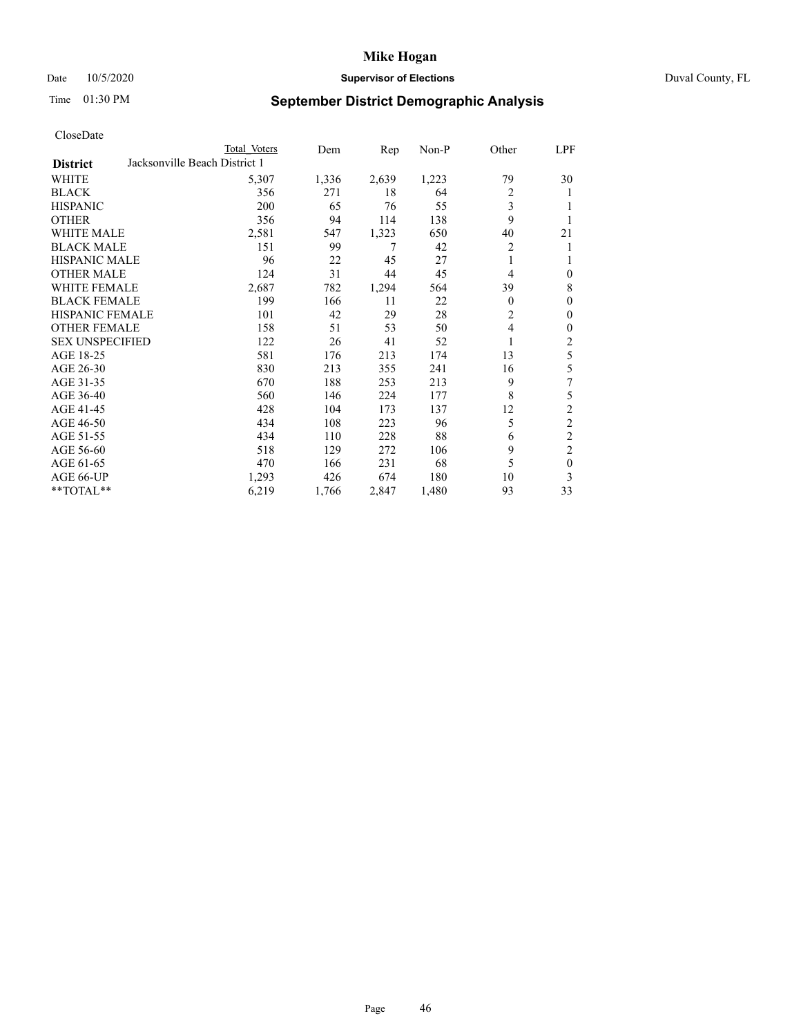# Date 10/5/2020 **Supervisor of Elections Supervisor of Elections** Duval County, FL

# Time 01:30 PM **September District Demographic Analysis**

|                                                  | Total Voters | Dem   | Rep   | Non-P | Other        | LPF              |
|--------------------------------------------------|--------------|-------|-------|-------|--------------|------------------|
| Jacksonville Beach District 1<br><b>District</b> |              |       |       |       |              |                  |
| WHITE                                            | 5,307        | 1,336 | 2,639 | 1,223 | 79           | 30               |
| <b>BLACK</b>                                     | 356          | 271   | 18    | 64    | 2            | 1                |
| <b>HISPANIC</b>                                  | 200          | 65    | 76    | 55    | 3            | 1                |
| <b>OTHER</b>                                     | 356          | 94    | 114   | 138   | 9            | 1                |
| <b>WHITE MALE</b>                                | 2,581        | 547   | 1,323 | 650   | 40           | 21               |
| <b>BLACK MALE</b>                                | 151          | 99    | 7     | 42    | 2            | 1                |
| <b>HISPANIC MALE</b>                             | 96           | 22    | 45    | 27    |              | 1                |
| <b>OTHER MALE</b>                                | 124          | 31    | 44    | 45    | 4            | $\boldsymbol{0}$ |
| <b>WHITE FEMALE</b>                              | 2,687        | 782   | 1,294 | 564   | 39           | $\,$ 8 $\,$      |
| <b>BLACK FEMALE</b>                              | 199          | 166   | 11    | 22    | $\mathbf{0}$ | $\mathbf{0}$     |
| <b>HISPANIC FEMALE</b>                           | 101          | 42    | 29    | 28    | 2            | $\boldsymbol{0}$ |
| <b>OTHER FEMALE</b>                              | 158          | 51    | 53    | 50    | 4            | $\boldsymbol{0}$ |
| <b>SEX UNSPECIFIED</b>                           | 122          | 26    | 41    | 52    | 1            | $\boldsymbol{2}$ |
| AGE 18-25                                        | 581          | 176   | 213   | 174   | 13           | 5                |
| AGE 26-30                                        | 830          | 213   | 355   | 241   | 16           | 5                |
| AGE 31-35                                        | 670          | 188   | 253   | 213   | 9            | 7                |
| AGE 36-40                                        | 560          | 146   | 224   | 177   | 8            | 5                |
| AGE 41-45                                        | 428          | 104   | 173   | 137   | 12           | 2                |
| AGE 46-50                                        | 434          | 108   | 223   | 96    | 5            | $\overline{c}$   |
| AGE 51-55                                        | 434          | 110   | 228   | 88    | 6            | $\overline{c}$   |
| AGE 56-60                                        | 518          | 129   | 272   | 106   | 9            | $\overline{c}$   |
| AGE 61-65                                        | 470          | 166   | 231   | 68    | 5            | $\mathbf{0}$     |
| AGE 66-UP                                        | 1,293        | 426   | 674   | 180   | 10           | 3                |
| **TOTAL**                                        | 6,219        | 1,766 | 2,847 | 1,480 | 93           | 33               |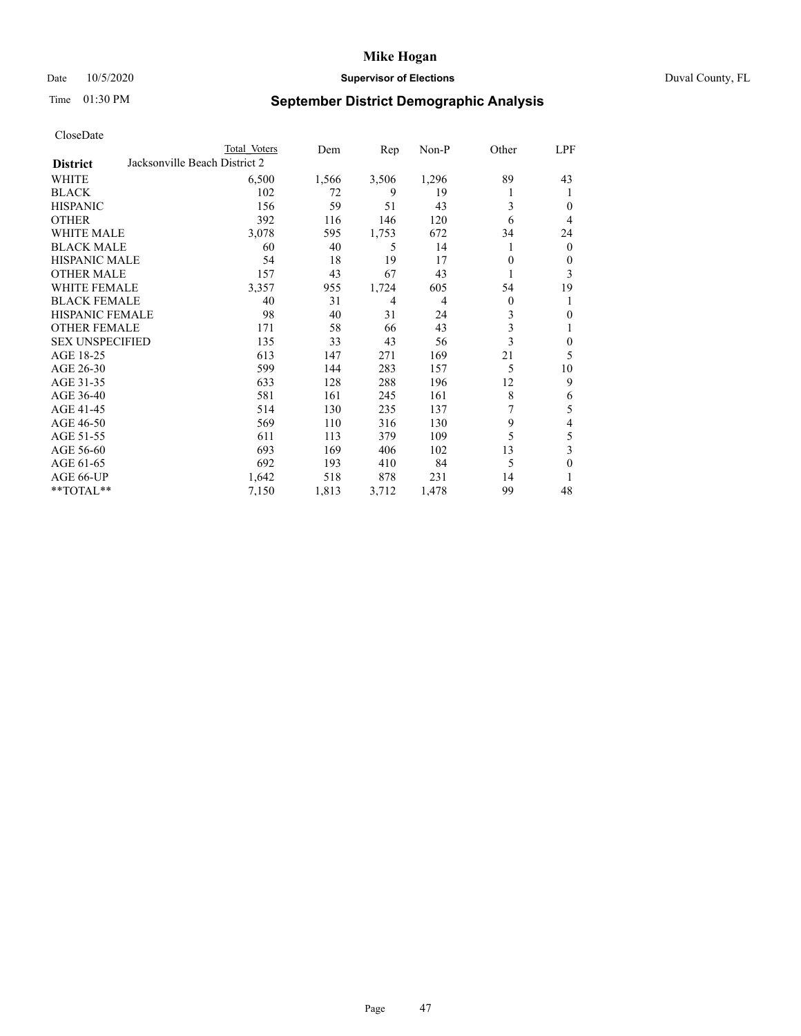# Date 10/5/2020 **Supervisor of Elections Supervisor of Elections** Duval County, FL

# Time 01:30 PM **September District Demographic Analysis**

| Total Voters | Dem                           | Rep   | $Non-P$        | Other    | <b>LPF</b>   |
|--------------|-------------------------------|-------|----------------|----------|--------------|
|              |                               |       |                |          |              |
| 6,500        | 1,566                         | 3,506 | 1,296          | 89       | 43           |
| 102          | 72                            | 9     | 19             |          | 1            |
| 156          | 59                            | 51    | 43             | 3        | $\theta$     |
| 392          | 116                           | 146   | 120            | 6        | 4            |
| 3,078        | 595                           | 1,753 | 672            | 34       | 24           |
| 60           | 40                            | 5     | 14             |          | $\mathbf{0}$ |
| 54           | 18                            | 19    | 17             | 0        | $\theta$     |
| 157          | 43                            | 67    | 43             |          | 3            |
| 3,357        | 955                           | 1,724 | 605            | 54       | 19           |
| 40           | 31                            | 4     | $\overline{4}$ | $\theta$ | 1            |
| 98           | 40                            | 31    | 24             | 3        | $\mathbf{0}$ |
| 171          | 58                            | 66    | 43             |          | 1            |
| 135          | 33                            | 43    | 56             |          | $\mathbf{0}$ |
| 613          | 147                           | 271   | 169            | 21       | 5            |
| 599          | 144                           | 283   | 157            | 5        | 10           |
| 633          | 128                           | 288   | 196            | 12       | 9            |
| 581          | 161                           | 245   | 161            | 8        | 6            |
| 514          | 130                           | 235   | 137            | 7        | 5            |
| 569          | 110                           | 316   | 130            | 9        | 4            |
| 611          | 113                           | 379   | 109            | 5        | 5            |
| 693          | 169                           | 406   | 102            | 13       | 3            |
| 692          | 193                           | 410   | 84             | 5        | $\mathbf{0}$ |
| 1,642        | 518                           | 878   | 231            | 14       | 1            |
| 7,150        | 1,813                         | 3,712 | 1,478          | 99       | 48           |
|              | Jacksonville Beach District 2 |       |                |          | 3<br>3       |